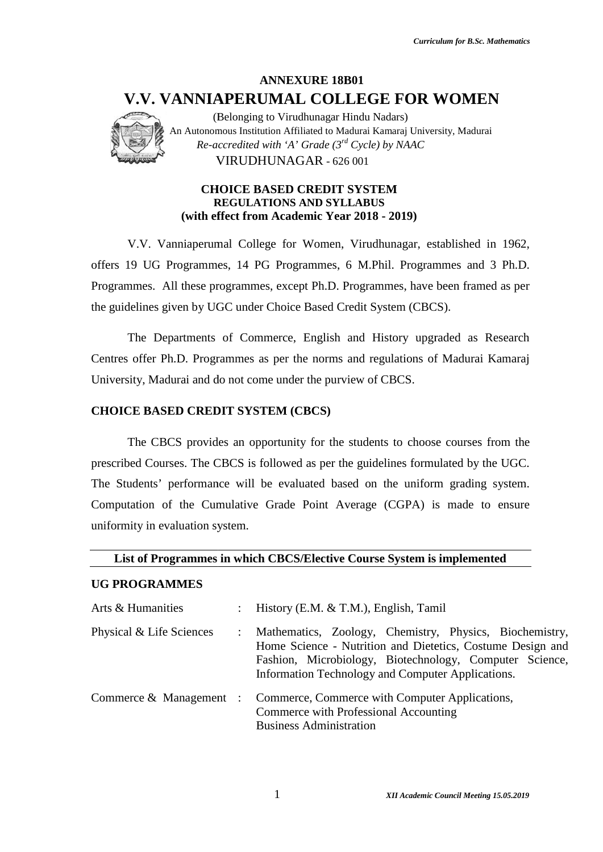

#### **CHOICE BASED CREDIT SYSTEM CHOICE REGULATIONS AND SYLLABUS (with effect from Academic Year 2018 - 2019) effect from**

### **CHOICE BASED CREDIT SYSTEM (CBCS)**

#### **List of Programmes in which CBCS/Elective Course System is implemented System is implemented**

#### **UG PROGRAMMES**

|                                          | <b>ANNEXURE 18B01</b><br>V.V. VANNIAPERUMAL COLLEGE FOR WOMEN                                                                                                                                                                         |
|------------------------------------------|---------------------------------------------------------------------------------------------------------------------------------------------------------------------------------------------------------------------------------------|
|                                          | (Belonging to Virudhunagar Hindu Nadars)<br>An Autonomous Institution Affiliated to Madurai Kamaraj University, Madurai<br>Re-accredited with 'A' Grade $(3^{rd}$ Cycle) by NAAC<br>VIRUDHUNAGAR - 626 001                            |
|                                          | <b>CHOICE BASED CREDIT SYSTEM</b><br><b>REGULATIONS AND SYLLABUS</b><br>(with effect from Academic Year 2018 - 2019)                                                                                                                  |
|                                          | V.V. Vanniaperumal College for Women, Virudhunagar, established in 1962,                                                                                                                                                              |
|                                          | offers 19 UG Programmes, 14 PG Programmes, 6 M.Phil. Programmes and 3 Ph.D.                                                                                                                                                           |
|                                          | Programmes. All these programmes, except Ph.D. Programmes, have been framed as per                                                                                                                                                    |
|                                          | the guidelines given by UGC under Choice Based Credit System (CBCS).                                                                                                                                                                  |
|                                          | The Departments of Commerce, English and History upgraded as Research                                                                                                                                                                 |
|                                          | Centres offer Ph.D. Programmes as per the norms and regulations of Madurai Kamaraj                                                                                                                                                    |
|                                          | University, Madurai and do not come under the purview of CBCS.                                                                                                                                                                        |
| <b>CHOICE BASED CREDIT SYSTEM (CBCS)</b> |                                                                                                                                                                                                                                       |
|                                          | The CBCS provides an opportunity for the students to choose courses from the                                                                                                                                                          |
|                                          | prescribed Courses. The CBCS is followed as per the guidelines formulated by the UGC.                                                                                                                                                 |
|                                          | The Students' performance will be evaluated based on the uniform grading system.                                                                                                                                                      |
| uniformity in evaluation system.         | Computation of the Cumulative Grade Point Average (CGPA) is made to ensure                                                                                                                                                            |
|                                          | List of Programmes in which CBCS/Elective Course System is implemented                                                                                                                                                                |
| <b>UG PROGRAMMES</b>                     |                                                                                                                                                                                                                                       |
| Arts & Humanities                        | History (E.M. & T.M.), English, Tamil                                                                                                                                                                                                 |
| Physical & Life Sciences                 | Mathematics, Zoology, Chemistry, Physics, Biochemistry,<br>Home Science - Nutrition and Dietetics, Costume Design and<br>Fashion, Microbiology, Biotechnology, Computer Science,<br>Information Technology and Computer Applications. |
| Commerce & Management :                  | Commerce, Commerce with Computer Applications,<br>Commerce with Professional Accounting<br><b>Business Administration</b>                                                                                                             |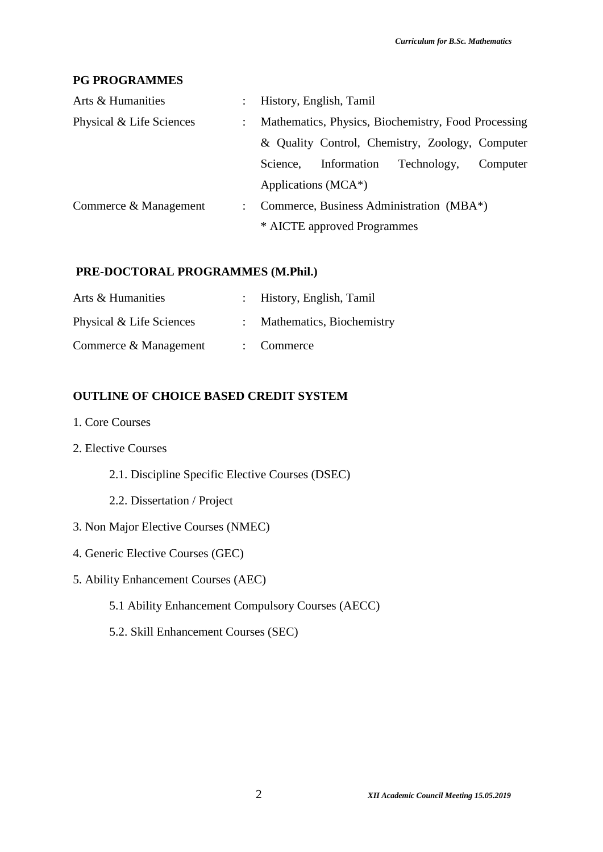#### **PG PROGRAMMES**

| Arts & Humanities        | $\mathbb{Z}^{\mathbb{Z}}$ | History, English, Tamil                             |  |  |  |
|--------------------------|---------------------------|-----------------------------------------------------|--|--|--|
| Physical & Life Sciences | $\mathbb{Z}^{\mathbb{Z}}$ | Mathematics, Physics, Biochemistry, Food Processing |  |  |  |
|                          |                           | & Quality Control, Chemistry, Zoology, Computer     |  |  |  |
|                          |                           | Information<br>Technology,<br>Science.<br>Computer  |  |  |  |
|                          |                           | Applications (MCA*)                                 |  |  |  |
| Commerce & Management    | $\mathbb{R}^{\mathbb{Z}}$ | Commerce, Business Administration (MBA*)            |  |  |  |
|                          |                           | * AICTE approved Programmes                         |  |  |  |

# **PRE-DOCTORAL PROGRAMMES (M.Phil.)**

| Arts & Humanities        | : History, English, Tamil   |
|--------------------------|-----------------------------|
| Physical & Life Sciences | : Mathematics, Biochemistry |
| Commerce & Management    | $\therefore$ Commerce       |

# **OUTLINE OF CHOICE BASED CREDIT SYSTEM**

- 1. Core Courses
- 2. Elective Courses
	- 2.1. Discipline Specific Elective Courses (DSEC)
	- 2.2. Dissertation / Project
- 3. Non Major Elective Courses (NMEC)
- 4. Generic Elective Courses (GEC)
- 5. Ability Enhancement Courses (AEC)
	- 5.1 Ability Enhancement Compulsory Courses (AECC)
	- 5.2. Skill Enhancement Courses (SEC)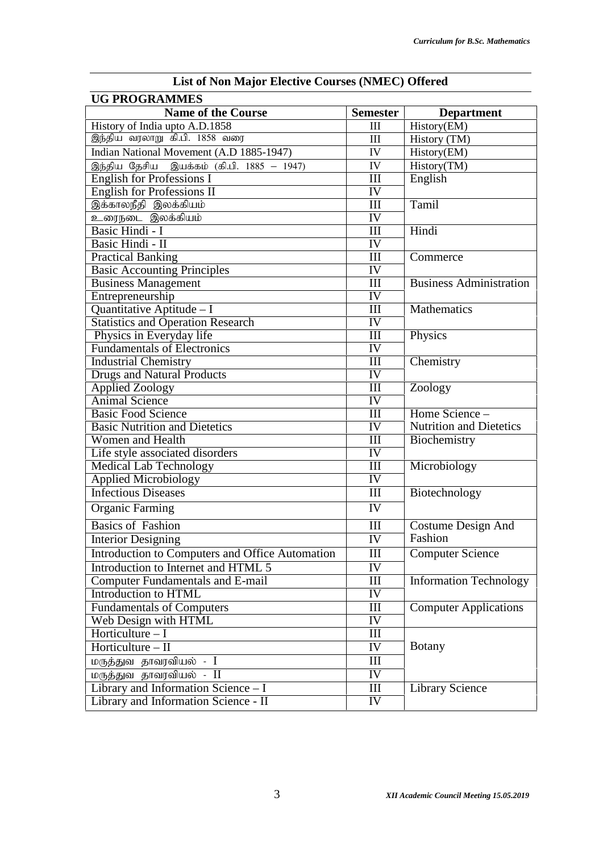| <b>Name of the Course</b><br><b>Semester</b><br><b>Department</b><br>History of India upto A.D.1858<br>History(EM)<br>$\mathop{\rm III}\nolimits$<br>இந்திய வரலாறு கி.பி. 1858 வரை<br>III<br>History (TM)<br>Indian National Movement (A.D 1885-1947)<br>History(EM)<br>IV<br>History(TM)<br>இந்திய தேசிய இயக்கம் (கி.பி. 1885 – 1947)<br>IV<br><b>English for Professions I</b><br>III<br>English<br>English for Professions II<br>IV<br>இக்காலநீதி இலக்கியம்<br>III<br>Tamil<br>உரைநடை இலக்கியம்<br>IV<br>Basic Hindi - I<br>III<br>Hindi<br>Basic Hindi - II<br>IV<br><b>Practical Banking</b><br>III<br>Commerce<br><b>Basic Accounting Principles</b><br>IV<br><b>Business Management</b><br>III<br>IV<br>Entrepreneurship<br>Mathematics<br>Quantitative Aptitude - I<br>III<br><b>Statistics and Operation Research</b><br>IV<br>Physics in Everyday life<br>III<br>Physics<br><b>Fundamentals of Electronics</b><br>IV<br><b>Industrial Chemistry</b><br>III<br>Chemistry<br>IV<br><b>Drugs and Natural Products</b><br><b>Applied Zoology</b><br>III<br>Zoology<br><b>Animal Science</b><br>IV<br>Home Science -<br><b>Basic Food Science</b><br>III<br><b>Basic Nutrition and Dietetics</b><br><b>Nutrition and Dietetics</b><br>IV<br>Biochemistry<br>Women and Health<br>III<br>IV<br>Microbiology<br><b>Medical Lab Technology</b><br>III<br>$\overline{\text{IV}}$<br><b>Applied Microbiology</b><br><b>Infectious Diseases</b><br>III<br>Biotechnology<br>$\overline{\text{IV}}$<br><b>Organic Farming</b><br><b>Basics of Fashion</b><br>III<br>Costume Design And<br>Fashion<br><b>IV</b><br><b>Interior Designing</b><br>Introduction to Computers and Office Automation<br><b>Computer Science</b><br>Ш<br>Introduction to Internet and HTML 5<br>IV<br><b>Computer Fundamentals and E-mail</b><br>III<br>Introduction to HTML<br>IV<br><b>Fundamentals of Computers</b><br><b>Computer Applications</b><br>Ш<br>IV<br>Web Design with HTML<br>Horticulture $-1$<br>$\mathop{\rm III}$<br>Horticulture $-$ II<br>IV<br><b>Botany</b><br>மருத்துவ தாவரவியல் - I<br>Ш<br>IV<br>மருத்துவ தாவரவியல் - II<br>Library and Information Science - I<br><b>Library Science</b><br>$\mathop{\rm III}$<br>IV<br>Library and Information Science - II | List of Ton Major Encenve Courses (TWIEC) Oncrea<br><b>UG PROGRAMMES</b> |                                |  |
|--------------------------------------------------------------------------------------------------------------------------------------------------------------------------------------------------------------------------------------------------------------------------------------------------------------------------------------------------------------------------------------------------------------------------------------------------------------------------------------------------------------------------------------------------------------------------------------------------------------------------------------------------------------------------------------------------------------------------------------------------------------------------------------------------------------------------------------------------------------------------------------------------------------------------------------------------------------------------------------------------------------------------------------------------------------------------------------------------------------------------------------------------------------------------------------------------------------------------------------------------------------------------------------------------------------------------------------------------------------------------------------------------------------------------------------------------------------------------------------------------------------------------------------------------------------------------------------------------------------------------------------------------------------------------------------------------------------------------------------------------------------------------------------------------------------------------------------------------------------------------------------------------------------------------------------------------------------------------------------------------------------------------------------------------------------------------------------------------------------------------------------------------------------------------------------------------------------------------------------------------------------|--------------------------------------------------------------------------|--------------------------------|--|
|                                                                                                                                                                                                                                                                                                                                                                                                                                                                                                                                                                                                                                                                                                                                                                                                                                                                                                                                                                                                                                                                                                                                                                                                                                                                                                                                                                                                                                                                                                                                                                                                                                                                                                                                                                                                                                                                                                                                                                                                                                                                                                                                                                                                                                                              |                                                                          |                                |  |
|                                                                                                                                                                                                                                                                                                                                                                                                                                                                                                                                                                                                                                                                                                                                                                                                                                                                                                                                                                                                                                                                                                                                                                                                                                                                                                                                                                                                                                                                                                                                                                                                                                                                                                                                                                                                                                                                                                                                                                                                                                                                                                                                                                                                                                                              |                                                                          |                                |  |
|                                                                                                                                                                                                                                                                                                                                                                                                                                                                                                                                                                                                                                                                                                                                                                                                                                                                                                                                                                                                                                                                                                                                                                                                                                                                                                                                                                                                                                                                                                                                                                                                                                                                                                                                                                                                                                                                                                                                                                                                                                                                                                                                                                                                                                                              |                                                                          |                                |  |
|                                                                                                                                                                                                                                                                                                                                                                                                                                                                                                                                                                                                                                                                                                                                                                                                                                                                                                                                                                                                                                                                                                                                                                                                                                                                                                                                                                                                                                                                                                                                                                                                                                                                                                                                                                                                                                                                                                                                                                                                                                                                                                                                                                                                                                                              |                                                                          |                                |  |
|                                                                                                                                                                                                                                                                                                                                                                                                                                                                                                                                                                                                                                                                                                                                                                                                                                                                                                                                                                                                                                                                                                                                                                                                                                                                                                                                                                                                                                                                                                                                                                                                                                                                                                                                                                                                                                                                                                                                                                                                                                                                                                                                                                                                                                                              |                                                                          |                                |  |
|                                                                                                                                                                                                                                                                                                                                                                                                                                                                                                                                                                                                                                                                                                                                                                                                                                                                                                                                                                                                                                                                                                                                                                                                                                                                                                                                                                                                                                                                                                                                                                                                                                                                                                                                                                                                                                                                                                                                                                                                                                                                                                                                                                                                                                                              |                                                                          |                                |  |
|                                                                                                                                                                                                                                                                                                                                                                                                                                                                                                                                                                                                                                                                                                                                                                                                                                                                                                                                                                                                                                                                                                                                                                                                                                                                                                                                                                                                                                                                                                                                                                                                                                                                                                                                                                                                                                                                                                                                                                                                                                                                                                                                                                                                                                                              |                                                                          |                                |  |
|                                                                                                                                                                                                                                                                                                                                                                                                                                                                                                                                                                                                                                                                                                                                                                                                                                                                                                                                                                                                                                                                                                                                                                                                                                                                                                                                                                                                                                                                                                                                                                                                                                                                                                                                                                                                                                                                                                                                                                                                                                                                                                                                                                                                                                                              |                                                                          |                                |  |
|                                                                                                                                                                                                                                                                                                                                                                                                                                                                                                                                                                                                                                                                                                                                                                                                                                                                                                                                                                                                                                                                                                                                                                                                                                                                                                                                                                                                                                                                                                                                                                                                                                                                                                                                                                                                                                                                                                                                                                                                                                                                                                                                                                                                                                                              |                                                                          |                                |  |
|                                                                                                                                                                                                                                                                                                                                                                                                                                                                                                                                                                                                                                                                                                                                                                                                                                                                                                                                                                                                                                                                                                                                                                                                                                                                                                                                                                                                                                                                                                                                                                                                                                                                                                                                                                                                                                                                                                                                                                                                                                                                                                                                                                                                                                                              |                                                                          |                                |  |
|                                                                                                                                                                                                                                                                                                                                                                                                                                                                                                                                                                                                                                                                                                                                                                                                                                                                                                                                                                                                                                                                                                                                                                                                                                                                                                                                                                                                                                                                                                                                                                                                                                                                                                                                                                                                                                                                                                                                                                                                                                                                                                                                                                                                                                                              |                                                                          |                                |  |
|                                                                                                                                                                                                                                                                                                                                                                                                                                                                                                                                                                                                                                                                                                                                                                                                                                                                                                                                                                                                                                                                                                                                                                                                                                                                                                                                                                                                                                                                                                                                                                                                                                                                                                                                                                                                                                                                                                                                                                                                                                                                                                                                                                                                                                                              |                                                                          |                                |  |
|                                                                                                                                                                                                                                                                                                                                                                                                                                                                                                                                                                                                                                                                                                                                                                                                                                                                                                                                                                                                                                                                                                                                                                                                                                                                                                                                                                                                                                                                                                                                                                                                                                                                                                                                                                                                                                                                                                                                                                                                                                                                                                                                                                                                                                                              |                                                                          |                                |  |
|                                                                                                                                                                                                                                                                                                                                                                                                                                                                                                                                                                                                                                                                                                                                                                                                                                                                                                                                                                                                                                                                                                                                                                                                                                                                                                                                                                                                                                                                                                                                                                                                                                                                                                                                                                                                                                                                                                                                                                                                                                                                                                                                                                                                                                                              |                                                                          | <b>Business Administration</b> |  |
|                                                                                                                                                                                                                                                                                                                                                                                                                                                                                                                                                                                                                                                                                                                                                                                                                                                                                                                                                                                                                                                                                                                                                                                                                                                                                                                                                                                                                                                                                                                                                                                                                                                                                                                                                                                                                                                                                                                                                                                                                                                                                                                                                                                                                                                              |                                                                          |                                |  |
|                                                                                                                                                                                                                                                                                                                                                                                                                                                                                                                                                                                                                                                                                                                                                                                                                                                                                                                                                                                                                                                                                                                                                                                                                                                                                                                                                                                                                                                                                                                                                                                                                                                                                                                                                                                                                                                                                                                                                                                                                                                                                                                                                                                                                                                              |                                                                          |                                |  |
|                                                                                                                                                                                                                                                                                                                                                                                                                                                                                                                                                                                                                                                                                                                                                                                                                                                                                                                                                                                                                                                                                                                                                                                                                                                                                                                                                                                                                                                                                                                                                                                                                                                                                                                                                                                                                                                                                                                                                                                                                                                                                                                                                                                                                                                              |                                                                          |                                |  |
|                                                                                                                                                                                                                                                                                                                                                                                                                                                                                                                                                                                                                                                                                                                                                                                                                                                                                                                                                                                                                                                                                                                                                                                                                                                                                                                                                                                                                                                                                                                                                                                                                                                                                                                                                                                                                                                                                                                                                                                                                                                                                                                                                                                                                                                              |                                                                          |                                |  |
|                                                                                                                                                                                                                                                                                                                                                                                                                                                                                                                                                                                                                                                                                                                                                                                                                                                                                                                                                                                                                                                                                                                                                                                                                                                                                                                                                                                                                                                                                                                                                                                                                                                                                                                                                                                                                                                                                                                                                                                                                                                                                                                                                                                                                                                              |                                                                          |                                |  |
|                                                                                                                                                                                                                                                                                                                                                                                                                                                                                                                                                                                                                                                                                                                                                                                                                                                                                                                                                                                                                                                                                                                                                                                                                                                                                                                                                                                                                                                                                                                                                                                                                                                                                                                                                                                                                                                                                                                                                                                                                                                                                                                                                                                                                                                              |                                                                          |                                |  |
|                                                                                                                                                                                                                                                                                                                                                                                                                                                                                                                                                                                                                                                                                                                                                                                                                                                                                                                                                                                                                                                                                                                                                                                                                                                                                                                                                                                                                                                                                                                                                                                                                                                                                                                                                                                                                                                                                                                                                                                                                                                                                                                                                                                                                                                              |                                                                          |                                |  |
|                                                                                                                                                                                                                                                                                                                                                                                                                                                                                                                                                                                                                                                                                                                                                                                                                                                                                                                                                                                                                                                                                                                                                                                                                                                                                                                                                                                                                                                                                                                                                                                                                                                                                                                                                                                                                                                                                                                                                                                                                                                                                                                                                                                                                                                              |                                                                          |                                |  |
|                                                                                                                                                                                                                                                                                                                                                                                                                                                                                                                                                                                                                                                                                                                                                                                                                                                                                                                                                                                                                                                                                                                                                                                                                                                                                                                                                                                                                                                                                                                                                                                                                                                                                                                                                                                                                                                                                                                                                                                                                                                                                                                                                                                                                                                              |                                                                          |                                |  |
|                                                                                                                                                                                                                                                                                                                                                                                                                                                                                                                                                                                                                                                                                                                                                                                                                                                                                                                                                                                                                                                                                                                                                                                                                                                                                                                                                                                                                                                                                                                                                                                                                                                                                                                                                                                                                                                                                                                                                                                                                                                                                                                                                                                                                                                              |                                                                          |                                |  |
|                                                                                                                                                                                                                                                                                                                                                                                                                                                                                                                                                                                                                                                                                                                                                                                                                                                                                                                                                                                                                                                                                                                                                                                                                                                                                                                                                                                                                                                                                                                                                                                                                                                                                                                                                                                                                                                                                                                                                                                                                                                                                                                                                                                                                                                              |                                                                          |                                |  |
|                                                                                                                                                                                                                                                                                                                                                                                                                                                                                                                                                                                                                                                                                                                                                                                                                                                                                                                                                                                                                                                                                                                                                                                                                                                                                                                                                                                                                                                                                                                                                                                                                                                                                                                                                                                                                                                                                                                                                                                                                                                                                                                                                                                                                                                              |                                                                          |                                |  |
|                                                                                                                                                                                                                                                                                                                                                                                                                                                                                                                                                                                                                                                                                                                                                                                                                                                                                                                                                                                                                                                                                                                                                                                                                                                                                                                                                                                                                                                                                                                                                                                                                                                                                                                                                                                                                                                                                                                                                                                                                                                                                                                                                                                                                                                              | Life style associated disorders                                          |                                |  |
|                                                                                                                                                                                                                                                                                                                                                                                                                                                                                                                                                                                                                                                                                                                                                                                                                                                                                                                                                                                                                                                                                                                                                                                                                                                                                                                                                                                                                                                                                                                                                                                                                                                                                                                                                                                                                                                                                                                                                                                                                                                                                                                                                                                                                                                              |                                                                          |                                |  |
|                                                                                                                                                                                                                                                                                                                                                                                                                                                                                                                                                                                                                                                                                                                                                                                                                                                                                                                                                                                                                                                                                                                                                                                                                                                                                                                                                                                                                                                                                                                                                                                                                                                                                                                                                                                                                                                                                                                                                                                                                                                                                                                                                                                                                                                              |                                                                          |                                |  |
|                                                                                                                                                                                                                                                                                                                                                                                                                                                                                                                                                                                                                                                                                                                                                                                                                                                                                                                                                                                                                                                                                                                                                                                                                                                                                                                                                                                                                                                                                                                                                                                                                                                                                                                                                                                                                                                                                                                                                                                                                                                                                                                                                                                                                                                              |                                                                          |                                |  |
|                                                                                                                                                                                                                                                                                                                                                                                                                                                                                                                                                                                                                                                                                                                                                                                                                                                                                                                                                                                                                                                                                                                                                                                                                                                                                                                                                                                                                                                                                                                                                                                                                                                                                                                                                                                                                                                                                                                                                                                                                                                                                                                                                                                                                                                              |                                                                          |                                |  |
|                                                                                                                                                                                                                                                                                                                                                                                                                                                                                                                                                                                                                                                                                                                                                                                                                                                                                                                                                                                                                                                                                                                                                                                                                                                                                                                                                                                                                                                                                                                                                                                                                                                                                                                                                                                                                                                                                                                                                                                                                                                                                                                                                                                                                                                              |                                                                          |                                |  |
|                                                                                                                                                                                                                                                                                                                                                                                                                                                                                                                                                                                                                                                                                                                                                                                                                                                                                                                                                                                                                                                                                                                                                                                                                                                                                                                                                                                                                                                                                                                                                                                                                                                                                                                                                                                                                                                                                                                                                                                                                                                                                                                                                                                                                                                              |                                                                          |                                |  |
|                                                                                                                                                                                                                                                                                                                                                                                                                                                                                                                                                                                                                                                                                                                                                                                                                                                                                                                                                                                                                                                                                                                                                                                                                                                                                                                                                                                                                                                                                                                                                                                                                                                                                                                                                                                                                                                                                                                                                                                                                                                                                                                                                                                                                                                              |                                                                          |                                |  |
|                                                                                                                                                                                                                                                                                                                                                                                                                                                                                                                                                                                                                                                                                                                                                                                                                                                                                                                                                                                                                                                                                                                                                                                                                                                                                                                                                                                                                                                                                                                                                                                                                                                                                                                                                                                                                                                                                                                                                                                                                                                                                                                                                                                                                                                              |                                                                          |                                |  |
|                                                                                                                                                                                                                                                                                                                                                                                                                                                                                                                                                                                                                                                                                                                                                                                                                                                                                                                                                                                                                                                                                                                                                                                                                                                                                                                                                                                                                                                                                                                                                                                                                                                                                                                                                                                                                                                                                                                                                                                                                                                                                                                                                                                                                                                              |                                                                          | <b>Information Technology</b>  |  |
|                                                                                                                                                                                                                                                                                                                                                                                                                                                                                                                                                                                                                                                                                                                                                                                                                                                                                                                                                                                                                                                                                                                                                                                                                                                                                                                                                                                                                                                                                                                                                                                                                                                                                                                                                                                                                                                                                                                                                                                                                                                                                                                                                                                                                                                              |                                                                          |                                |  |
|                                                                                                                                                                                                                                                                                                                                                                                                                                                                                                                                                                                                                                                                                                                                                                                                                                                                                                                                                                                                                                                                                                                                                                                                                                                                                                                                                                                                                                                                                                                                                                                                                                                                                                                                                                                                                                                                                                                                                                                                                                                                                                                                                                                                                                                              |                                                                          |                                |  |
|                                                                                                                                                                                                                                                                                                                                                                                                                                                                                                                                                                                                                                                                                                                                                                                                                                                                                                                                                                                                                                                                                                                                                                                                                                                                                                                                                                                                                                                                                                                                                                                                                                                                                                                                                                                                                                                                                                                                                                                                                                                                                                                                                                                                                                                              |                                                                          |                                |  |
|                                                                                                                                                                                                                                                                                                                                                                                                                                                                                                                                                                                                                                                                                                                                                                                                                                                                                                                                                                                                                                                                                                                                                                                                                                                                                                                                                                                                                                                                                                                                                                                                                                                                                                                                                                                                                                                                                                                                                                                                                                                                                                                                                                                                                                                              |                                                                          |                                |  |
|                                                                                                                                                                                                                                                                                                                                                                                                                                                                                                                                                                                                                                                                                                                                                                                                                                                                                                                                                                                                                                                                                                                                                                                                                                                                                                                                                                                                                                                                                                                                                                                                                                                                                                                                                                                                                                                                                                                                                                                                                                                                                                                                                                                                                                                              |                                                                          |                                |  |
|                                                                                                                                                                                                                                                                                                                                                                                                                                                                                                                                                                                                                                                                                                                                                                                                                                                                                                                                                                                                                                                                                                                                                                                                                                                                                                                                                                                                                                                                                                                                                                                                                                                                                                                                                                                                                                                                                                                                                                                                                                                                                                                                                                                                                                                              |                                                                          |                                |  |
|                                                                                                                                                                                                                                                                                                                                                                                                                                                                                                                                                                                                                                                                                                                                                                                                                                                                                                                                                                                                                                                                                                                                                                                                                                                                                                                                                                                                                                                                                                                                                                                                                                                                                                                                                                                                                                                                                                                                                                                                                                                                                                                                                                                                                                                              |                                                                          |                                |  |
|                                                                                                                                                                                                                                                                                                                                                                                                                                                                                                                                                                                                                                                                                                                                                                                                                                                                                                                                                                                                                                                                                                                                                                                                                                                                                                                                                                                                                                                                                                                                                                                                                                                                                                                                                                                                                                                                                                                                                                                                                                                                                                                                                                                                                                                              |                                                                          |                                |  |
|                                                                                                                                                                                                                                                                                                                                                                                                                                                                                                                                                                                                                                                                                                                                                                                                                                                                                                                                                                                                                                                                                                                                                                                                                                                                                                                                                                                                                                                                                                                                                                                                                                                                                                                                                                                                                                                                                                                                                                                                                                                                                                                                                                                                                                                              |                                                                          |                                |  |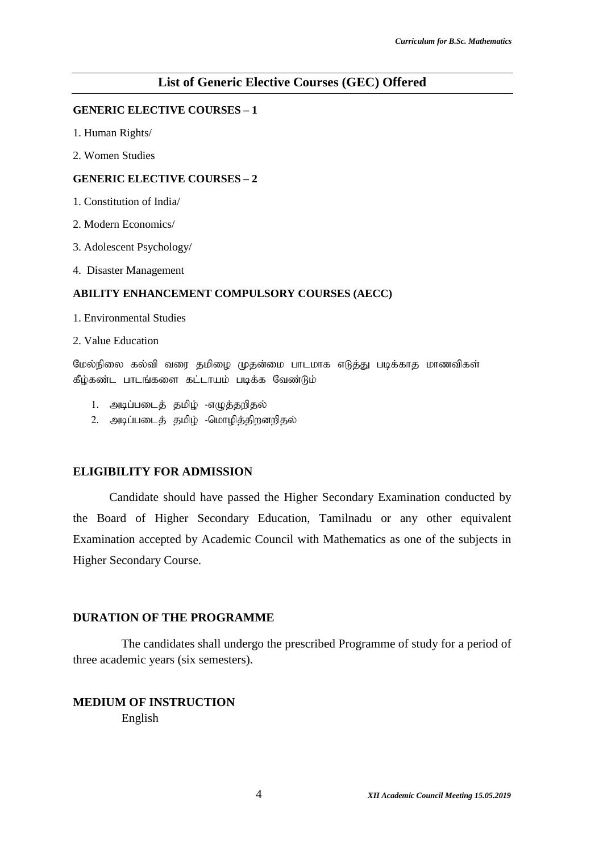#### **List of Generic Elective Courses (GEC) Offered**

#### **GENERIC ELECTIVE COURSES – 1**

- 1. Human Rights/
- 2. Women Studies

#### **GENERIC ELECTIVE COURSES – 2**

- 1. Constitution of India/
- 2. Modern Economics/
- 3. Adolescent Psychology/
- 4. Disaster Management

#### **ABILITY ENHANCEMENT COMPULSORY COURSES (AECC)**

- 1. Environmental Studies
- 2. Value Education

மேல்நிலை கல்வி வரை தமிழை முதன்மை பாடமாக எடுத்து படிக்காத மாணவிகள் கீழ்கண்ட பாடங்களை கட்டாயம் படிக்க வேண்டும்

- 1. அடிப்படைத் தமிழ் -எழுத்தறிதல்
- 2. அடிப்படைத் தமிழ் -மொழித்திறனறிதல்

#### **ELIGIBILITY FOR ADMISSION**

Candidate should have passed the Higher Secondary Examination conducted by the Board of Higher Secondary Education, Tamilnadu or any other equivalent Examination accepted by Academic Council with Mathematics as one of the subjects in Higher Secondary Course.

#### **DURATION OF THE PROGRAMME**

The candidates shall undergo the prescribed Programme of study for a period of three academic years (six semesters).

### **MEDIUM OF INSTRUCTION** English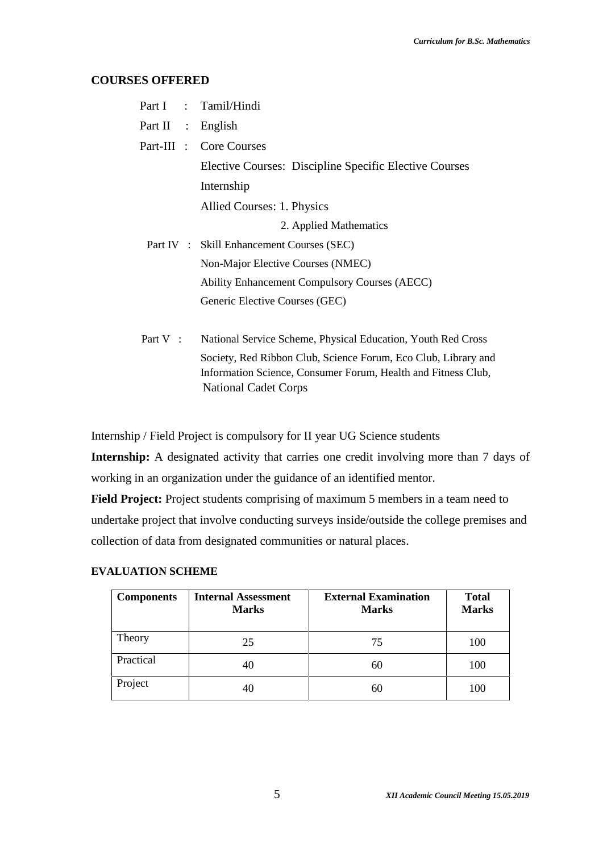#### **COURSES OFFERED**

|                   | Part I : Tamil/Hindi                                                                                                            |
|-------------------|---------------------------------------------------------------------------------------------------------------------------------|
| Part II : English |                                                                                                                                 |
|                   | Part-III : Core Courses                                                                                                         |
|                   | Elective Courses: Discipline Specific Elective Courses                                                                          |
|                   | Internship                                                                                                                      |
|                   | Allied Courses: 1. Physics                                                                                                      |
|                   | 2. Applied Mathematics                                                                                                          |
|                   | Part IV : Skill Enhancement Courses (SEC)                                                                                       |
|                   | Non-Major Elective Courses (NMEC)                                                                                               |
|                   | <b>Ability Enhancement Compulsory Courses (AECC)</b>                                                                            |
|                   | Generic Elective Courses (GEC)                                                                                                  |
|                   |                                                                                                                                 |
| Part V:           | National Service Scheme, Physical Education, Youth Red Cross                                                                    |
|                   | Society, Red Ribbon Club, Science Forum, Eco Club, Library and<br>Information Science, Consumer Forum, Health and Fitness Club, |

National Cadet Corps

Internship / Field Project is compulsory for II year UG Science students

**Internship:** A designated activity that carries one credit involving more than 7 days of working in an organization under the guidance of an identified mentor.

**Field Project:** Project students comprising of maximum 5 members in a team need to undertake project that involve conducting surveys inside/outside the college premises and collection of data from designated communities or natural places.

### **EVALUATION SCHEME**

| <b>Components</b> | <b>Internal Assessment</b><br><b>Marks</b> | <b>External Examination</b><br><b>Marks</b> | <b>Total</b><br><b>Marks</b> |
|-------------------|--------------------------------------------|---------------------------------------------|------------------------------|
| Theory            | 25                                         | 75                                          | 100                          |
| Practical         | 40                                         | 60                                          | 100                          |
| Project           | 40                                         | 60                                          | 100                          |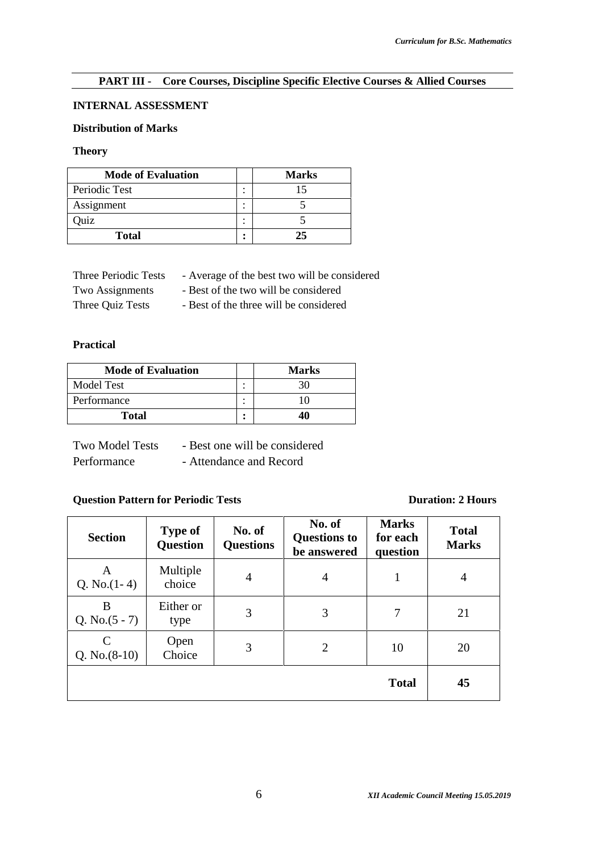#### **PART III - Core Courses, Discipline Specific Elective Courses & Allied Courses**

#### **INTERNAL ASSESSMENT**

### **Distribution of Marks**

#### **Theory**

| <b>Mode of Evaluation</b> |        | <b>Marks</b> |
|---------------------------|--------|--------------|
| Periodic Test             | ٠<br>٠ |              |
| Assignment                | ٠<br>٠ |              |
| )uiz                      |        |              |
| <b>Total</b>              | ٠<br>٠ | 25.          |

| Three Periodic Tests | - Average of the best two will be considered |  |
|----------------------|----------------------------------------------|--|
|----------------------|----------------------------------------------|--|

Two Assignments - Best of the two will be considered

Three Quiz Tests - Best of the three will be considered

#### **Practical**

| <b>Mode of Evaluation</b> |         | <b>Marks</b> |
|---------------------------|---------|--------------|
| Model Test                |         | 30           |
| Performance               | $\cdot$ | 10           |
| <b>Total</b>              | ٠       | 40           |

| <b>Two Model Tests</b> | - Best one will be considered |
|------------------------|-------------------------------|
| Performance            | - Attendance and Record       |

# **Question Pattern for Periodic Tests Duration: 2 Hours**

| <b>Section</b>        | <b>Type of</b><br><b>Question</b> | No. of<br><b>Questions</b> | No. of<br><b>Questions to</b><br>be answered | <b>Marks</b><br>for each<br>question | <b>Total</b><br><b>Marks</b> |
|-----------------------|-----------------------------------|----------------------------|----------------------------------------------|--------------------------------------|------------------------------|
| A<br>Q. No. $(1-4)$   | Multiple<br>choice                | $\overline{4}$             | $\overline{4}$                               |                                      | $\overline{4}$               |
| B<br>Q. No. $(5 - 7)$ | Either or<br>type                 | 3                          | 3                                            | 7                                    | 21                           |
| C<br>Q. $No. (8-10)$  | Open<br>Choice                    | 3                          | $\overline{2}$                               | 10                                   | 20                           |
|                       |                                   |                            |                                              | <b>Total</b>                         | 45                           |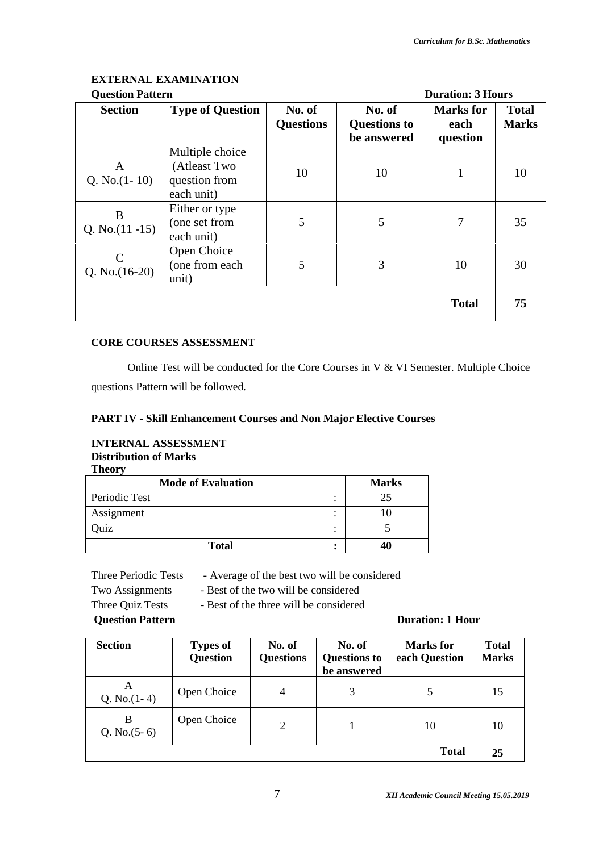# **EXTERNAL EXAMINATION**

| <b>Question Pattern</b> |
|-------------------------|
|-------------------------|

| <b>Question Pattern</b>           |                                                                |                            | <b>Duration: 3 Hours</b>                     |                                      |                              |  |
|-----------------------------------|----------------------------------------------------------------|----------------------------|----------------------------------------------|--------------------------------------|------------------------------|--|
| <b>Section</b>                    | <b>Type of Question</b>                                        | No. of<br><b>Questions</b> | No. of<br><b>Questions to</b><br>be answered | <b>Marks</b> for<br>each<br>question | <b>Total</b><br><b>Marks</b> |  |
| A<br>Q. No. $(1-10)$              | Multiple choice<br>(Atleast Two<br>question from<br>each unit) | 10                         | 10                                           | 1                                    | 10                           |  |
| B<br>Q. No. $(11 - 15)$           | Either or type<br>(one set from<br>each unit)                  | 5                          | 5                                            | 7                                    | 35                           |  |
| $\mathcal{C}$<br>Q. No. $(16-20)$ | Open Choice<br>(one from each<br>unit)                         | 5                          | 3                                            | 10                                   | 30                           |  |
|                                   |                                                                |                            |                                              | <b>Total</b>                         | 75                           |  |

### **CORE COURSES ASSESSMENT**

Online Test will be conducted for the Core Courses in V & VI Semester. Multiple Choice questions Pattern will be followed.

#### **PART IV - Skill Enhancement Courses and Non Major Elective Courses**

#### **INTERNAL ASSESSMENT Distribution of Marks Theory**

| <b>THEOL</b> A            |   |              |
|---------------------------|---|--------------|
| <b>Mode of Evaluation</b> |   | <b>Marks</b> |
| Periodic Test             | ٠ | 25           |
| Assignment                | ٠ |              |
| Quiz                      | ٠ |              |
| <b>Total</b>              |   | 40           |

Three Periodic Tests - Average of the best two will be considered

Two Assignments - Best of the two will be considered

Three Quiz Tests - Best of the three will be considered

**Question Pattern Duration: 1 Hour**

| <b>Section</b>      | <b>Types of</b><br><b>Question</b> | No. of<br><b>Questions</b> | No. of<br><b>Questions to</b><br>be answered | <b>Marks</b> for<br>each Question | <b>Total</b><br><b>Marks</b> |
|---------------------|------------------------------------|----------------------------|----------------------------------------------|-----------------------------------|------------------------------|
| A<br>Q. No. $(1-4)$ | Open Choice                        | 4                          | 3                                            |                                   | 15                           |
| B<br>Q. No. $(5-6)$ | Open Choice                        | 2                          |                                              | 10                                | 10                           |
|                     |                                    |                            |                                              | <b>Total</b>                      | 25                           |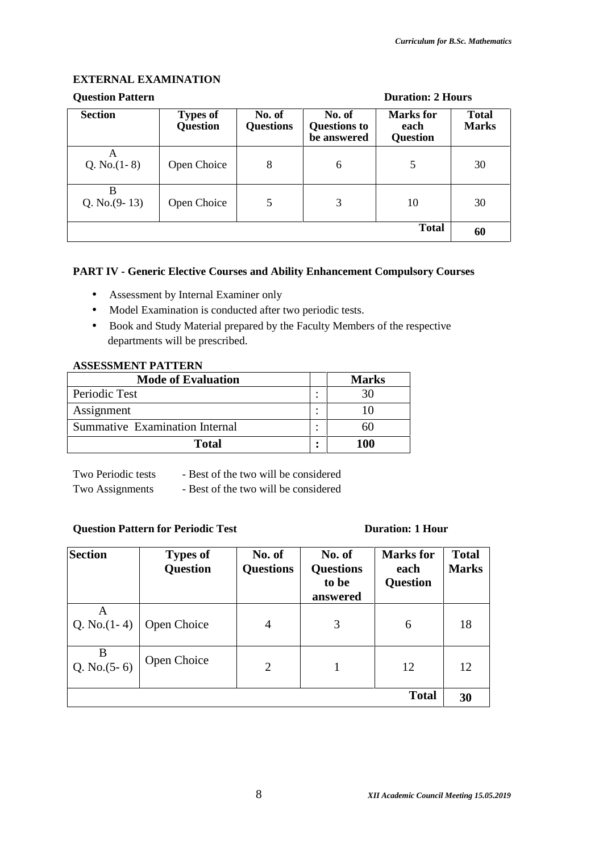#### **EXTERNAL EXAMINATION**

# **Question Pattern Duration: 2 Hours**

| <b>Section</b>       | <b>Types of</b><br><b>Question</b> | No. of<br><b>Questions</b> | No. of<br><b>Questions to</b><br>be answered | <b>Marks</b> for<br>each<br><b>Question</b> | <b>Total</b><br><b>Marks</b> |
|----------------------|------------------------------------|----------------------------|----------------------------------------------|---------------------------------------------|------------------------------|
| A<br>Q. No. $(1-8)$  | Open Choice                        | 8                          | 6                                            | 5                                           | 30                           |
| B<br>Q. No. $(9-13)$ | Open Choice                        | 5                          | 3                                            | 10                                          | 30                           |
|                      |                                    |                            |                                              | <b>Total</b>                                | 60                           |

### **PART IV - Generic Elective Courses and Ability Enhancement Compulsory Courses**

- Assessment by Internal Examiner only
- Model Examination is conducted after two periodic tests.
- Book and Study Material prepared by the Faculty Members of the respective departments will be prescribed.

#### **ASSESSMENT PATTERN**

| <b>Mode of Evaluation</b>      |   | <b>Marks</b> |
|--------------------------------|---|--------------|
| Periodic Test                  |   |              |
| Assignment                     |   |              |
| Summative Examination Internal |   | hI)          |
| <b>Total</b>                   | ٠ | 100          |

Two Periodic tests - Best of the two will be considered Two Assignments - Best of the two will be considered

### **Question Pattern for Periodic Test Duration: 1 Hour**

| <b>Section</b>      | <b>Types of</b><br><b>Question</b> | No. of<br><b>Questions</b> | No. of<br><b>Questions</b><br>to be<br>answered | <b>Marks</b> for<br>each<br><b>Question</b> | <b>Total</b><br><b>Marks</b> |
|---------------------|------------------------------------|----------------------------|-------------------------------------------------|---------------------------------------------|------------------------------|
| A<br>Q. No. $(1-4)$ | Open Choice                        | $\overline{4}$             | 3                                               | 6                                           | 18                           |
| B<br>Q. No. $(5-6)$ | Open Choice                        | $\overline{2}$             |                                                 | 12                                          | 12                           |
|                     |                                    |                            |                                                 | <b>Total</b>                                | 30                           |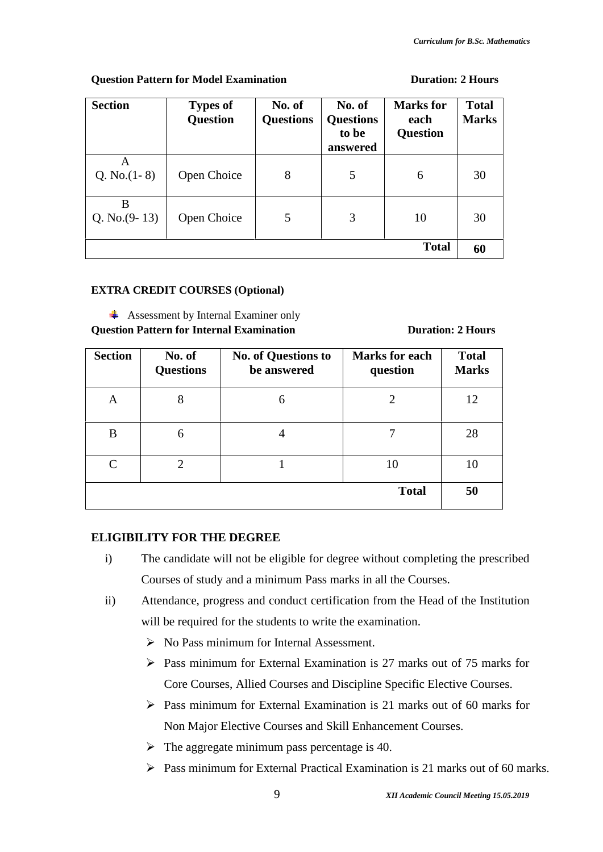#### **Question Pattern for Model Examination Duration: 2 Hours**

| <b>Section</b>       | <b>Types of</b><br><b>Question</b> | No. of<br><b>Questions</b> | No. of<br><b>Questions</b><br>to be<br>answered | <b>Marks</b> for<br>each<br><b>Question</b> | <b>Total</b><br><b>Marks</b> |
|----------------------|------------------------------------|----------------------------|-------------------------------------------------|---------------------------------------------|------------------------------|
| A<br>Q. No. $(1-8)$  | Open Choice                        | 8                          | 5                                               | 6                                           | 30                           |
| B<br>Q. No. $(9-13)$ | Open Choice                        | 5                          | 3                                               | 10                                          | 30                           |
|                      |                                    |                            |                                                 | <b>Total</b>                                | 60                           |

# **EXTRA CREDIT COURSES (Optional)**

Assessment by Internal Examiner only **Question Pattern for Internal Examination Duration: 2 Hours** 

| <b>Section</b> | No. of<br><b>Questions</b> | No. of Questions to<br>be answered | <b>Marks for each</b><br>question | <b>Total</b><br><b>Marks</b> |
|----------------|----------------------------|------------------------------------|-----------------------------------|------------------------------|
| Α              | 8                          | 6                                  |                                   | 12                           |
| B              | 6                          |                                    |                                   | 28                           |
| $\mathcal{C}$  | $\overline{2}$             |                                    | 10                                | 10                           |
|                |                            |                                    | <b>Total</b>                      | 50                           |

# **ELIGIBILITY FOR THE DEGREE**

- i) The candidate will not be eligible for degree without completing the prescribed Courses of study and a minimum Pass marks in all the Courses.
- ii) Attendance, progress and conduct certification from the Head of the Institution will be required for the students to write the examination.
	- $\triangleright$  No Pass minimum for Internal Assessment.
	- $\triangleright$  Pass minimum for External Examination is 27 marks out of 75 marks for Core Courses, Allied Courses and Discipline Specific Elective Courses.
	- $\triangleright$  Pass minimum for External Examination is 21 marks out of 60 marks for Non Major Elective Courses and Skill Enhancement Courses.
	- $\triangleright$  The aggregate minimum pass percentage is 40.
	- Pass minimum for External Practical Examination is 21 marks out of 60 marks.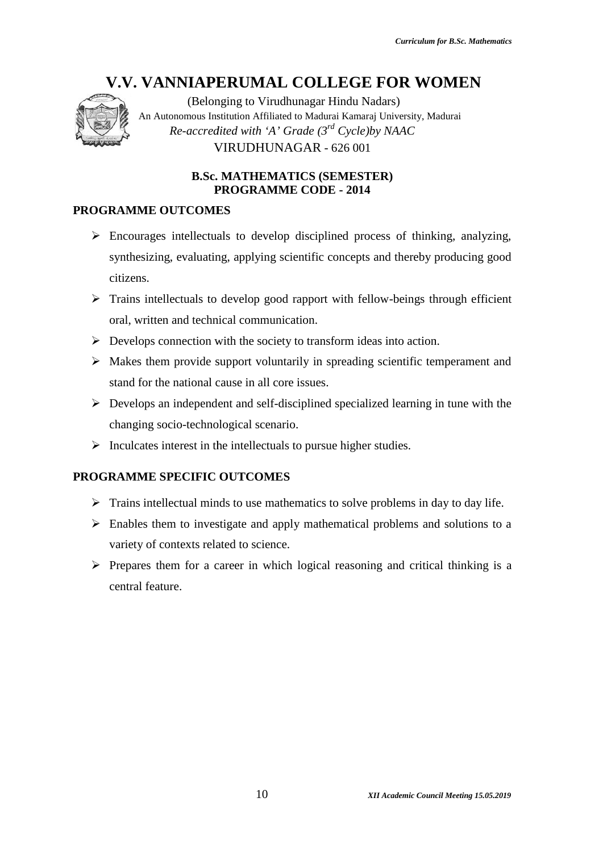

(Belonging to Virudhunagar Hindu Nadars) An Autonomous Institution Affiliated to Madurai Kamaraj University, Madurai  $Re\text{-}accredited\ with\ \text{'A'}\ Grade\ (3^{rd}\ Cycle)$ by NAAC VIRUDHUNAGAR - 626 001

# **B.Sc. MATHEMATICS (SEMESTER) PROGRAMME CODE - 2014 PROGRAMME**

### **PROGRAMME OUTCOMES**

- $\triangleright$  Encourages intellectuals to develop disciplined process of thinking, analyzing, Encourages intellectuals to develop disciplined process of thinking, analyzing,<br>synthesizing, evaluating, applying scientific concepts and thereby producing good citizens. **EXECUTE ANNOTIFY AND AVAIT COLLEGE FOR WOMEN (Belonging to Vindulunggar Hindu Nadars)**<br>An Autonomous Institution Affiliated to Madunik Kamaraj University, Madaria Re-accredited with 'A' Grade (3<sup>-d</sup> Cycle)by NAAC VIRUDHU
- $\triangleright$  Trains intellectuals to develop good rapport with fellow-beings through efficient oral, written and technical communication.
- $\triangleright$  Develops connection with the society to transform ideas into action.
- Makes them provide support voluntarily in spreading scientific temperament and stand for the national cause in all core issues. provide support voluntarily in spreading scientific temperament and<br>national cause in all core issues.
- $\triangleright$  Develops an independent and self-disciplined specialized learning in tune with the changing socio-technological scenario.
- $\triangleright$  Inculcates interest in the intellectuals to pursue higher studies.

# **PROGRAMME SPECIFIC OUTCOMES SPECIFIC OUTCOMES**

- $\triangleright$  Trains intellectual minds to use mathematics to solve problems in day to day life.
- $\triangleright$  Enables them to investigate and apply mathematical problems and solutions to a variety of contexts related to science.
- $\triangleright$  Prepares them for a career in which logical reasoning and critical thinking is a central feature.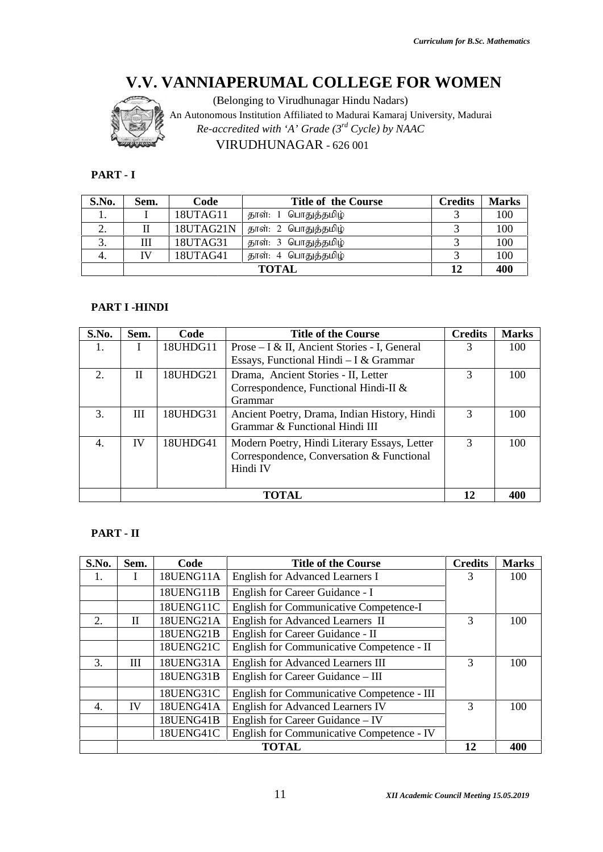

### **PART - I -**

| S.No. | Sem. | Code      | <b>Title of the Course</b> | <b>Credits</b> | <b>Marks</b> |
|-------|------|-----------|----------------------------|----------------|--------------|
|       |      | 18UTAG11  | தாள்: 1 பொதுத்தமிழ்        |                | 100          |
| ۷.    |      | 18UTAG21N | தாள்: 2 பொதுத்தமிழ்        |                | 100          |
| 3.    | Ш    | 18UTAG31  | தாள்: 3 பொதுத்தமிழ்        |                | 100          |
| 4.    | IV   | 18UTAG41  | தாள்: 4 பொதுத்தமிழ்        |                | 100          |
|       |      |           | <b>TOTAL</b>               | 12             | 400          |

#### **PART I -HINDI**

| S.No. | Sem.                  | Code     | <b>Title of the Course</b>                                                                            | <b>Credits</b> | <b>Marks</b> |
|-------|-----------------------|----------|-------------------------------------------------------------------------------------------------------|----------------|--------------|
| 1.    | I                     | 18UTAG11 | தாள்: 1 பொதுத்தமிழ்                                                                                   | 3              | 100          |
| 2.    | $\mathbf{I}$          |          | 18UTAG21N<br>தாள்: 2 பொதுத்தமிழ்                                                                      |                | 100          |
| 3.    | III                   | 18UTAG31 | தாள்: 3 பொதுத்தமிழ்                                                                                   | 3              | 100          |
| 4.    | IV                    | 18UTAG41 | தாள்: 4 பொதுத்தமிழ்                                                                                   | 3              | 100          |
|       |                       |          | <b>TOTAL</b>                                                                                          | 12             | 400          |
| S.No. | PART I -HINDI<br>Sem. | Code     | <b>Title of the Course</b>                                                                            | <b>Credits</b> | <b>Marks</b> |
| 1.    | I                     | 18UHDG11 | Prose – I & II, Ancient Stories - I, General                                                          | 3              | 100          |
|       |                       |          | Essays, Functional Hindi - I & Grammar                                                                |                |              |
| 2.    | $\mathbf{I}$          | 18UHDG21 | Drama, Ancient Stories - II, Letter                                                                   | 3              | 100          |
|       |                       |          | Correspondence, Functional Hindi-II &<br>Grammar                                                      |                |              |
| 3.    | Ш                     | 18UHDG31 | Ancient Poetry, Drama, Indian History, Hindi<br>Grammar & Functional Hindi III                        | 3              | 100          |
| 4.    | IV                    | 18UHDG41 |                                                                                                       | 3              | 100          |
|       |                       |          | Modern Poetry, Hindi Literary Essays, Letter<br>Correspondence, Conversation & Functional<br>Hindi IV |                |              |
|       |                       |          | <b>TOTAL</b>                                                                                          | 12             | 400          |

#### **PART - II**

|         |                        |           | V.V. VANNIAPERUMAL COLLEGE FOR WOMEN                                                                  |                |              |
|---------|------------------------|-----------|-------------------------------------------------------------------------------------------------------|----------------|--------------|
|         |                        |           | (Belonging to Virudhunagar Hindu Nadars)                                                              |                |              |
|         |                        |           | An Autonomous Institution Affiliated to Madurai Kamaraj University, Madurai                           |                |              |
|         |                        |           | Re-accredited with 'A' Grade $(3^{rd}$ Cycle) by NAAC                                                 |                |              |
|         |                        |           | VIRUDHUNAGAR - 626 001                                                                                |                |              |
| PART-I  |                        |           |                                                                                                       |                |              |
| S.No.   | Sem.                   | Code      | <b>Title of the Course</b>                                                                            | <b>Credits</b> | <b>Marks</b> |
| 1.      | I                      | 18UTAG11  | தாள்: 1 பொதுத்தமிழ்                                                                                   | 3              | 100          |
| 2.      | $\mathop{\mathrm{II}}$ | 18UTAG21N | தாள்: 2 பொதுத்தமிழ்                                                                                   | 3              | 100          |
| 3.      | $\mathop{\rm III}$     | 18UTAG31  | தாள்: 3 பொதுத்தமிழ்                                                                                   | 3              | 100          |
| 4.      | IV                     | 18UTAG41  | தாள்: 4 பொதுத்தமிழ்                                                                                   | 3              | 100          |
|         |                        |           | <b>TOTAL</b>                                                                                          | 12             | 400          |
|         |                        |           |                                                                                                       |                |              |
|         | PART I-HINDI           |           |                                                                                                       |                |              |
| S.No.   | Sem.                   | Code      | <b>Title of the Course</b>                                                                            | <b>Credits</b> | <b>Marks</b> |
| 1.      | I                      | 18UHDG11  | Prose – I & II, Ancient Stories - I, General<br>Essays, Functional Hindi - I & Grammar                | 3              | 100          |
| 2.      | $\mathbf{I}$           | 18UHDG21  | Drama, Ancient Stories - II, Letter                                                                   | 3              | 100          |
|         |                        |           | Correspondence, Functional Hindi-II &                                                                 |                |              |
|         |                        |           | Grammar                                                                                               |                |              |
| 3.      | III                    | 18UHDG31  | Ancient Poetry, Drama, Indian History, Hindi<br>Grammar & Functional Hindi III                        | $\overline{3}$ | 100          |
| 4.      | IV                     | 18UHDG41  | Modern Poetry, Hindi Literary Essays, Letter<br>Correspondence, Conversation & Functional<br>Hindi IV | $\overline{3}$ | 100          |
|         |                        |           | <b>TOTAL</b>                                                                                          | 12             | 400          |
|         |                        |           |                                                                                                       |                |              |
| PART-II |                        |           |                                                                                                       |                |              |
| S.No.   | Sem.                   | Code      | <b>Title of the Course</b>                                                                            | <b>Credits</b> | <b>Marks</b> |
| 1.      | I                      | 18UENG11A | <b>English for Advanced Learners I</b>                                                                | 3              | 100          |
|         |                        | 18UENG11B | English for Career Guidance - I                                                                       |                |              |
|         |                        | 18UENG11C | English for Communicative Competence-I                                                                |                |              |
| 2.      | $\mathbf{I}$           | 18UENG21A | English for Advanced Learners II                                                                      | 3              | 100          |
|         |                        | 18UENG21B | English for Career Guidance - II                                                                      |                |              |
|         |                        | 18UENG21C | English for Communicative Competence - II                                                             |                |              |
| 3.      | III                    | 18UENG31A | <b>English for Advanced Learners III</b>                                                              | 3              | 100          |
|         |                        | 18UENG31B | English for Career Guidance - III                                                                     |                |              |
|         |                        |           |                                                                                                       |                |              |
|         |                        | 18UENG31C | English for Communicative Competence - III                                                            |                |              |
| 4.      | IV                     | 18UENG41A | <b>English for Advanced Learners IV</b>                                                               | 3              | 100          |
|         |                        | 18UENG41B | English for Career Guidance - IV                                                                      |                |              |
|         |                        | 18UENG41C | English for Communicative Competence - IV                                                             |                |              |
|         |                        |           | <b>TOTAL</b>                                                                                          | 12             | 400          |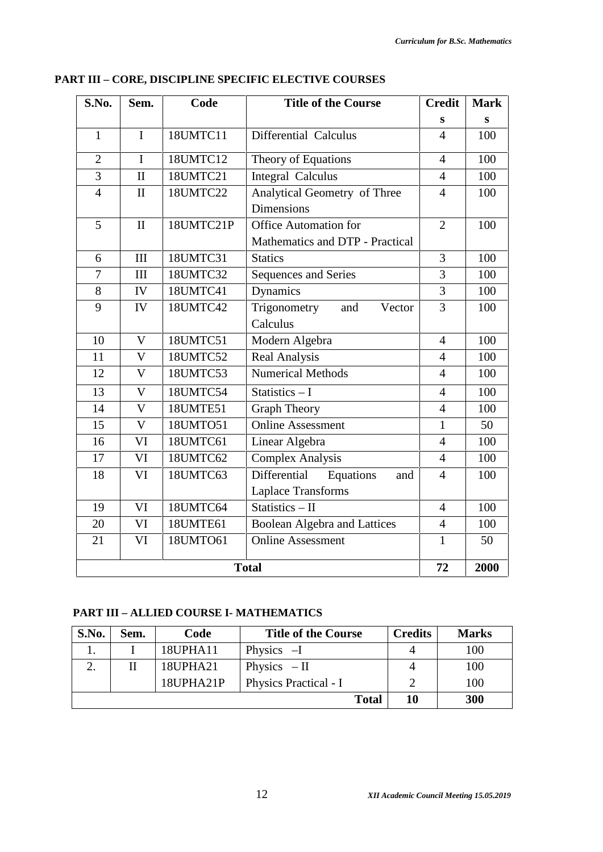| S.No.          | Sem.         | Code      | <b>Title of the Course</b>                               | <b>Credit</b>  | <b>Mark</b> |
|----------------|--------------|-----------|----------------------------------------------------------|----------------|-------------|
|                |              |           |                                                          | S              | S           |
| $\mathbf{1}$   | $\mathbf I$  | 18UMTC11  | Differential Calculus                                    | $\overline{4}$ | 100         |
| $\overline{2}$ | $\mathbf I$  | 18UMTC12  | Theory of Equations                                      | $\overline{4}$ | 100         |
| 3              | $\mathbf{I}$ | 18UMTC21  | <b>Integral Calculus</b>                                 | $\overline{4}$ | 100         |
| $\overline{4}$ | $\mathbf{I}$ | 18UMTC22  | Analytical Geometry of Three<br><b>Dimensions</b>        | $\overline{4}$ | 100         |
| 5              | $\rm II$     | 18UMTC21P | Office Automation for<br>Mathematics and DTP - Practical | $\overline{2}$ | 100         |
| 6              | III          | 18UMTC31  | <b>Statics</b>                                           | 3              | 100         |
| $\overline{7}$ | III          | 18UMTC32  | Sequences and Series                                     | 3              | 100         |
| 8              | IV           | 18UMTC41  | <b>Dynamics</b>                                          | 3              | 100         |
| 9              | IV           | 18UMTC42  | Trigonometry<br>Vector<br>and<br>Calculus                | 3              | 100         |
| 10             | $\mathbf V$  | 18UMTC51  | Modern Algebra                                           | $\overline{4}$ | 100         |
| 11             | $\mathbf{V}$ | 18UMTC52  | <b>Real Analysis</b>                                     | $\overline{4}$ | 100         |
| 12             | V            | 18UMTC53  | <b>Numerical Methods</b>                                 | $\overline{4}$ | 100         |
| 13             | V            | 18UMTC54  | Statistics $-1$                                          | $\overline{4}$ | 100         |
| 14             | $\mathbf{V}$ | 18UMTE51  | <b>Graph Theory</b>                                      | $\overline{4}$ | 100         |
| 15             | V            | 18UMTO51  | <b>Online Assessment</b>                                 | 1              | 50          |
| 16             | VI           | 18UMTC61  | Linear Algebra                                           | $\overline{4}$ | 100         |
| 17             | VI           | 18UMTC62  | <b>Complex Analysis</b>                                  | $\overline{4}$ | 100         |
| 18             | VI           | 18UMTC63  | Differential<br>Equations<br>and<br>Laplace Transforms   | $\overline{4}$ | 100         |
| 19             | VI           | 18UMTC64  | Statistics - II                                          | $\overline{4}$ | 100         |
| 20             | VI           | 18UMTE61  | <b>Boolean Algebra and Lattices</b>                      | $\overline{4}$ | 100         |
| 21             | VI           | 18UMTO61  | <b>Online Assessment</b>                                 | $\mathbf{1}$   | 50          |
|                |              |           | <b>Total</b>                                             | 72             | 2000        |

# **PART III – CORE, DISCIPLINE SPECIFIC ELECTIVE COURSES**

# **PART III – ALLIED COURSE I- MATHEMATICS**

| S.No. | Sem. | Code      | <b>Title of the Course</b> | <b>Credits</b> | <b>Marks</b> |
|-------|------|-----------|----------------------------|----------------|--------------|
|       |      | 18UPHA11  | Physics $-I$               |                | 100          |
|       |      | 18UPHA21  | Physics $-II$              |                | 100          |
|       |      | 18UPHA21P | Physics Practical - I      |                | 100          |
|       |      |           | <b>Total</b>               | 10             | <b>300</b>   |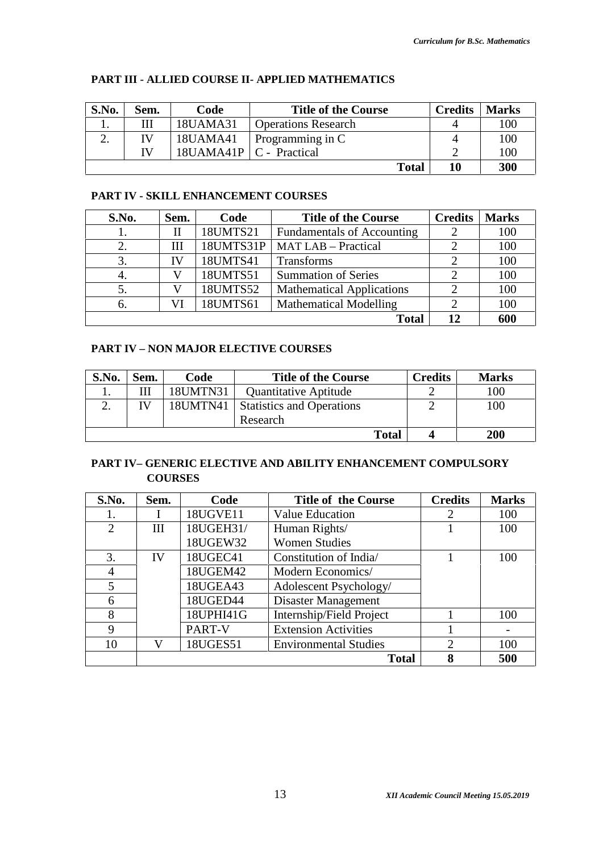**Total 10 300**

| S.No. | Sem. | Code                      | <b>Title of the Course</b> | <b>Credits</b> | <b>Marks</b> |
|-------|------|---------------------------|----------------------------|----------------|--------------|
|       |      | 18UAMA31                  | <b>Operations Research</b> |                | 100          |
|       | TV   | 18UAMA41                  | Programming in C           |                | 100          |
|       | TV   | 18UAMA41P   C - Practical |                            |                | 100          |

#### **PART III - ALLIED COURSE II- APPLIED MATHEMATICS**

# **PART IV - SKILL ENHANCEMENT COURSES**

| S.No. | Sem. | Code      | <b>Title of the Course</b>        | <b>Credits</b> | <b>Marks</b> |
|-------|------|-----------|-----------------------------------|----------------|--------------|
|       | Н    | 18UMTS21  | <b>Fundamentals of Accounting</b> |                | 100          |
|       | Ш    | 18UMTS31P | <b>MAT LAB - Practical</b>        | 2              | 100          |
| 3.    | IV   | 18UMTS41  | <b>Transforms</b>                 | 2              | 100          |
| 4.    |      | 18UMTS51  | <b>Summation of Series</b>        |                | 100          |
|       |      | 18UMTS52  | <b>Mathematical Applications</b>  | $\mathcal{D}$  | 100          |
| 6.    |      | 18UMTS61  | <b>Mathematical Modelling</b>     | $\overline{2}$ | 100          |
|       |      |           | <b>Total</b>                      | 12             | 600          |

#### **PART IV – NON MAJOR ELECTIVE COURSES**

| S.No. | Sem. | Code     | <b>Title of the Course</b>       | <b>Credits</b> | <b>Marks</b> |
|-------|------|----------|----------------------------------|----------------|--------------|
|       | Ш    | 18UMTN31 | <b>Quantitative Aptitude</b>     |                | 100          |
|       | IV   | 18UMTN41 | <b>Statistics and Operations</b> |                | 100          |
|       |      |          | Research                         |                |              |
|       |      |          | <b>Total</b>                     |                | 200          |

### **PART IV– GENERIC ELECTIVE AND ABILITY ENHANCEMENT COMPULSORY COURSES**

| S.No.          | Sem. | Code      | <b>Title of the Course</b>   | <b>Credits</b>              | <b>Marks</b>             |
|----------------|------|-----------|------------------------------|-----------------------------|--------------------------|
|                |      | 18UGVE11  | Value Education              | ∍                           | 100                      |
| $\overline{2}$ | III  | 18UGEH31/ | Human Rights/                |                             | 100                      |
|                |      | 18UGEW32  | <b>Women Studies</b>         |                             |                          |
| 3.             | IV   | 18UGEC41  | Constitution of India        |                             | 100                      |
| 4              |      | 18UGEM42  | Modern Economics/            |                             |                          |
| 5              |      | 18UGEA43  | Adolescent Psychology/       |                             |                          |
| 6              |      | 18UGED44  | Disaster Management          |                             |                          |
| 8              |      | 18UPHI41G | Internship/Field Project     |                             | 100                      |
| 9              |      | PART-V    | <b>Extension Activities</b>  |                             | $\overline{\phantom{m}}$ |
| 10             | V    | 18UGES51  | <b>Environmental Studies</b> | $\mathcal{D}_{\mathcal{L}}$ | 100                      |
|                |      |           | <b>Total</b>                 | 8                           | 500                      |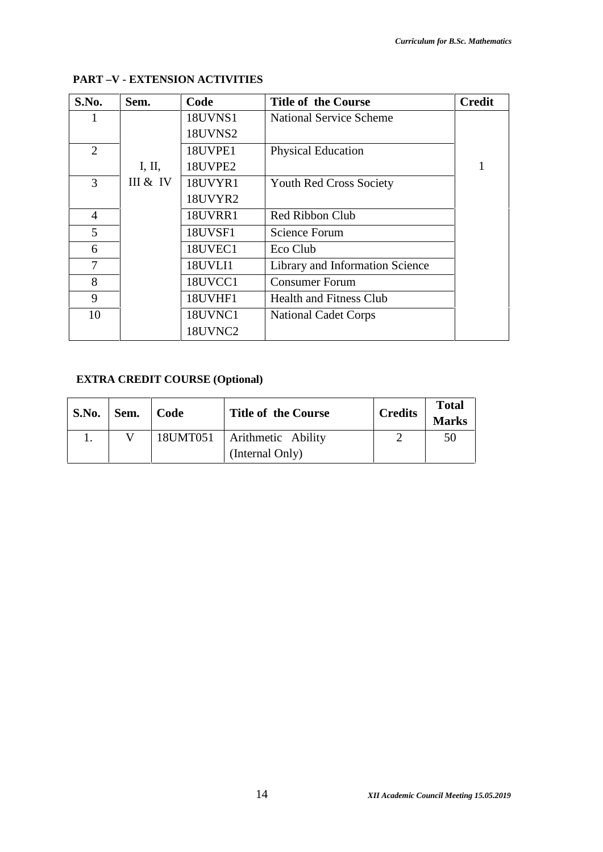| S.No.          | Sem.     | Code           | <b>Title of the Course</b>      | <b>Credit</b> |
|----------------|----------|----------------|---------------------------------|---------------|
|                |          | <b>18UVNS1</b> | <b>National Service Scheme</b>  |               |
|                |          | 18UVNS2        |                                 |               |
| $\overline{2}$ |          | 18UVPE1        | <b>Physical Education</b>       |               |
|                | I, II,   | 18UVPE2        |                                 | 1             |
| 3              | III & IV | 18UVYR1        | <b>Youth Red Cross Society</b>  |               |
|                |          | 18UVYR2        |                                 |               |
| $\overline{4}$ |          | 18UVRR1        | Red Ribbon Club                 |               |
| 5              |          | 18UVSF1        | <b>Science Forum</b>            |               |
| 6              |          | 18UVEC1        | Eco Club                        |               |
| 7              |          | 18UVLI1        | Library and Information Science |               |
| 8              |          | 18UVCC1        | <b>Consumer Forum</b>           |               |
| 9              |          | 18UVHF1        | Health and Fitness Club         |               |
| 10             |          | 18UVNC1        | <b>National Cadet Corps</b>     |               |
|                |          | 18UVNC2        |                                 |               |

## **PART –V - EXTENSION ACTIVITIES**

# **EXTRA CREDIT COURSE (Optional)**

| <b>S.No.</b> | Sem. | Code     | <b>Title of the Course</b> | <b>Credits</b> | <b>Total</b><br><b>Marks</b> |
|--------------|------|----------|----------------------------|----------------|------------------------------|
|              |      | 18UMT051 | Arithmetic Ability         |                | 50                           |
|              |      |          | (Internal Only)            |                |                              |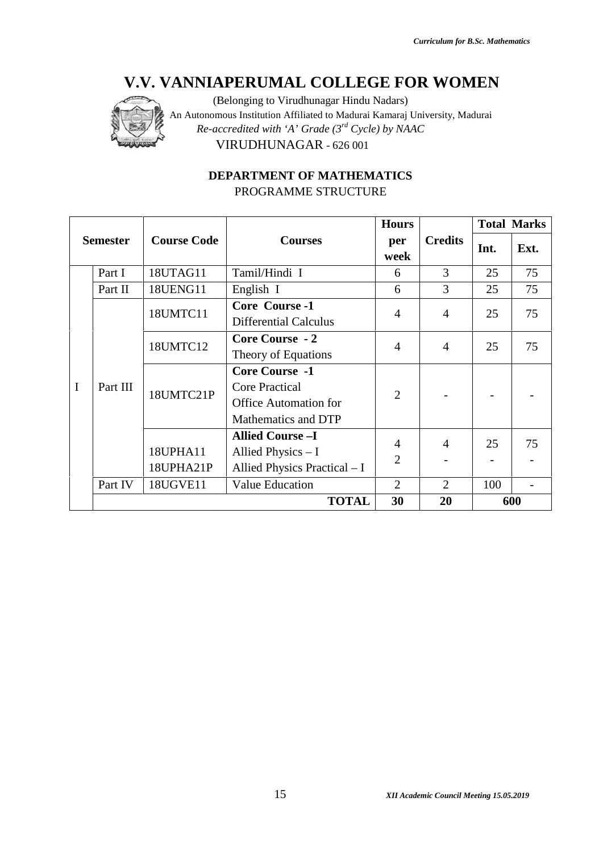

# **DEPARTMENT OF MATHEMATICS** PROGRAMME STRUCTURE PROGRAMME

|                 |          |                       | V.V. VANNIAPERUMAL COLLEGE FOR WOMEN<br>(Belonging to Virudhunagar Hindu Nadars)<br>An Autonomous Institution Affiliated to Madurai Kamaraj University, Madurai<br>Re-accredited with 'A' Grade $(3^{rd}$ Cycle) by NAAC<br>VIRUDHUNAGAR - 626 001<br><b>DEPARTMENT OF MATHEMATICS</b> |                                  |                |      |                    |
|-----------------|----------|-----------------------|----------------------------------------------------------------------------------------------------------------------------------------------------------------------------------------------------------------------------------------------------------------------------------------|----------------------------------|----------------|------|--------------------|
|                 |          |                       | PROGRAMME STRUCTURE                                                                                                                                                                                                                                                                    | <b>Hours</b>                     |                |      | <b>Total Marks</b> |
| <b>Semester</b> |          | <b>Course Code</b>    | <b>Courses</b>                                                                                                                                                                                                                                                                         | per<br>week                      | <b>Credits</b> | Int. | Ext.               |
|                 | Part I   | 18UTAG11              | Tamil/Hindi I                                                                                                                                                                                                                                                                          | 6                                | $\overline{3}$ | 25   | 75                 |
|                 | Part II  | 18UENG11              | English I                                                                                                                                                                                                                                                                              | 6                                | $\overline{3}$ | 25   | 75                 |
|                 |          | 18UMTC11              | <b>Core Course -1</b><br><b>Differential Calculus</b>                                                                                                                                                                                                                                  | 4                                | 4              | 25   | 75                 |
|                 |          | 18UMTC12              | <b>Core Course - 2</b><br>Theory of Equations                                                                                                                                                                                                                                          | 4                                | $\overline{4}$ | 25   | 75                 |
| $\mathbf{I}$    | Part III | 18UMTC21P             | <b>Core Course -1</b><br><b>Core Practical</b><br><b>Office Automation for</b><br>Mathematics and DTP                                                                                                                                                                                  | $\overline{2}$                   |                |      |                    |
|                 |          | 18UPHA11<br>18UPHA21P | <b>Allied Course -I</b><br>Allied Physics - I<br>Allied Physics Practical - I                                                                                                                                                                                                          | $\overline{4}$<br>$\overline{2}$ | 4              | 25   | 75                 |
|                 | Part IV  | <b>18UGVE11</b>       | <b>Value Education</b>                                                                                                                                                                                                                                                                 | $\overline{2}$                   | $\overline{2}$ | 100  | $\overline{a}$     |
|                 |          |                       | <b>TOTAL</b>                                                                                                                                                                                                                                                                           | 30                               | 20             |      | 600                |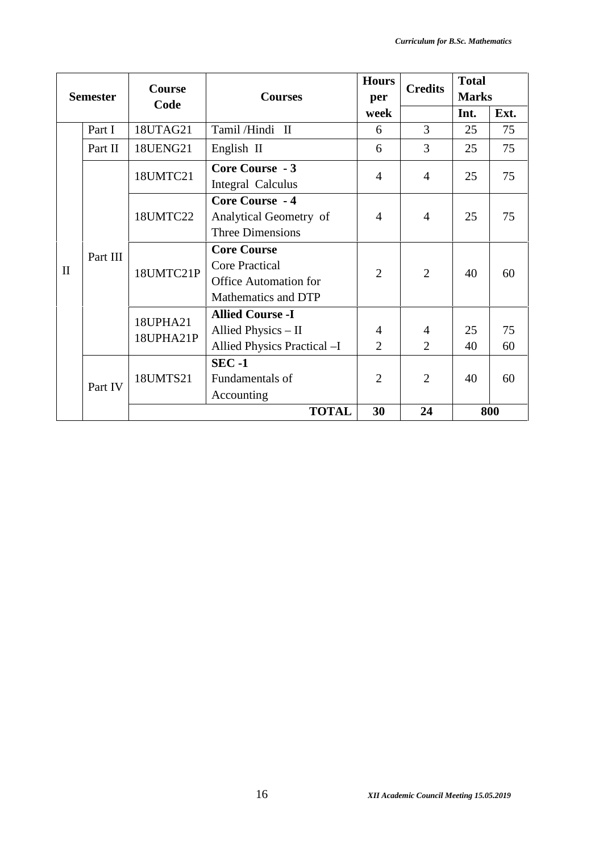|              |                 |                       |                                                                                                    | <b>Hours</b>        | <b>Credits</b>      | <b>Total</b> |          |
|--------------|-----------------|-----------------------|----------------------------------------------------------------------------------------------------|---------------------|---------------------|--------------|----------|
|              | <b>Semester</b> | Course                | <b>Courses</b>                                                                                     | per                 |                     | <b>Marks</b> |          |
|              |                 | Code                  |                                                                                                    | week                |                     | Int.         | Ext.     |
|              | Part I          | 18UTAG21              | Tamil/Hindi II                                                                                     | 6                   | 3                   | 25           | 75       |
|              | Part II         | 18UENG21              | English II                                                                                         | 6                   | 3                   | 25           | 75       |
|              |                 | 18UMTC21              | Core Course - 3<br><b>Integral Calculus</b>                                                        | $\overline{4}$      | $\overline{4}$      | 25           | 75       |
| $\mathbf{I}$ |                 | 18UMTC22              | Core Course - 4<br>Analytical Geometry of<br>Three Dimensions                                      | 4                   | $\overline{4}$      | 25           | 75       |
|              | Part III        | 18UMTC21P             | <b>Core Course</b><br><b>Core Practical</b><br><b>Office Automation for</b><br>Mathematics and DTP | $\overline{2}$      | 2                   | 40           | 60       |
|              |                 | 18UPHA21<br>18UPHA21P | <b>Allied Course -I</b><br>Allied Physics - II<br>Allied Physics Practical -I                      | 4<br>$\overline{2}$ | 4<br>$\overline{2}$ | 25<br>40     | 75<br>60 |
|              | Part IV         | 18UMTS21              | $SEC -1$<br>Fundamentals of<br>Accounting                                                          | $\overline{2}$      | $\overline{2}$      | 40           | 60       |
|              |                 |                       | <b>TOTAL</b>                                                                                       | 30                  | 24                  |              | 800      |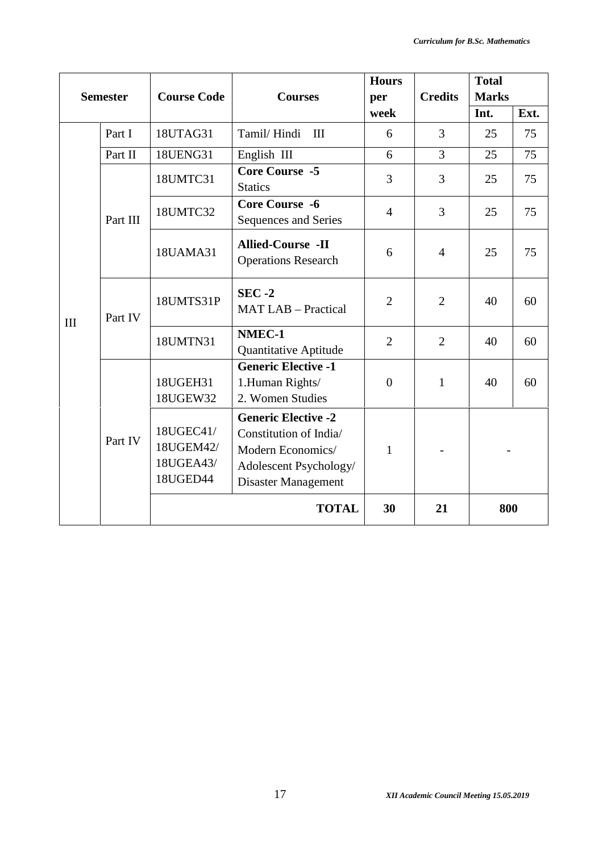| <b>Semester</b> |          | <b>Course Code</b>                              | <b>Courses</b>                                                                                                                    | <b>Hours</b><br>per | <b>Credits</b> | <b>Total</b><br><b>Marks</b> |      |
|-----------------|----------|-------------------------------------------------|-----------------------------------------------------------------------------------------------------------------------------------|---------------------|----------------|------------------------------|------|
|                 |          |                                                 |                                                                                                                                   | week                |                | Int.                         | Ext. |
|                 | Part I   | 18UTAG31                                        | Tamil/Hindi<br>III                                                                                                                | 6                   | 3              | 25                           | 75   |
|                 | Part II  | 18UENG31                                        | English III                                                                                                                       | 6                   | $\overline{3}$ | 25                           | 75   |
|                 |          | 18UMTC31                                        | <b>Core Course -5</b><br><b>Statics</b>                                                                                           | $\overline{3}$      | 3              | 25                           | 75   |
|                 | Part III | 18UMTC32                                        | <b>Core Course -6</b><br>Sequences and Series                                                                                     | $\overline{4}$      | $\overline{3}$ | 25                           | 75   |
|                 |          | 18UAMA31                                        | <b>Allied-Course -II</b><br><b>Operations Research</b>                                                                            | 6                   | $\overline{4}$ | 25                           | 75   |
|                 | Part IV  | 18UMTS31P                                       | $SEC -2$<br><b>MAT LAB - Practical</b>                                                                                            | $\overline{2}$      | $\overline{2}$ | 40                           | 60   |
| III             |          | 18UMTN31                                        | NMEC-1<br><b>Quantitative Aptitude</b>                                                                                            | $\overline{2}$      | $\overline{2}$ | 40                           | 60   |
|                 |          | 18UGEH31<br>18UGEW32                            | <b>Generic Elective -1</b><br>1.Human Rights/<br>2. Women Studies                                                                 | $\overline{0}$      | $\mathbf{1}$   | 40                           | 60   |
|                 | Part IV  | 18UGEC41/<br>18UGEM42/<br>18UGEA43/<br>18UGED44 | <b>Generic Elective -2</b><br>Constitution of India/<br>Modern Economics/<br>Adolescent Psychology/<br><b>Disaster Management</b> | $\mathbf{1}$        |                |                              |      |
|                 |          |                                                 | <b>TOTAL</b>                                                                                                                      | 30                  | 21             |                              | 800  |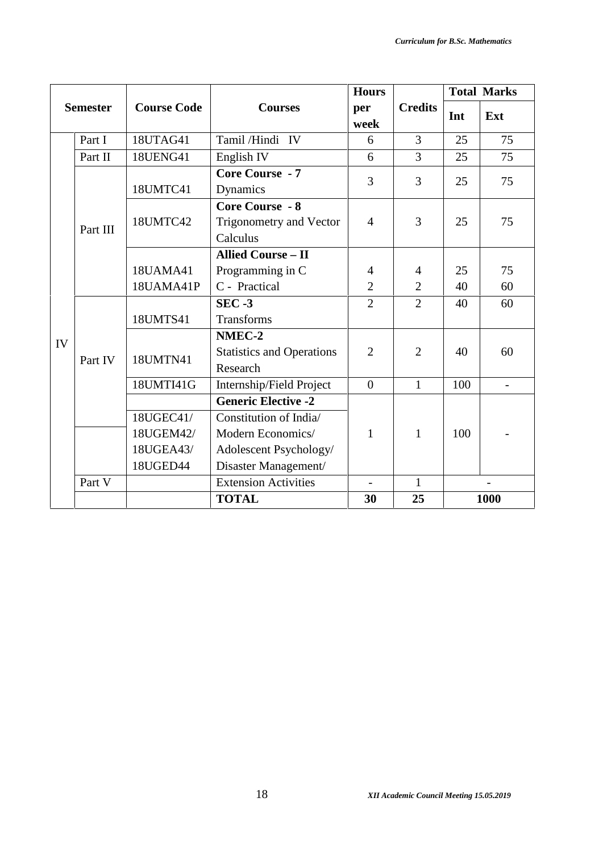|    |                 | <b>Course Code</b> |                                  | <b>Hours</b>   |                | <b>Total Marks</b> |                          |
|----|-----------------|--------------------|----------------------------------|----------------|----------------|--------------------|--------------------------|
|    | <b>Semester</b> |                    | <b>Courses</b>                   | per<br>week    | <b>Credits</b> | Int                | Ext                      |
|    | Part I          | 18UTAG41           | Tamil/Hindi IV                   | 6              | 3              | 25                 | 75                       |
|    | Part II         | <b>18UENG41</b>    | English IV                       | 6              | 3              | 25                 | 75                       |
|    |                 |                    | <b>Core Course - 7</b>           | 3              | 3              |                    | 75                       |
|    |                 | 18UMTC41           | Dynamics                         |                |                | 25                 |                          |
|    |                 |                    | <b>Core Course - 8</b>           |                |                |                    |                          |
|    | Part III        | 18UMTC42           | <b>Trigonometry and Vector</b>   | $\overline{4}$ | 3              | 25                 | 75                       |
|    |                 |                    | Calculus                         |                |                |                    |                          |
|    |                 |                    | <b>Allied Course - II</b>        |                |                |                    |                          |
|    |                 | 18UAMA41           | Programming in C                 | 4              | 4              | 25                 | 75                       |
|    |                 | 18UAMA41P          | C - Practical                    | $\overline{2}$ | $\overline{2}$ | 40                 | 60                       |
|    |                 |                    | $SEC -3$                         | $\overline{2}$ | $\overline{2}$ | 40                 | 60                       |
|    |                 | 18UMTS41           | <b>Transforms</b>                |                |                |                    |                          |
| IV |                 |                    | NMEC-2                           |                |                |                    |                          |
|    | Part IV         | 18UMTN41           | <b>Statistics and Operations</b> | $\overline{2}$ | $\overline{2}$ | 40                 | 60                       |
|    |                 |                    | Research                         |                |                |                    |                          |
|    |                 | 18UMTI41G          | Internship/Field Project         | $\overline{0}$ | $\mathbf{1}$   | 100                | $\overline{\phantom{a}}$ |
|    |                 |                    | <b>Generic Elective -2</b>       |                |                |                    |                          |
|    |                 | 18UGEC41/          | Constitution of India/           |                |                |                    |                          |
|    |                 | 18UGEM42/          | Modern Economics/                | $\mathbf{1}$   | $\mathbf{1}$   | 100                |                          |
|    |                 | 18UGEA43/          | Adolescent Psychology/           |                |                |                    |                          |
|    |                 | 18UGED44           | Disaster Management/             |                |                |                    |                          |
|    | Part V          |                    | <b>Extension Activities</b>      | $\blacksquare$ | $\mathbf{1}$   |                    |                          |
|    |                 |                    | <b>TOTAL</b>                     | 30             | 25             |                    | 1000                     |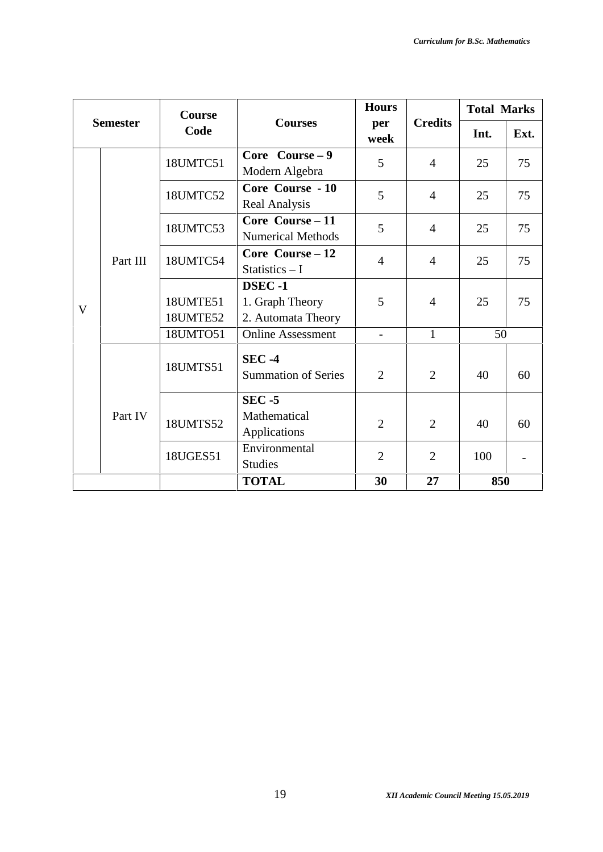|              |                 | Course               |                                                 | <b>Hours</b>             |                | <b>Total Marks</b> |                          |
|--------------|-----------------|----------------------|-------------------------------------------------|--------------------------|----------------|--------------------|--------------------------|
|              | <b>Semester</b> | Code                 | <b>Courses</b>                                  | per<br>week              | <b>Credits</b> | Int.               | Ext.                     |
|              |                 | 18UMTC51             | Core Course $-9$<br>Modern Algebra              | 5                        | $\overline{4}$ | 25                 | 75                       |
|              |                 | 18UMTC52             | Core Course - 10<br><b>Real Analysis</b>        | 5                        | $\overline{4}$ | 25                 | 75                       |
|              |                 | 18UMTC53             | Core Course - 11<br><b>Numerical Methods</b>    | 5                        | $\overline{4}$ | 25                 | 75                       |
|              | Part III        | 18UMTC54             | Core Course - 12<br>Statistics $-1$             | $\overline{4}$           | $\overline{4}$ | 25                 | 75                       |
| $\mathbf{V}$ |                 | 18UMTE51<br>18UMTE52 | DSEC-1<br>1. Graph Theory<br>2. Automata Theory | 5                        | $\overline{4}$ | 25                 | 75                       |
|              |                 | 18UMTO51             | <b>Online Assessment</b>                        | $\overline{\phantom{a}}$ | $\mathbf{1}$   | 50                 |                          |
|              |                 | 18UMTS51             | <b>SEC -4</b><br><b>Summation of Series</b>     | $\overline{2}$           | $\overline{2}$ | 40                 | 60                       |
|              | Part IV         | 18UMTS52             | $SEC - 5$<br>Mathematical<br>Applications       | $\overline{2}$           | $\overline{2}$ | 40                 | 60                       |
|              |                 | 18UGES51             | Environmental<br><b>Studies</b>                 | $\overline{2}$           | $\overline{2}$ | 100                | $\overline{\phantom{0}}$ |
|              |                 |                      | <b>TOTAL</b>                                    | 30                       | 27             | 850                |                          |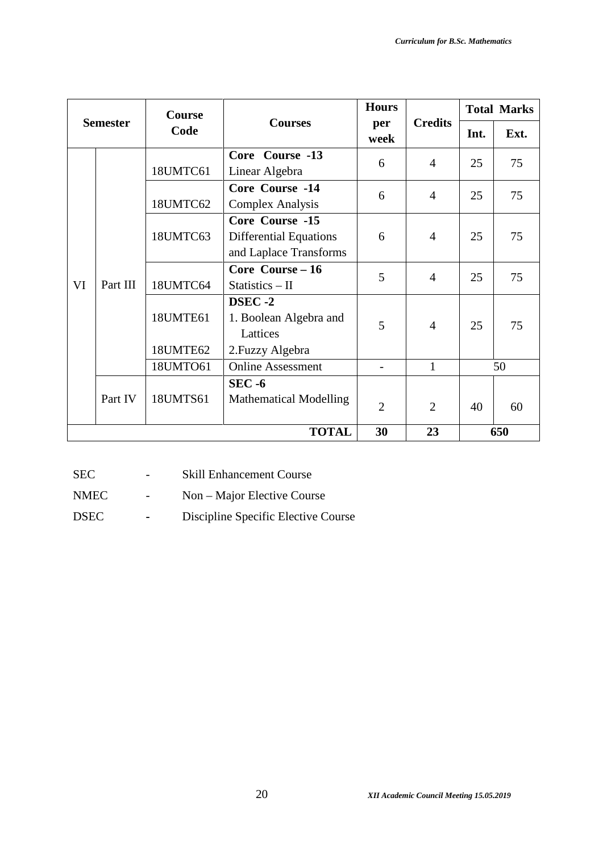|    |                 | Course                                                 |                                                                            | <b>Hours</b>             |                | <b>Total Marks</b> |      |
|----|-----------------|--------------------------------------------------------|----------------------------------------------------------------------------|--------------------------|----------------|--------------------|------|
|    | <b>Semester</b> | Code                                                   | <b>Courses</b>                                                             | per<br>week              | <b>Credits</b> | Int.               | Ext. |
|    |                 | 18UMTC61                                               | Core Course -13<br>Linear Algebra                                          | 6                        | $\overline{4}$ | 25                 | 75   |
|    |                 | 18UMTC62                                               | Core Course -14<br><b>Complex Analysis</b>                                 | 6                        | $\overline{4}$ | 25                 | 75   |
| VI |                 | 18UMTC63                                               | Core Course -15<br><b>Differential Equations</b><br>and Laplace Transforms | 6                        | $\overline{4}$ | 25                 | 75   |
|    | Part III        | Core Course - 16<br>5<br>18UMTC64<br>Statistics $-$ II | $\overline{4}$                                                             | 25                       | 75             |                    |      |
|    |                 | 18UMTE61<br>18UMTE62                                   | DSEC-2<br>1. Boolean Algebra and<br>Lattices<br>2. Fuzzy Algebra           | 5                        | $\overline{4}$ | 25                 | 75   |
|    |                 | 18UMTO61                                               | <b>Online Assessment</b>                                                   | $\overline{\phantom{0}}$ | $\mathbf{1}$   |                    | 50   |
|    | Part IV         | 18UMTS61                                               | $SEC - 6$<br><b>Mathematical Modelling</b>                                 | $\overline{2}$           | $\overline{2}$ | 40                 | 60   |
|    |                 |                                                        | <b>TOTAL</b>                                                               | 30                       | 23             |                    | 650  |

SEC - Skill Enhancement Course

NMEC - Non – Major Elective Course

DSEC **-** Discipline Specific Elective Course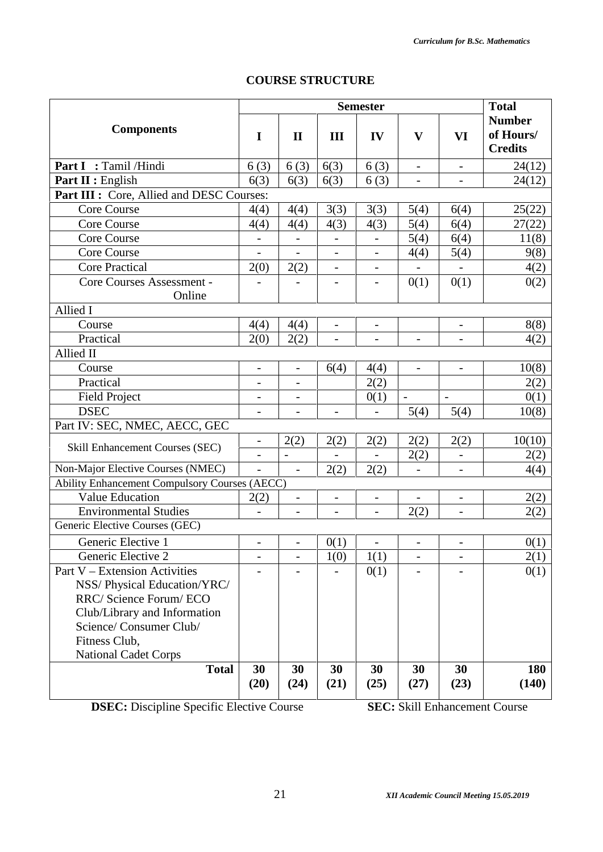# **COURSE STRUCTURE**

|                                               |                              |                          |                          | <b>Semester</b>          |                          |                          | <b>Total</b>                                 |
|-----------------------------------------------|------------------------------|--------------------------|--------------------------|--------------------------|--------------------------|--------------------------|----------------------------------------------|
| <b>Components</b>                             | I                            | $\mathbf{I}$             | III                      | IV                       | $\mathbf{V}$             | VI                       | <b>Number</b><br>of Hours/<br><b>Credits</b> |
| Part I : Tamil /Hindi                         | 6(3)                         | 6(3)                     | 6(3)                     | 6(3)                     | $\overline{\phantom{a}}$ | $\overline{\phantom{a}}$ | 24(12)                                       |
| Part II : English                             | 6(3)                         | 6(3)                     | 6(3)                     | 6(3)                     | $\overline{a}$           | $\overline{\phantom{0}}$ | 24(12)                                       |
| Part III : Core, Allied and DESC Courses:     |                              |                          |                          |                          |                          |                          |                                              |
| <b>Core Course</b>                            | 4(4)                         | 4(4)                     | 3(3)                     | 3(3)                     | 5(4)                     | 6(4)                     | 25(22)                                       |
| <b>Core Course</b>                            | 4(4)                         | 4(4)                     | 4(3)                     | 4(3)                     | 5(4)                     | 6(4)                     | 27(22)                                       |
| <b>Core Course</b>                            | $\qquad \qquad -$            |                          |                          | $\qquad \qquad -$        | 5(4)                     | 6(4)                     | 11(8)                                        |
| Core Course                                   |                              |                          |                          |                          | 4(4)                     | 5(4)                     | 9(8)                                         |
| <b>Core Practical</b>                         | 2(0)                         | 2(2)                     |                          | $\overline{\phantom{0}}$ |                          |                          | 4(2)                                         |
| Core Courses Assessment -                     |                              | $\overline{\phantom{0}}$ | -                        | $\qquad \qquad -$        | 0(1)                     | 0(1)                     | 0(2)                                         |
| Online                                        |                              |                          |                          |                          |                          |                          |                                              |
| Allied I                                      |                              |                          |                          |                          |                          |                          |                                              |
| Course                                        | 4(4)                         | 4(4)                     | $\qquad \qquad -$        | $\qquad \qquad -$        |                          | $\overline{\phantom{0}}$ | 8(8)                                         |
| Practical                                     | 2(0)                         | 2(2)                     | $\overline{\phantom{0}}$ | $\overline{\phantom{0}}$ | $\overline{\phantom{a}}$ | $\overline{\phantom{0}}$ | 4(2)                                         |
| Allied II                                     |                              |                          |                          |                          |                          |                          |                                              |
| Course                                        | $\overline{\phantom{0}}$     | $\overline{\phantom{a}}$ | 6(4)                     | 4(4)                     | $\frac{1}{2}$            | $\overline{\phantom{0}}$ | 10(8)                                        |
| Practical                                     | $\overline{\phantom{0}}$     | $\overline{\phantom{a}}$ |                          | 2(2)                     |                          |                          | 2(2)                                         |
| <b>Field Project</b>                          | $\qquad \qquad \blacksquare$ | $\overline{\phantom{a}}$ |                          | 0(1)                     | $\frac{1}{2}$            |                          | 0(1)                                         |
| <b>DSEC</b>                                   | $\overline{\phantom{0}}$     | $\overline{\phantom{0}}$ | $\overline{\phantom{0}}$ | $\overline{a}$           | 5(4)                     | 5(4)                     | 10(8)                                        |
| Part IV: SEC, NMEC, AECC, GEC                 |                              |                          |                          |                          |                          |                          |                                              |
|                                               | $\qquad \qquad -$            | 2(2)                     | 2(2)                     | 2(2)                     | 2(2)                     | 2(2)                     | 10(10)                                       |
| Skill Enhancement Courses (SEC)               | $\qquad \qquad -$            | $\overline{\phantom{a}}$ |                          |                          | 2(2)                     | $\overline{\phantom{0}}$ | 2(2)                                         |
| Non-Major Elective Courses (NMEC)             | $\overline{a}$               | $\overline{\phantom{a}}$ | 2(2)                     | 2(2)                     | $\overline{\phantom{a}}$ | $\overline{\phantom{0}}$ | 4(4)                                         |
| Ability Enhancement Compulsory Courses (AECC) |                              |                          |                          |                          |                          |                          |                                              |
| <b>Value Education</b>                        | 2(2)                         | $\qquad \qquad -$        | $\overline{\phantom{0}}$ | $\overline{\phantom{a}}$ | $\overline{\phantom{a}}$ | $\qquad \qquad -$        | 2(2)                                         |
| <b>Environmental Studies</b>                  | $\overline{\phantom{0}}$     | $\overline{\phantom{a}}$ | $\qquad \qquad -$        | $\overline{\phantom{0}}$ | 2(2)                     | $\qquad \qquad -$        | 2(2)                                         |
| Generic Elective Courses (GEC)                |                              |                          |                          |                          |                          |                          |                                              |
| Generic Elective 1                            | $\qquad \qquad \blacksquare$ | $\overline{\phantom{a}}$ | 0(1)                     | $\overline{\phantom{0}}$ | $\overline{\phantom{a}}$ | $\overline{\phantom{a}}$ | 0(1)                                         |
| Generic Elective 2                            |                              |                          | 1(0)                     | 1(1)                     |                          |                          | 2(1)                                         |
| Part V – Extension Activities                 |                              |                          |                          | 0(1)                     |                          |                          | 0(1)                                         |
| NSS/Physical Education/YRC/                   |                              |                          |                          |                          |                          |                          |                                              |
| RRC/ Science Forum/ ECO                       |                              |                          |                          |                          |                          |                          |                                              |
| Club/Library and Information                  |                              |                          |                          |                          |                          |                          |                                              |
| Science/Consumer Club/                        |                              |                          |                          |                          |                          |                          |                                              |
| Fitness Club,                                 |                              |                          |                          |                          |                          |                          |                                              |
| <b>National Cadet Corps</b>                   |                              |                          |                          |                          |                          |                          |                                              |
| <b>Total</b>                                  | 30                           | 30                       | 30                       | 30                       | 30                       | 30                       | 180                                          |
|                                               | (20)                         | (24)                     | (21)                     | (25)                     | (27)                     | (23)                     | (140)                                        |

**DSEC:** Discipline Specific Elective Course **SEC:** Skill Enhancement Course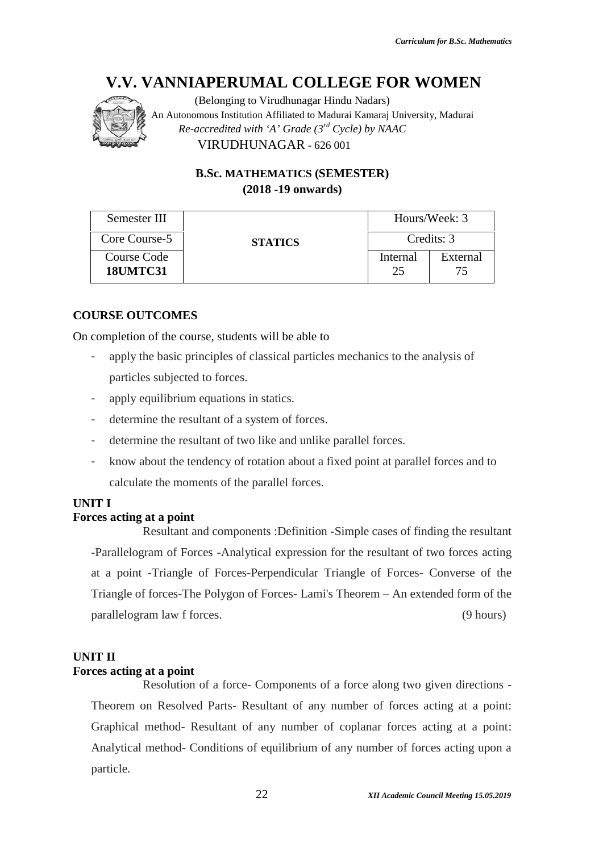

(Belonging to Virudhunagar Hindu Nadars) An Autonomous Institution Affiliated to Madurai Kamaraj University, Madurai An to *Re-accredited with 'A' Grade (3rd Cycle) by NAAC with* VIRUDHUNAGAR - 626 001

> **B.Sc. MATHEMATICS (SEMESTER) (2018 -19 onwards)**

| Semester III                   |                                                                                |                | Hours/Week: 3  |  |  |
|--------------------------------|--------------------------------------------------------------------------------|----------------|----------------|--|--|
| Core Course-5                  | <b>STATICS</b>                                                                 |                | Credits: 3     |  |  |
| Course Code<br><b>18UMTC31</b> |                                                                                | Internal<br>25 | External<br>75 |  |  |
|                                |                                                                                |                |                |  |  |
| <b>URSE OUTCOMES</b>           |                                                                                |                |                |  |  |
|                                | completion of the course, students will be able to                             |                |                |  |  |
|                                | apply the basic principles of classical particles mechanics to the analysis of |                |                |  |  |
| particles subjected to forces. |                                                                                |                |                |  |  |

### **COURSE OUTCOMES**

On completion of the course, students will be able to

- apply the basic principles of classical particles mechanics to the analysis of particles subjected to forces.
- apply equilibrium equations in statics.
- determine the resultant of a system of forces.
- determine the resultant of two like and unlike parallel forces.
- know about the tendency of rotation about a fixed point at parallel forces and to calculate the moments of the parallel forces.

#### **UNIT I**

# **Forces acting at a point**

Resultant and components :Definition -Simple cases of finding the resultant -Parallelogram of Forces -Analytical expression for the resultant of two forces acting at a point -Triangle of Forces-Perpendicular Triangle of Forces- Converse of the Triangle of forces-The Polygon of Forces- Lami's Theorem – An extended form of the parallelogram law f forces. (9 hours) determine the resultant of a system of forces.<br>determine the resultant of two like and unlike parallel forces.<br>know about the tendency of rotation about a fixed point at parallel forces and to<br>calculate the moments of the **EXAMINAPERUMAL COLLEGE FOR WOMEN (Belonging to Virushmanger Hindu Nudari)**<br>
(Belonging to Virushmanger Hindu Nudari)<br>
(Belonging to Virushmanger Hindu Nudari)<br>
Resolvent Softer a Croise ( $\frac{1}{2}$ Cycle by NAAC<br>
(2018 - 1

#### **UNIT II**

#### **Forces acting at a point**

Resolution of a force- Components of a force along two given directions - Theorem on Resolved Parts- Resultant of any number of forces acting at a point: Graphical method- Resultant of any number of coplanar forces acting at a point: Analytical method- Conditions of equilibrium of any number of forces acting upon a particle.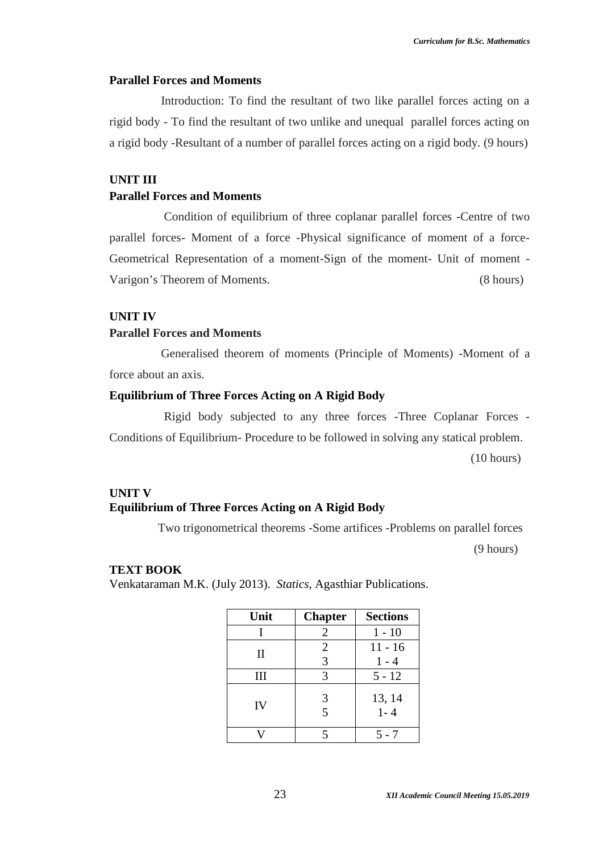#### **Parallel Forces and Moments**

Introduction: To find the resultant of two like parallel forces acting on a rigid body - To find the resultant of two unlike and unequal parallel forces acting on a rigid body -Resultant of a number of parallel forces acting on a rigid body. (9 hours)

#### **UNIT III**

#### **Parallel Forces and Moments**

Condition of equilibrium of three coplanar parallel forces -Centre of two parallel forces- Moment of a force -Physical significance of moment of a force- Geometrical Representation of a moment-Sign of the moment- Unit of moment - Varigon's Theorem of Moments. (8 hours)

#### **UNIT IV**

#### **Parallel Forces and Moments**

Generalised theorem of moments (Principle of Moments) -Moment of a force about an axis.

### **Equilibrium of Three Forces Acting on A Rigid Body**

Rigid body subjected to any three forces -Three Coplanar Forces - Conditions of Equilibrium- Procedure to be followed in solving any statical problem. (10 hours)

# **UNIT V Equilibrium of Three Forces Acting on A Rigid Body**

Two trigonometrical theorems -Some artifices -Problems on parallel forces

(9 hours)

#### **TEXT BOOK**

Venkataraman M.K. (July 2013). *Statics*, Agasthiar Publications.

| Unit        | <b>Chapter</b> | <b>Sections</b> |
|-------------|----------------|-----------------|
|             | $\overline{2}$ | $1 - 10$        |
| $_{\rm II}$ | $\overline{2}$ | $11 - 16$       |
|             | 3              | $1 - 4$         |
| Ш           | 3              | $5 - 12$        |
| IV          | 3              | 13, 14          |
|             | 5              | $1 - 4$         |
|             | 5              | 5 - 7           |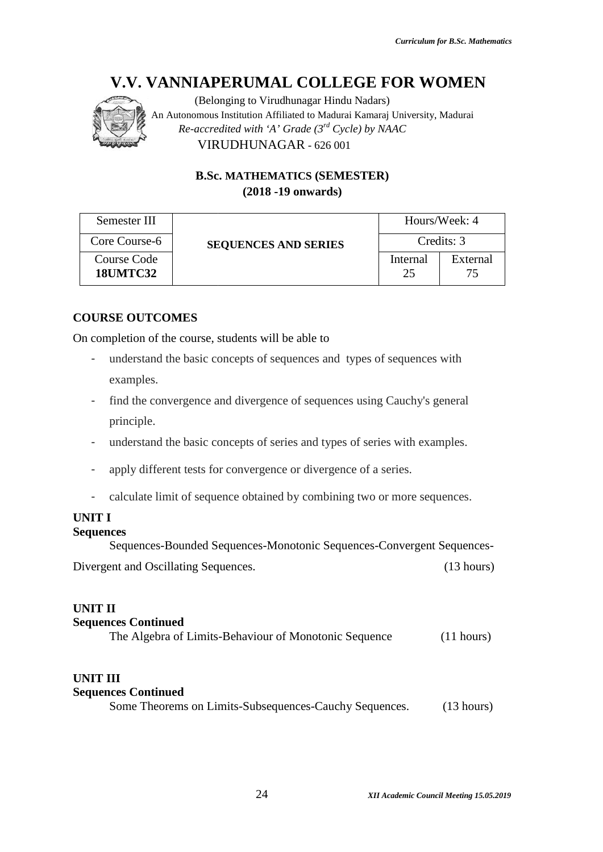# **V.V. VANNIAPERUMAL COLLEGE FOR WOMEN**



|                                                        | <b>B.Sc. MATHEMATICS (SEMESTER)</b>                                                                                                                   |                |                |  |
|--------------------------------------------------------|-------------------------------------------------------------------------------------------------------------------------------------------------------|----------------|----------------|--|
|                                                        | $(2018 - 19)$ onwards)                                                                                                                                |                |                |  |
| Semester III                                           |                                                                                                                                                       |                | Hours/Week: 4  |  |
| Core Course-6<br><b>Course Code</b><br><b>18UMTC32</b> | <b>SEQUENCES AND SERIES</b>                                                                                                                           |                | Credits: 3     |  |
|                                                        |                                                                                                                                                       | Internal<br>25 | External<br>75 |  |
| examples.                                              | In completion of the course, students will be able to<br>understand the basic concepts of sequences and types of sequences with                       |                |                |  |
| ۰<br>principle.<br>۰                                   | find the convergence and divergence of sequences using Cauchy's general<br>understand the basic concepts of series and types of series with examples. |                |                |  |
|                                                        | apply different tests for convergence or divergence of a series.                                                                                      |                |                |  |
|                                                        | calculate limit of sequence obtained by combining two or more sequences.                                                                              |                |                |  |
| JNIT I<br>equences                                     | Sequences-Bounded Sequences-Monotonic Sequences-Convergent Sequences-                                                                                 |                |                |  |

# **COURSE OUTCOMES**

- understand the basic concepts of sequences and types of sequences with examples.
- find the convergence and divergence of sequences using Cauchy's general principle.
- understand the basic concepts of series and types of series with examples.
- apply different tests for convergence or divergence of a series.
- calculate limit of sequence obtained by combining two or more sequences.

# **UNIT I**

#### **Sequences**

# **UNIT II**

#### **Sequences Continued**

| The Algebra of Limits-Behaviour of Monotonic Sequence | (11 hours) |
|-------------------------------------------------------|------------|
|-------------------------------------------------------|------------|

# **UNIT III**

| <b>Sequences Continued</b>                             |                      |
|--------------------------------------------------------|----------------------|
| Some Theorems on Limits-Subsequences-Cauchy Sequences. | $(13 \text{ hours})$ |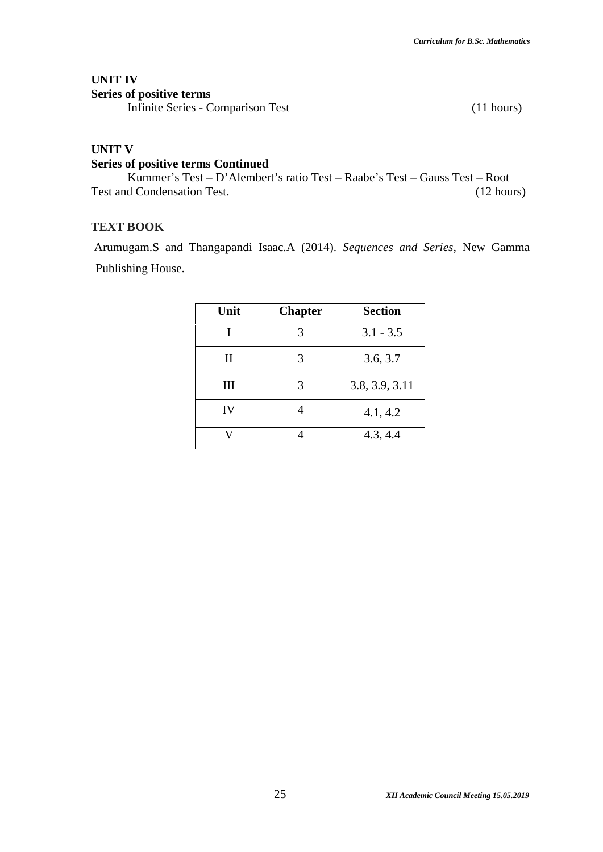# **UNIT IV**

**Series of positive terms**

Infinite Series - Comparison Test (11 hours)

# **UNIT V**

# **Series of positive terms Continued**

Kummer's Test – D'Alembert's ratio Test – Raabe's Test – Gauss Test – Root Test and Condensation Test. (12 hours)

# **TEXT BOOK**

Arumugam.S and Thangapandi Isaac.A (2014). *Sequences and Series*, New Gamma Publishing House.

| Unit               | <b>Chapter</b> | <b>Section</b> |
|--------------------|----------------|----------------|
|                    | 3              | $3.1 - 3.5$    |
| $\mathbf{I}$       | 3              | 3.6, 3.7       |
| $\mathop{\rm III}$ | 3              | 3.8, 3.9, 3.11 |
| IV                 |                | 4.1, 4.2       |
|                    |                | 4.3, 4.4       |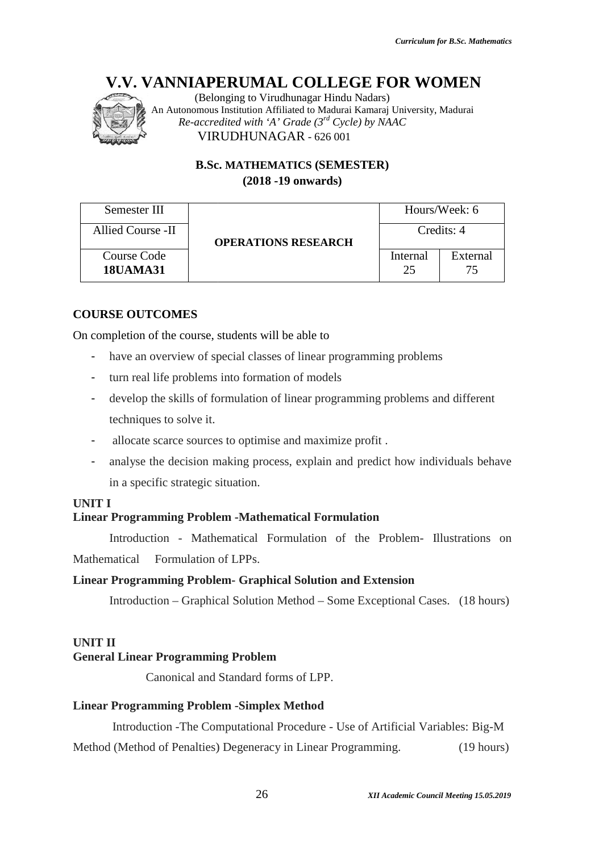

# **B.Sc. MATHEMATICS (SEMESTER) (2018 -19 onwards)**

|                                    | $(2018 - 19)$ onwards)                                                                                                                                                                         |                |                                                                               |
|------------------------------------|------------------------------------------------------------------------------------------------------------------------------------------------------------------------------------------------|----------------|-------------------------------------------------------------------------------|
| Semester III                       |                                                                                                                                                                                                |                | Hours/Week: 6                                                                 |
| Allied Course -II                  | <b>OPERATIONS RESEARCH</b>                                                                                                                                                                     |                | Credits: 4                                                                    |
| Course Code<br><b>18UAMA31</b>     |                                                                                                                                                                                                | Internal<br>25 | External<br>75                                                                |
| techniques to solve it.            | turn real life problems into formation of models<br>develop the skills of formulation of linear programming problems and different<br>allocate scarce sources to optimise and maximize profit. |                |                                                                               |
| in a specific strategic situation. | analyse the decision making process, explain and predict how individuals behave                                                                                                                |                |                                                                               |
| <b>INIT I</b>                      | inear Programming Problem -Mathematical Formulation                                                                                                                                            |                |                                                                               |
|                                    | Introduction - Mathematical Formulation of the Problem- Illustrations on                                                                                                                       |                |                                                                               |
| <i>A</i> athematical               | Formulation of LPPs.                                                                                                                                                                           |                |                                                                               |
|                                    | inear Programming Problem- Graphical Solution and Extension                                                                                                                                    |                |                                                                               |
|                                    |                                                                                                                                                                                                |                | Introduction – Graphical Solution Method – Some Exceptional Cases. (18 hours) |

# **COURSE OUTCOMES**

- have an overview of special classes of linear programming problems
- turn real life problems into formation of models
- develop the skills of formulation of linear programming problems and different techniques to solve it. Course Code<br> **ISUAMA31** 25 75<br> **RSE OUTCOMES**<br> **RSE OUTCOMES**<br>
ISUAMA31 25 75<br> **RSE OUTCOMES**<br>
Inverview of special classes of linear programming problems<br>
turn real life problems into formation of models<br>
develop the skil
- allocate scarce sources to optimise and maximize profit .
- analyse the decision making process, explain and predict how individuals behave in a specific strategic situation.

# **UNIT I**

# **Linear Programming Problem -Mathematical Formulation Programming**

# **Linear Programming Problem- Graphical Solution and Extension**

# **UNIT II**

#### **General Linear Programming Problem**

# **Linear Programming Problem -Simplex Method Programming**

Introduction -The Computational Procedure - Use of Artificial Variables: Big-M Method (Method of Penalties) Degeneracy in Linear Programming. (19 hours)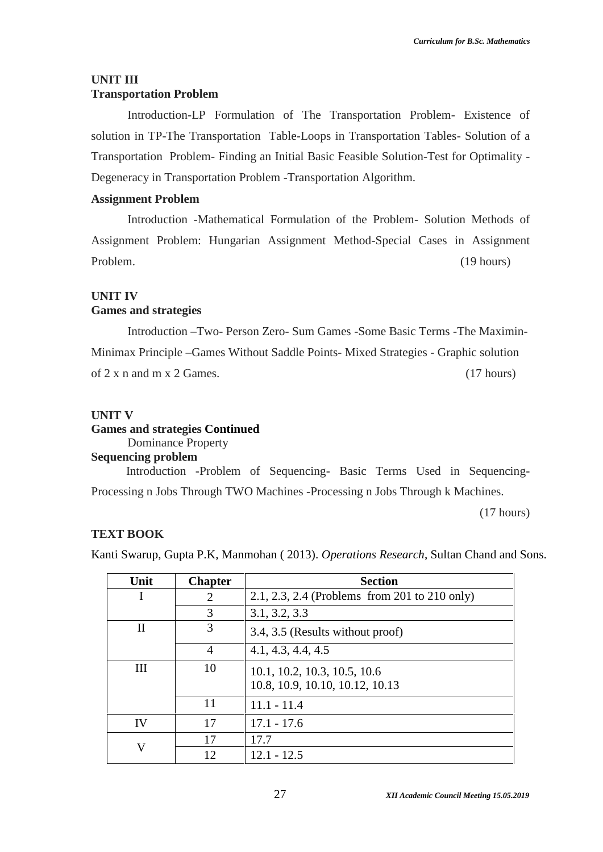### **UNIT III Transportation Problem**

Introduction-LP Formulation of The Transportation Problem- Existence of solution in TP-The Transportation Table-Loops in Transportation Tables- Solution of a Transportation Problem- Finding an Initial Basic Feasible Solution-Test for Optimality - Degeneracy in Transportation Problem -Transportation Algorithm.

#### **Assignment Problem**

Introduction -Mathematical Formulation of the Problem- Solution Methods of Assignment Problem: Hungarian Assignment Method-Special Cases in Assignment Problem. (19 hours)

#### **UNIT IV Games and strategies**

Introduction –Two- Person Zero- Sum Games -Some Basic Terms -The Maximin- Minimax Principle –Games Without Saddle Points- Mixed Strategies - Graphic solution of  $2 \times n$  and  $m \times 2$  Games. (17 hours)

# **UNIT V**

**Games and strategies Continued**

#### Dominance Property **Sequencing problem**

Introduction -Problem of Sequencing- Basic Terms Used in Sequencing- Processing n Jobs Through TWO Machines -Processing n Jobs Through k Machines.

(17 hours)

# **TEXT BOOK**

Kanti Swarup, Gupta P.K, Manmohan ( 2013). *Operations Research*, Sultan Chand and Sons.

| Unit      | <b>Chapter</b>                                                        | <b>Section</b>                                |
|-----------|-----------------------------------------------------------------------|-----------------------------------------------|
|           | 2                                                                     | 2.1, 2.3, 2.4 (Problems from 201 to 210 only) |
|           | 3                                                                     | 3.1, 3.2, 3.3                                 |
| Н         | 3<br>3.4, 3.5 (Results without proof)                                 |                                               |
|           | 4                                                                     | 4.1, 4.3, 4.4, 4.5                            |
| Ш         | 10<br>10.1, 10.2, 10.3, 10.5, 10.6<br>10.8, 10.9, 10.10, 10.12, 10.13 |                                               |
|           | 11                                                                    | $11.1 - 11.4$                                 |
| <b>IV</b> | 17                                                                    | $17.1 - 17.6$                                 |
| V         | 17                                                                    | 17.7                                          |
|           | 12                                                                    | $12.1 - 12.5$                                 |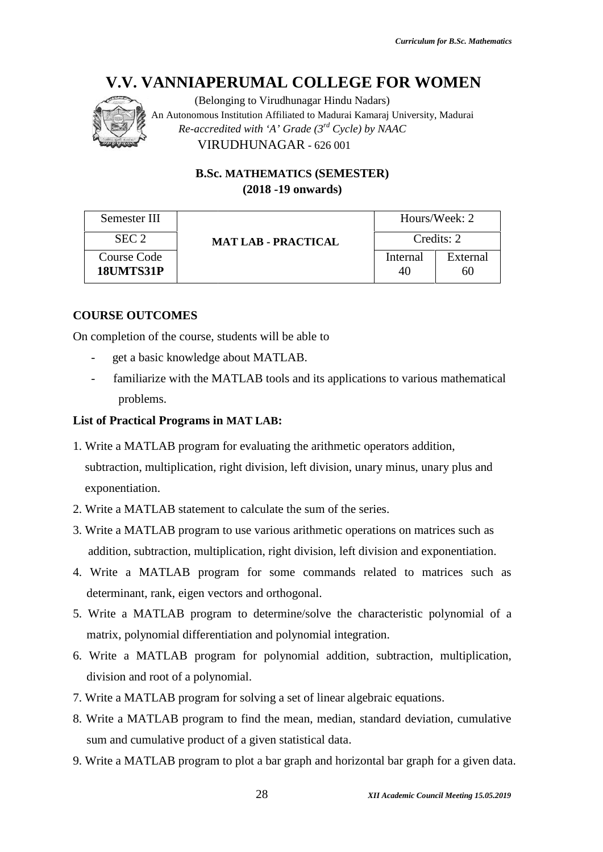

(Belonging to Virudhunagar Hindu Nadars) An Autonomous Institution Affiliated to Madurai Kamaraj University, Madurai An to *Re-accredited with 'A' Grade (3rd Cycle) by NAAC with* VIRUDHUNAGAR - 626 001

> **B.Sc. MATHEMATICS (SEMESTER) (2018 -19 onwards)**

| Semester III             |                            |                | Hours/Week: 2  |
|--------------------------|----------------------------|----------------|----------------|
| SEC <sub>2</sub>         | <b>MAT LAB - PRACTICAL</b> |                | Credits: 2     |
| Course Code<br>18UMTS31P |                            | Internal<br>40 | External<br>60 |

# **COURSE OUTCOMES**

On completion of the course, students will be able to<br>- get a basic knowledge about MATLAB.

- get a basic knowledge about MATLAB.
- familiarize with the MATLAB tools and its applications to various mathematical problems.

#### **List of Practical Programs in MAT LAB: in**

- 1. Write a MATLAB program for evaluating the arithmetic operators addition, subtraction, multiplication, right division, left division, unary minus, unary plus and exponentiation.
- 2. Write a MATLAB statement to calculate the sum of the series.
- 3. Write a MATLAB program to use various arithmetic operations on matrices such as addition, subtraction, multiplication, right division, left division and exponentiation.
- 4. Write a MATLAB program for some commands related to matrices such as determinant, rank, eigen vectors and orthogonal.
- 5. Write a MATLAB program to determine/solve the characteristic polynomial of a matrix, polynomial differentiation and polynomial integration. MATLAB program to talculate the sum of the series.<br>
MATLAB program to use various arithmetic operations on matrices such as<br>
1, subtraction, multiplication, right division, left division and exponentiation.<br>
2 MATLAB progr
- 6. Write a MATLAB program for polynomial addition, subtraction, multiplication, division and root of a polynomial.
- 7. Write a MATLAB program for solving a set of linear algebraic equations.
- 8. Write a MATLAB program to find the mean, median, standard deviation, cumulative sum and cumulative product of a given statistical data.
- 9. Write a MATLAB program to plot a bar graph and horizontal bar graph for a given data.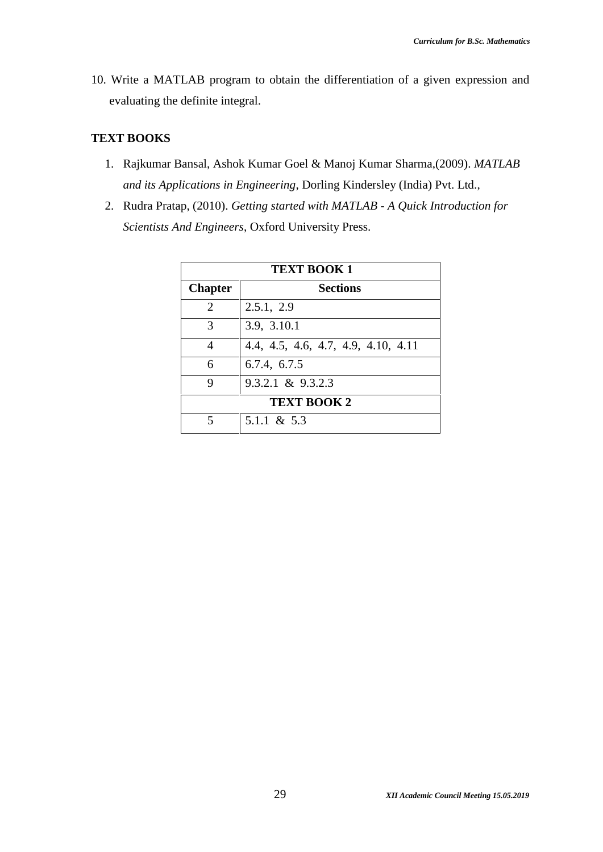10. Write a MATLAB program to obtain the differentiation of a given expression and evaluating the definite integral.

# **TEXT BOOKS**

- 1. Rajkumar Bansal, Ashok Kumar Goel & Manoj Kumar Sharma,(2009). *MATLAB and its Applications in Engineering*, Dorling Kindersley (India) Pvt. Ltd.,
- 2. Rudra Pratap, (2010). *Getting started with MATLAB - A Quick Introduction for Scientists And Engineers*, Oxford University Press.

| <b>TEXT BOOK 1</b> |                                     |  |  |
|--------------------|-------------------------------------|--|--|
| <b>Chapter</b>     | <b>Sections</b>                     |  |  |
| 2                  | 2.5.1, 2.9                          |  |  |
| 3                  | 3.9, 3.10.1                         |  |  |
|                    | 4.4, 4.5, 4.6, 4.7, 4.9, 4.10, 4.11 |  |  |
| 6                  | 6.7.4, 6.7.5                        |  |  |
| Q                  | $9.3.2.1 \& 9.3.2.3$                |  |  |
|                    | <b>TEXT BOOK 2</b>                  |  |  |
|                    | 5.1.1 & 5.3                         |  |  |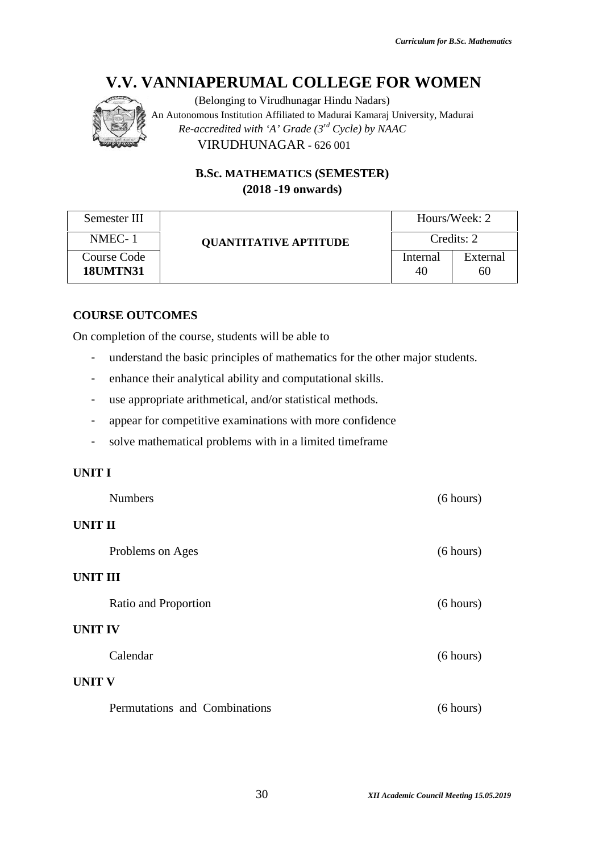

# **B.Sc. MATHEMATICS (SEMESTER) (2018 -19 onwards)**

|                                | V.V. VANNIAPERUMAL COLLEGE FOR WOMEN<br>(Belonging to Virudhunagar Hindu Nadars)<br>An Autonomous Institution Affiliated to Madurai Kamaraj University, Madurai<br>Re-accredited with 'A' Grade $(3^{rd}$ Cycle) by NAAC<br>VIRUDHUNAGAR - 626 001 |                |                |
|--------------------------------|----------------------------------------------------------------------------------------------------------------------------------------------------------------------------------------------------------------------------------------------------|----------------|----------------|
|                                | <b>B.Sc. MATHEMATICS (SEMESTER)</b><br>$(2018 - 19)$ onwards)                                                                                                                                                                                      |                |                |
| Semester III                   |                                                                                                                                                                                                                                                    |                | Hours/Week: 2  |
| NMEC-1                         | <b>QUANTITATIVE APTITUDE</b>                                                                                                                                                                                                                       |                | Credits: 2     |
| Course Code<br><b>18UMTN31</b> |                                                                                                                                                                                                                                                    | Internal<br>40 | External<br>60 |
| <b>COURSE OUTCOMES</b>         | On completion of the course, students will be able to                                                                                                                                                                                              |                |                |
| -                              | understand the basic principles of mathematics for the other major students.                                                                                                                                                                       |                |                |
|                                | enhance their analytical ability and computational skills.                                                                                                                                                                                         |                |                |
|                                | use appropriate arithmetical, and/or statistical methods.                                                                                                                                                                                          |                |                |
|                                | appear for competitive examinations with more confidence                                                                                                                                                                                           |                |                |
|                                | solve mathematical problems with in a limited timeframe                                                                                                                                                                                            |                |                |

# **COURSE OUTCOMES**

- understand the basic principles of mathematics for the other major students.<br>
 enhance their analytical ability and computational skills.<br>
 use appropriate arithmetical, and/or statistical methods.
- enhance their analytical ability and computational skills.
- use appropriate arithmetical, and/or statistical methods.
- appear for competitive examinations with more confidence
- solve mathematical problems with in a limited timeframe

### **UNIT I**

|                 | <b>Numbers</b>                | (6 hours) |
|-----------------|-------------------------------|-----------|
| <b>UNIT II</b>  |                               |           |
|                 | Problems on Ages              | (6 hours) |
| <b>UNIT III</b> |                               |           |
|                 | Ratio and Proportion          | (6 hours) |
| <b>UNIT IV</b>  |                               |           |
|                 | Calendar                      | (6 hours) |
| <b>UNIT V</b>   |                               |           |
|                 | Permutations and Combinations | (6 hours) |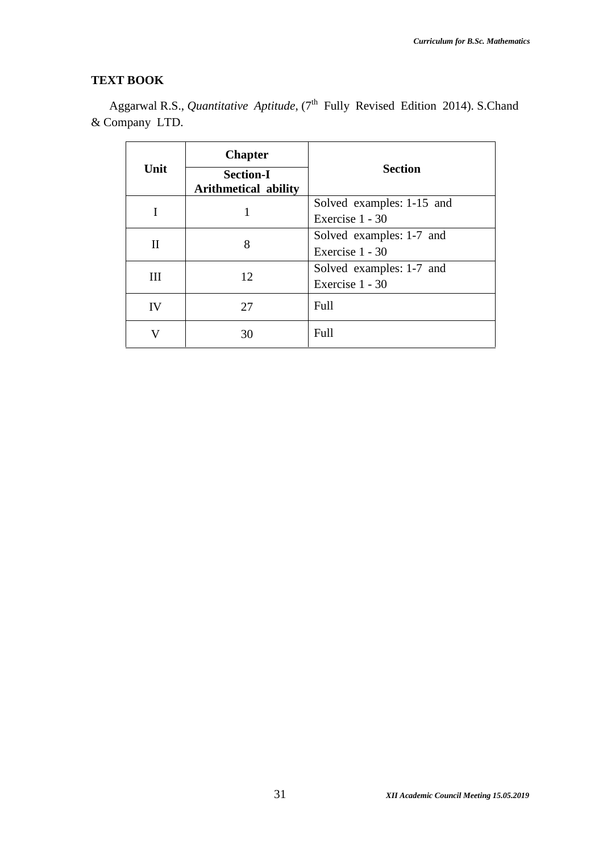# **TEXT BOOK**

Aggarwal R.S., *Quantitative Aptitude*, (7<sup>th</sup> Fully Revised Edition 2014). S.Chand & Company LTD.

| Unit | <b>Chapter</b><br><b>Section-I</b><br><b>Arithmetical ability</b> | <b>Section</b>                               |
|------|-------------------------------------------------------------------|----------------------------------------------|
|      |                                                                   | Solved examples: 1-15 and<br>Exercise 1 - 30 |
| П    | 8                                                                 | Solved examples: 1-7 and<br>Exercise 1 - 30  |
| Ш    | 12                                                                | Solved examples: 1-7 and<br>Exercise 1 - 30  |
| IV   | 27                                                                | Full                                         |
| V    | 30                                                                | Full                                         |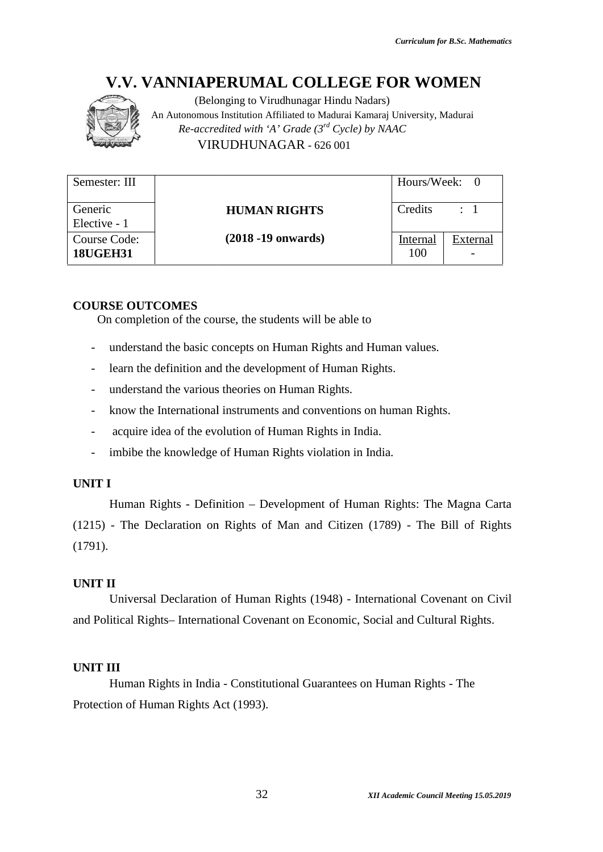

(Belonging to Virudhunagar Hindu Nadars) An Autonomous Institution Affiliated to Madurai Kamaraj University, Madurai An to *Re-accredited with 'A' Grade (3rd Cycle) by NAAC with* VIRUDHUNAGAR - 626 001

| Semester: III                                                                 |                                                                                      | Hours/Week:     | $\overline{0}$  |
|-------------------------------------------------------------------------------|--------------------------------------------------------------------------------------|-----------------|-----------------|
| Generic                                                                       | <b>HUMAN RIGHTS</b>                                                                  | Credits         | $\colon 1$      |
| Elective - 1                                                                  |                                                                                      |                 |                 |
| Course Code:                                                                  | $(2018 - 19)$ onwards)                                                               | <b>Internal</b> | <b>External</b> |
| <b>18UGEH31</b>                                                               |                                                                                      | 100             |                 |
|                                                                               |                                                                                      |                 |                 |
| <b>COURSE OUTCOMES</b>                                                        | On completion of the course, the students will be able to                            |                 |                 |
|                                                                               | understand the basic concepts on Human Rights and Human values.                      |                 |                 |
| $\overline{\phantom{a}}$                                                      | learn the definition and the development of Human Rights.                            |                 |                 |
|                                                                               | understand the various theories on Human Rights.                                     |                 |                 |
| $\overline{\phantom{0}}$                                                      | know the International instruments and conventions on human Rights.                  |                 |                 |
|                                                                               | acquire idea of the evolution of Human Rights in India.                              |                 |                 |
| imbibe the knowledge of Human Rights violation in India.<br>$\qquad \qquad -$ |                                                                                      |                 |                 |
|                                                                               |                                                                                      |                 |                 |
| <b>UNIT I</b>                                                                 |                                                                                      |                 |                 |
|                                                                               | Human Rights - Definition - Development of Human Rights: The Magna Carta             |                 |                 |
|                                                                               | (1215) - The Declaration on Rights of Man and Citizen (1789) - The Bill of Rights    |                 |                 |
| (1791).                                                                       |                                                                                      |                 |                 |
|                                                                               |                                                                                      |                 |                 |
| <b>UNIT II</b>                                                                |                                                                                      |                 |                 |
|                                                                               | Universal Declaration of Human Rights (1948) - International Covenant on Civil       |                 |                 |
|                                                                               | and Political Rights-International Covenant on Economic, Social and Cultural Rights. |                 |                 |

#### **COURSE OUTCOMES**

- understand the basic concepts on Human Rights and Human values.
- learn the definition and the development of Human Rights.
- understand the various theories on Human Rights.
- know the International instruments and conventions on human Rights.
- acquire idea of the evolution of Human Rights in India.
- imbibe the knowledge of Human Rights violation in India.

#### **UNIT I**

# **UNIT II**

#### **UNIT III**

Human Rights in India - Constitutional Guarantees on Human Rights - The Protection of Human Rights Act (1993).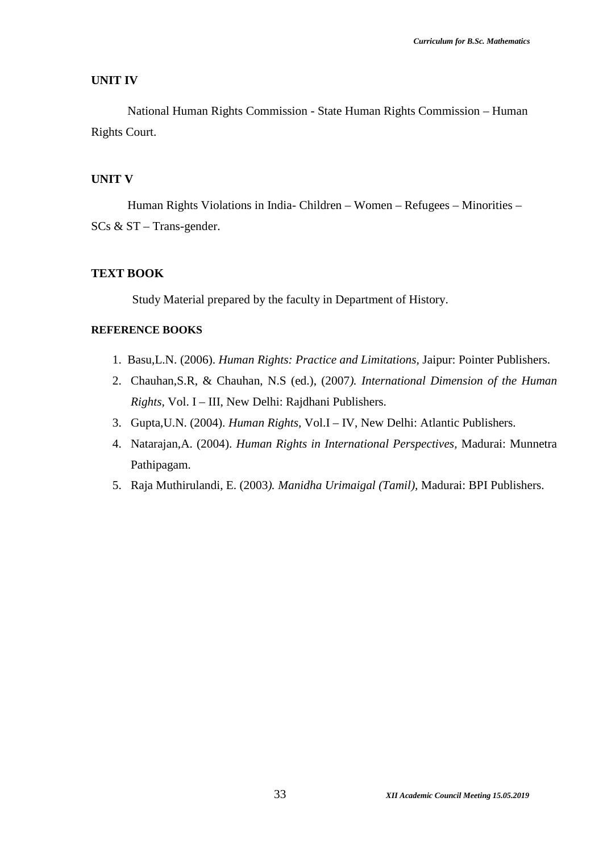#### **UNIT IV**

National Human Rights Commission - State Human Rights Commission – Human Rights Court.

#### **UNIT V**

Human Rights Violations in India- Children – Women – Refugees – Minorities – SCs & ST – Trans-gender.

#### **TEXT BOOK**

Study Material prepared by the faculty in Department of History.

### **REFERENCE BOOKS**

- 1. Basu,L.N. (2006). *Human Rights: Practice and Limitations,* Jaipur: Pointer Publishers.
- 2. Chauhan,S.R, & Chauhan, N.S (ed.), (2007*). International Dimension of the Human Rights,* Vol. I – III, New Delhi: Rajdhani Publishers.
- 3. Gupta,U.N. (2004). *Human Rights,* Vol.I IV, New Delhi: Atlantic Publishers.
- 4. Natarajan,A. (2004). *Human Rights in International Perspectives,* Madurai: Munnetra Pathipagam.
- 5. Raja Muthirulandi, E. (2003*). Manidha Urimaigal (Tamil),* Madurai: BPI Publishers.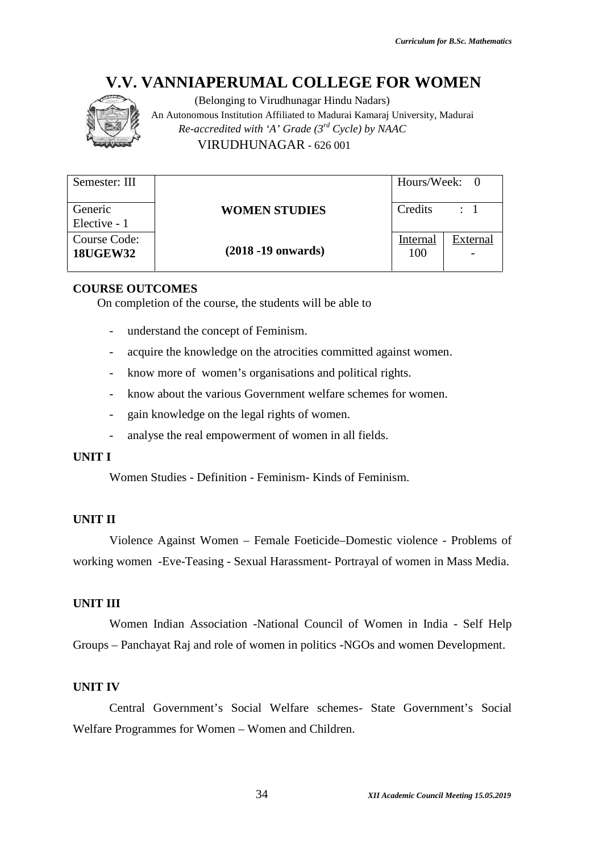

(Belonging to Virudhunagar Hindu Nadars) An Autonomous Institution Affiliated to Madurai Kamaraj University, Madurai An to *Re-accredited with 'A' Grade (3rd Cycle) by NAAC with* VIRUDHUNAGAR - 626 001

| Semester: III                   |                        | Hours/Week: 0   |                |
|---------------------------------|------------------------|-----------------|----------------|
| Generic<br>Elective - 1         | <b>WOMEN STUDIES</b>   | Credits         | $\therefore$ 1 |
| Course Code:<br><b>18UGEW32</b> | $(2018 - 19)$ onwards) | Internal<br>100 | External       |

#### **COURSE OUTCOMES**

On completion of the course, the students will be able to

- understand the concept of Feminism.
- acquire the knowledge on the atrocities committed against women. The course, the students will be able to<br>
und the concept of Feminism.<br>
the knowledge on the atrocities committed against<br>
ore of women's organisations and political rights.<br>
bout the various Government welfare schemes for
- know more of women's organisations and political rights.
- know about the various Government welfare schemes for women.
- gain knowledge on the legal rights of women.
- analyse the real empowerment of women in all fields.

#### **UNIT I**

Women Studies - Definition - Feminism- Kinds of Feminism.

#### **UNIT II**

Violence Against Women – Female Foeticide–Domestic violence - Problems of Women Studies - Definition - Feminism- Kinds of Feminism.<br>
UNIT II<br>
Violence Against Women – Female Foeticide–Domestic violence - Problems of<br>
working women -Eve-Teasing - Sexual Harassment- Portrayal of women in Mass Medi

#### **UNIT III**

Women Indian Association -National Council of Women in India - Self Help Women Indian Association -National Council of Women in India - Self Help<br>Groups – Panchayat Raj and role of women in politics -NGOs and women Development.

#### **UNIT IV**

Central Government's Social Welfare schemes- State Government's Social Welfare Programmes for Women - Women and Children.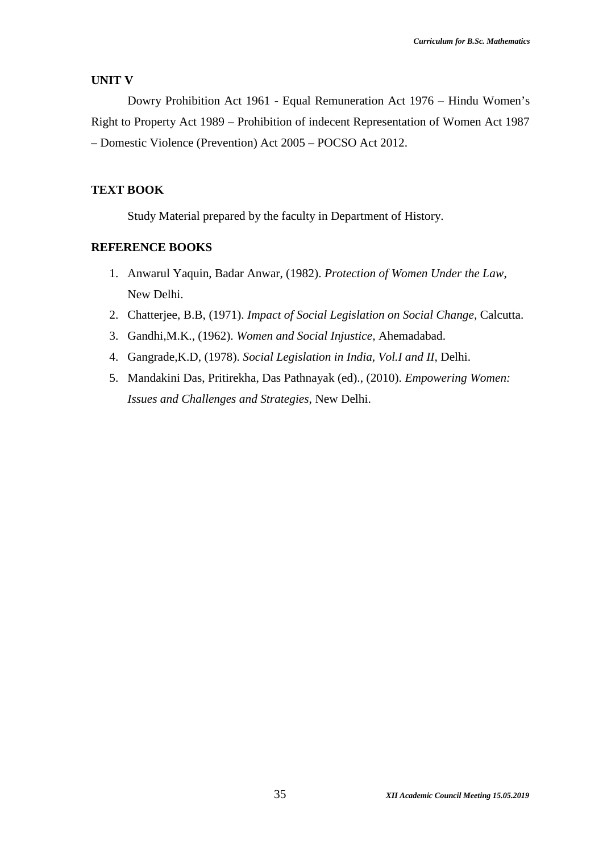#### **UNIT V**

Dowry Prohibition Act 1961 - Equal Remuneration Act 1976 – Hindu Women's Right to Property Act 1989 – Prohibition of indecent Representation of Women Act 1987 – Domestic Violence (Prevention) Act 2005 – POCSO Act 2012.

#### **TEXT BOOK**

Study Material prepared by the faculty in Department of History.

#### **REFERENCE BOOKS**

- 1. Anwarul Yaquin, Badar Anwar, (1982). *Protection of Women Under the Law*, New Delhi.
- 2. Chatterjee, B.B, (1971). *Impact of Social Legislation on Social Change,* Calcutta.
- 3. Gandhi,M.K., (1962). *Women and Social Injustice,* Ahemadabad.
- 4. Gangrade,K.D, (1978). *Social Legislation in India, Vol.I and II,* Delhi.
- 5. Mandakini Das, Pritirekha, Das Pathnayak (ed)., (2010). *Empowering Women: Issues and Challenges and Strategies,* New Delhi.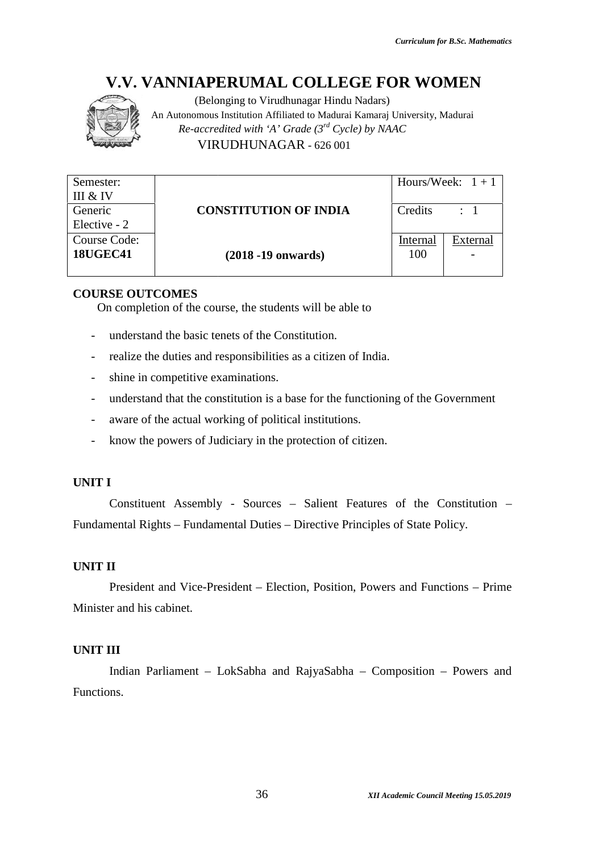

(Belonging to Virudhunagar Hindu Nadars) An Autonomous Institution Affiliated to Madurai Kamaraj University, Madurai An to *Re-accredited with 'A' Grade (3<sup>rd</sup> Cycle) by NAAC* VIRUDHUNAGAR - 626 001

| Semester:                    |                                                                                  |                 | Hours/Week: $1 + 1$ |  |
|------------------------------|----------------------------------------------------------------------------------|-----------------|---------------------|--|
| III & IV<br>Generic          | <b>CONSTITUTION OF INDIA</b>                                                     | Credits         | $\therefore$ 1      |  |
| Elective - 2                 |                                                                                  |                 |                     |  |
| Course Code:                 |                                                                                  | <b>Internal</b> | <b>External</b>     |  |
| <b>18UGEC41</b>              | $(2018 - 19)$ onwards)                                                           | 100             |                     |  |
|                              |                                                                                  |                 |                     |  |
| <b>COURSE OUTCOMES</b>       | On completion of the course, the students will be able to                        |                 |                     |  |
|                              | understand the basic tenets of the Constitution.                                 |                 |                     |  |
| $\qquad \qquad \blacksquare$ | realize the duties and responsibilities as a citizen of India.                   |                 |                     |  |
|                              |                                                                                  |                 |                     |  |
| $\overline{\phantom{a}}$     | shine in competitive examinations.                                               |                 |                     |  |
|                              | understand that the constitution is a base for the functioning of the Government |                 |                     |  |
| $\overline{\phantom{a}}$     | aware of the actual working of political institutions.                           |                 |                     |  |
| $\qquad \qquad -$            | know the powers of Judiciary in the protection of citizen.                       |                 |                     |  |
|                              |                                                                                  |                 |                     |  |
| <b>UNIT I</b>                |                                                                                  |                 |                     |  |
|                              | Constituent Assembly - Sources – Salient Features of the Constitution –          |                 |                     |  |
|                              | Fundamental Rights – Fundamental Duties – Directive Principles of State Policy.  |                 |                     |  |
|                              |                                                                                  |                 |                     |  |
| <b>UNIT II</b>               |                                                                                  |                 |                     |  |
|                              | President and Vice-President – Election, Position, Powers and Functions – Prime  |                 |                     |  |
| Minister and his cabinet.    |                                                                                  |                 |                     |  |
|                              |                                                                                  |                 |                     |  |
|                              |                                                                                  |                 |                     |  |
| <b>UNIT III</b>              |                                                                                  |                 |                     |  |
|                              | Indian Parliament - LokSabha and RajyaSabha - Composition - Powers and           |                 |                     |  |

#### **COURSE OUTCOMES**

- understand the basic tenets of the Constitution.
- realize the duties and responsibilities as a citizen of India.
- shine in competitive examinations.
- understand that the constitution is a base for the functioning of the Government the students will be able to<br>sic tenets of the Constitution.<br>and responsibilities as a citizen of India.<br>ive examinations.<br>he constitution is a base for the functioning of the<br>al working of political institutions.
- aware of the actual working of political institutions.
- know the powers of Judiciary in the protection of citizen.

## **UNIT I**

#### **UNIT II**

#### **UNIT III**

Indian Parliament – LokSabha and RajyaSabha – Composition – Powers and Functions.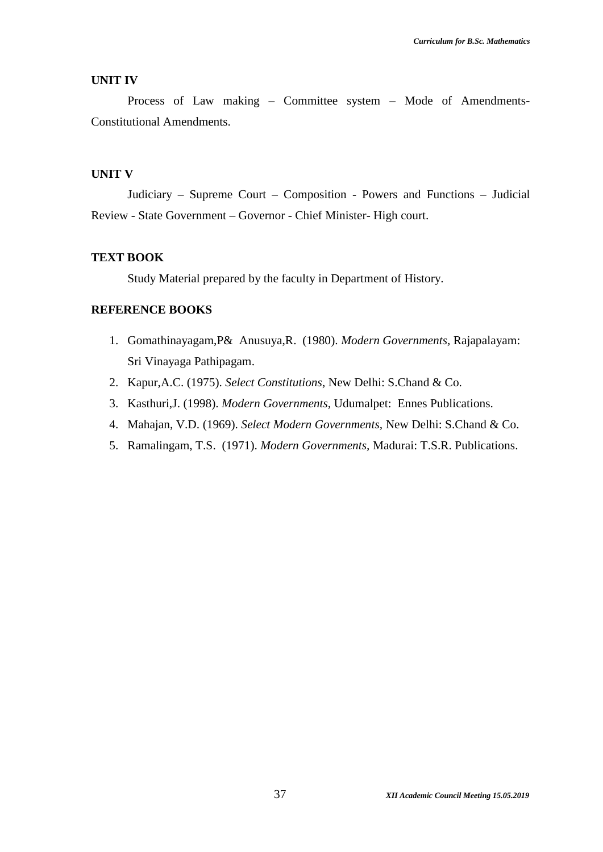#### **UNIT IV**

Process of Law making – Committee system – Mode of Amendments-Constitutional Amendments.

### **UNIT V**

Judiciary – Supreme Court – Composition - Powers and Functions – Judicial Review - State Government – Governor - Chief Minister- High court.

#### **TEXT BOOK**

Study Material prepared by the faculty in Department of History.

### **REFERENCE BOOKS**

- 1. Gomathinayagam,P& Anusuya,R. (1980). *Modern Governments,* Rajapalayam: Sri Vinayaga Pathipagam.
- 2. Kapur,A.C. (1975). *Select Constitutions*, New Delhi: S.Chand & Co.
- 3. Kasthuri,J. (1998). *Modern Governments,* Udumalpet: Ennes Publications.
- 4. Mahajan, V.D. (1969). *Select Modern Governments,* New Delhi: S.Chand & Co.
- 5. Ramalingam, T.S. (1971). *Modern Governments,* Madurai: T.S.R. Publications.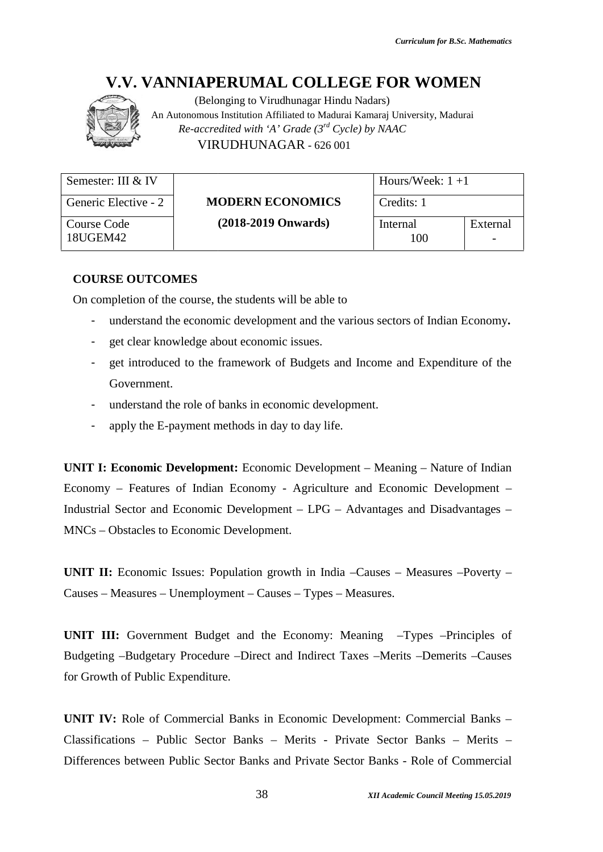

|                                                                                  | <b>V.V. VANNIAPERUMAL COLLEGE FOR WOMEN</b><br>(Belonging to Virudhunagar Hindu Nadars)<br>An Autonomous Institution Affiliated to Madurai Kamaraj University, Madurai<br>Re-accredited with 'A' Grade $(3^{rd}$ Cycle) by NAAC<br>VIRUDHUNAGAR - 626 001                                                                                                                             |                   |          |
|----------------------------------------------------------------------------------|---------------------------------------------------------------------------------------------------------------------------------------------------------------------------------------------------------------------------------------------------------------------------------------------------------------------------------------------------------------------------------------|-------------------|----------|
| Semester: III & IV                                                               |                                                                                                                                                                                                                                                                                                                                                                                       | Hours/Week: $1+1$ |          |
| Generic Elective - 2                                                             | <b>MODERN ECONOMICS</b>                                                                                                                                                                                                                                                                                                                                                               | Credits: 1        |          |
| <b>Course Code</b><br>18UGEM42                                                   | $(2018-2019$ Onwards)                                                                                                                                                                                                                                                                                                                                                                 | Internal<br>100   | External |
| <b>COURSE OUTCOMES</b><br>-<br>-<br>$\overline{\phantom{a}}$<br>Government.<br>- | On completion of the course, the students will be able to<br>understand the economic development and the various sectors of Indian Economy.<br>get clear knowledge about economic issues.<br>get introduced to the framework of Budgets and Income and Expenditure of the<br>understand the role of banks in economic development.<br>apply the E-payment methods in day to day life. |                   |          |
|                                                                                  | <b>UNIT I: Economic Development:</b> Economic Development – Meaning – Nature of Indian<br>Economy - Features of Indian Economy - Agriculture and Economic Development -<br>Industrial Sector and Economic Development – LPG – Advantages and Disadvantages –<br>MNCs – Obstacles to Economic Development.                                                                             |                   |          |
|                                                                                  | UNIT II: Economic Issues: Population growth in India -Causes - Measures -Poverty -<br>Causes – Measures – Unemployment – Causes – Types – Measures.                                                                                                                                                                                                                                   |                   |          |
| for Growth of Public Expenditure.                                                | <b>UNIT III:</b> Government Budget and the Economy: Meaning -Types -Principles of<br>Budgeting -Budgetary Procedure -Direct and Indirect Taxes -Merits -Demerits -Causes                                                                                                                                                                                                              |                   |          |
|                                                                                  | <b>UNIT IV:</b> Role of Commercial Banks in Economic Development: Commercial Banks –<br>Classifications - Public Sector Banks - Merits - Private Sector Banks - Merits -<br>Differences between Public Sector Banks and Private Sector Banks - Role of Commercial                                                                                                                     |                   |          |

#### **COURSE OUTCOMES**

- understand the economic development and the various sectors of Indian Economy**.**
- get clear knowledge about economic issues.
- get introduced to the framework of Budgets and Income and Expenditure of the Government. to the framework of Budgets<br>role of banks in economic dever<br>ment methods in day to day lif
- understand the role of banks in economic development.
- apply the E-payment methods in day to day life.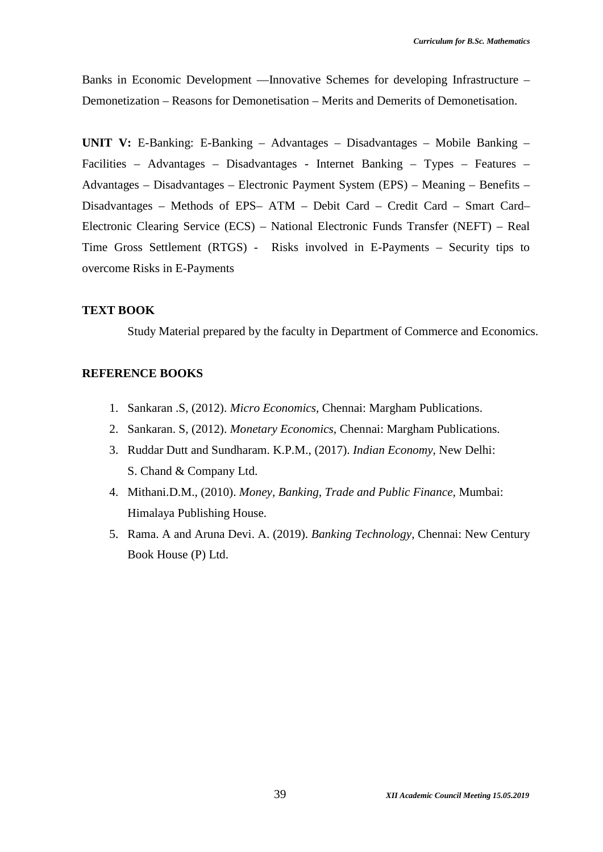Banks in Economic Development —Innovative Schemes for developing Infrastructure – Demonetization – Reasons for Demonetisation – Merits and Demerits of Demonetisation.

**UNIT V:** E-Banking: E-Banking – Advantages – Disadvantages – Mobile Banking – Facilities – Advantages – Disadvantages - Internet Banking – Types – Features – Advantages – Disadvantages – Electronic Payment System (EPS) – Meaning – Benefits – Disadvantages – Methods of EPS– ATM – Debit Card – Credit Card – Smart Card– Electronic Clearing Service (ECS) – National Electronic Funds Transfer (NEFT) – Real Time Gross Settlement (RTGS) - Risks involved in E-Payments – Security tips to overcome Risks in E-Payments

#### **TEXT BOOK**

Study Material prepared by the faculty in Department of Commerce and Economics.

### **REFERENCE BOOKS**

- 1. Sankaran .S, (2012). *Micro Economics,* Chennai: Margham Publications.
- 2. Sankaran. S, (2012). *Monetary Economics,* Chennai: Margham Publications.
- 3. Ruddar Dutt and Sundharam. K.P.M., (2017). *Indian Economy,* New Delhi: S. Chand & Company Ltd.
- 4. Mithani.D.M., (2010). *Money, Banking, Trade and Public Finance,* Mumbai: Himalaya Publishing House.
- 5. Rama. A and Aruna Devi. A. (2019). *Banking Technology,* Chennai: New Century Book House (P) Ltd.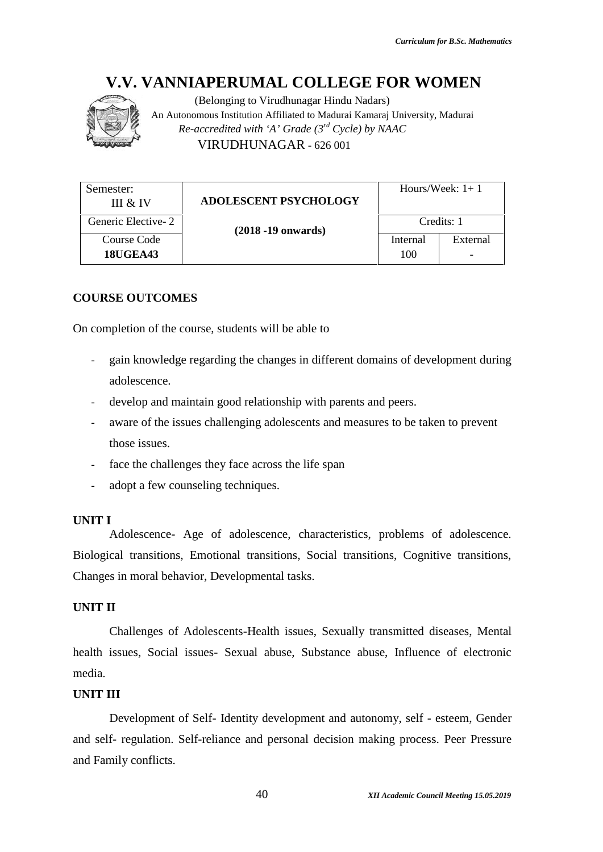

(Belonging to Virudhunagar Hindu Nadars) An Autonomous Institution Affiliated to Madurai Kamaraj University, Madurai An to *Re-accredited with 'A' Grade (3rd Cycle) by NAAC with* VIRUDHUNAGAR - 626 001

| Semester:<br>III & IV          | <b>ADOLESCENT PSYCHOLOGY</b> |                 | Hours/Week: $1+1$ |
|--------------------------------|------------------------------|-----------------|-------------------|
| Generic Elective-2             | $(2018 - 19)$ onwards)       | Credits: 1      |                   |
| Course Code<br><b>18UGEA43</b> |                              | Internal<br>100 | External          |

# **COURSE OUTCOMES**

On completion of the course, students will be able to

- gain knowledge regarding the changes in different domains of development during adolescence. course, students will be able to<br>ge regarding the changes in different domains of devel<br>aintain good relationship with parents and peers.
- develop and maintain good relationship with parents and peers.
- aware of the issues challenging adolescents and measures to be taken to prevent those issues.
- face the challenges they face across the life span
- adopt a few counseling techniques.

#### **UNIT I**

Adolescence- Age of adolescence, characteristics, problems of adolescence. Biological transitions, Emotional transitions, Social transitions, Cognitive transitions, Changes in moral behavior, Developmental tasks. face the challenges they face across the life span<br>adopt a few counseling techniques.<br>
[<br>ddolescence- Age of adolescence, characteristics,<br>
cal transitions, Emotional transitions, Social transit<br>
is in moral behavior, Deve

#### **UNIT II**

Challenges of Adolescents-Health issues, Sexually transmitted diseases, Mental health issues, Social issues- Sexual abuse, Substance abuse, Influence of electronic media.

### **UNIT III**

Development of Self- Identity development and autonomy, self - esteem, Gender and self- regulation. Self-reliance and personal decision making process. Peer Pressure and and Family conflicts.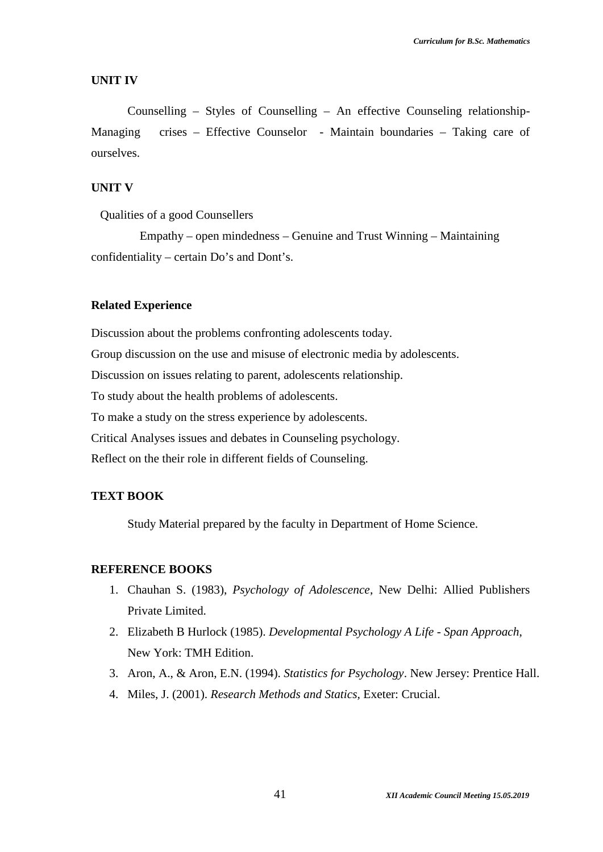#### **UNIT IV**

Counselling – Styles of Counselling – An effective Counseling relationship- Managing crises – Effective Counselor - Maintain boundaries – Taking care of ourselves.

# **UNIT V**

Qualities of a good Counsellers

Empathy – open mindedness – Genuine and Trust Winning – Maintaining confidentiality – certain Do's and Dont's.

#### **Related Experience**

Discussion about the problems confronting adolescents today. Group discussion on the use and misuse of electronic media by adolescents. Discussion on issues relating to parent, adolescents relationship. To study about the health problems of adolescents. To make a study on the stress experience by adolescents. Critical Analyses issues and debates in Counseling psychology. Reflect on the their role in different fields of Counseling.

# **TEXT BOOK**

Study Material prepared by the faculty in Department of Home Science.

#### **REFERENCE BOOKS**

- 1. Chauhan S. (1983), *Psychology of Adolescence*, New Delhi: Allied Publishers Private Limited.
- 2. Elizabeth B Hurlock (1985). *Developmental Psychology A Life - Span Approach*, New York: TMH Edition.
- 3. Aron, A., & Aron, E.N. (1994). *Statistics for Psychology*. New Jersey: Prentice Hall.
- 4. Miles, J. (2001). *Research Methods and Statics,* Exeter: Crucial.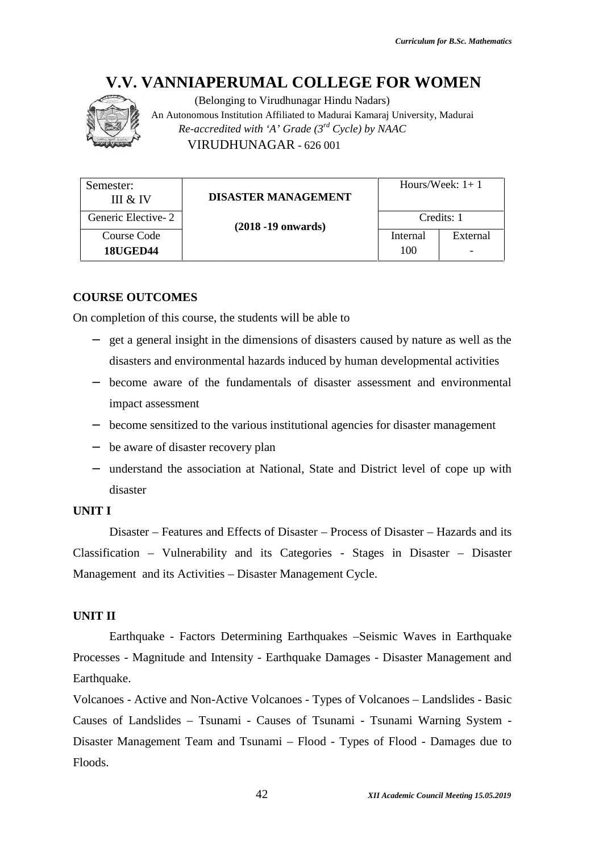

|                                       | (Belonging to Virudhunagar Hindu Nadars)<br>An Autonomous Institution Affiliated to Madurai Kamaraj University, Madurai<br>Re-accredited with 'A' Grade $(3^{rd}$ Cycle) by NAAC<br>VIRUDHUNAGAR - 626 001 |                   |            |  |
|---------------------------------------|------------------------------------------------------------------------------------------------------------------------------------------------------------------------------------------------------------|-------------------|------------|--|
| Semester:                             | <b>DISASTER MANAGEMENT</b>                                                                                                                                                                                 | Hours/Week: $1+1$ |            |  |
| III & IV<br>Generic Elective-2        |                                                                                                                                                                                                            |                   | Credits: 1 |  |
| <b>Course Code</b><br><b>18UGED44</b> | $(2018 - 19)$ onwards)                                                                                                                                                                                     | Internal<br>100   | External   |  |
|                                       |                                                                                                                                                                                                            |                   |            |  |
| <b>COURSE OUTCOMES</b>                | On completion of this course, the students will be able to                                                                                                                                                 |                   |            |  |
|                                       | get a general insight in the dimensions of disasters caused by nature as well as the                                                                                                                       |                   |            |  |
|                                       | disasters and environmental hazards induced by human developmental activities                                                                                                                              |                   |            |  |
|                                       | become aware of the fundamentals of disaster assessment and environmental                                                                                                                                  |                   |            |  |
| impact assessment                     |                                                                                                                                                                                                            |                   |            |  |
|                                       | become sensitized to the various institutional agencies for disaster management                                                                                                                            |                   |            |  |
|                                       | be aware of disaster recovery plan                                                                                                                                                                         |                   |            |  |
|                                       | understand the association at National, State and District level of cope up with                                                                                                                           |                   |            |  |
| disaster                              |                                                                                                                                                                                                            |                   |            |  |
| <b>JNIT I</b>                         |                                                                                                                                                                                                            |                   |            |  |
|                                       | Disaster – Features and Effects of Disaster – Process of Disaster – Hazards and its                                                                                                                        |                   |            |  |
|                                       | Classification – Vulnerability and its Categories - Stages in Disaster – Disaster                                                                                                                          |                   |            |  |
|                                       | Management and its Activities – Disaster Management Cycle.                                                                                                                                                 |                   |            |  |
|                                       |                                                                                                                                                                                                            |                   |            |  |
| <b>JNIT II</b>                        |                                                                                                                                                                                                            |                   |            |  |
|                                       | Earthquake - Factors Determining Earthquakes - Seismic Waves in Earthquake                                                                                                                                 |                   |            |  |
|                                       | Processes - Magnitude and Intensity - Earthquake Damages - Disaster Management and                                                                                                                         |                   |            |  |
| Earthquake.                           |                                                                                                                                                                                                            |                   |            |  |
|                                       | Volcanoes - Active and Non-Active Volcanoes - Types of Volcanoes - Landslides - Basic                                                                                                                      |                   |            |  |
|                                       | Causes of Landslides – Tsunami - Causes of Tsunami - Tsunami Warning System -                                                                                                                              |                   |            |  |
|                                       | Disaster Management Team and Tsunami – Flood - Types of Flood - Damages due to                                                                                                                             |                   |            |  |

#### **COURSE OUTCOMES**

- get a general insight in the dimensions of disasters caused by nature as well as the disasters and environmental hazards induced by human developmental activities eral insight in the dimensions of disasters caused by nature as well as<br>and environmental hazards induced by human developmental activitie<br>aware of the fundamentals of disaster assessment and environmen<br>sesssment<br>ensitized
- become aware of the fundamentals of disaster assessment and environmental impact assessment
- become sensitized to the various institutional agencies for disaster management
- be aware of disaster recovery plan
- understand the association at National, State and District level of cope up with disaster

#### **UNIT I**

### **UNIT II**

Volcanoes - Active and Non-Active Volcanoes - Types of Volcanoes - Landslides - Basic Causes of Landslides – Tsunami - Causes of Tsunami - Tsunami Warning System -Disaster Management Team and Tsunami – Flood - Types of Flood - Damages due to Floods.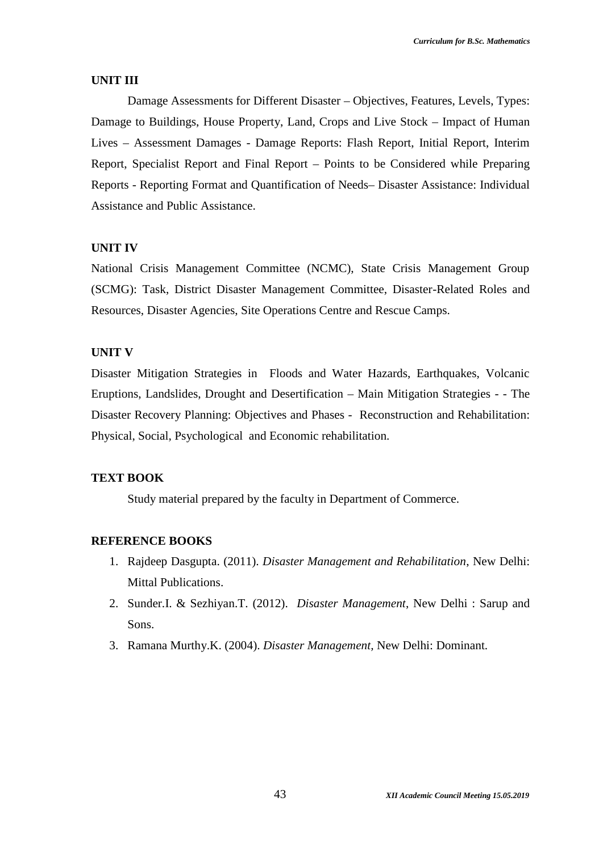#### **UNIT III**

Damage Assessments for Different Disaster – Objectives, Features, Levels, Types: Damage to Buildings, House Property, Land, Crops and Live Stock – Impact of Human Lives – Assessment Damages - Damage Reports: Flash Report, Initial Report, Interim Report, Specialist Report and Final Report – Points to be Considered while Preparing Reports - Reporting Format and Quantification of Needs– Disaster Assistance: Individual Assistance and Public Assistance.

#### **UNIT IV**

National Crisis Management Committee (NCMC), State Crisis Management Group (SCMG): Task, District Disaster Management Committee, Disaster-Related Roles and Resources, Disaster Agencies, Site Operations Centre and Rescue Camps.

#### **UNIT V**

Disaster Mitigation Strategies in Floods and Water Hazards, Earthquakes, Volcanic Eruptions, Landslides, Drought and Desertification – Main Mitigation Strategies - - The Disaster Recovery Planning: Objectives and Phases - Reconstruction and Rehabilitation: Physical, Social, Psychological and Economic rehabilitation.

#### **TEXT BOOK**

Study material prepared by the faculty in Department of Commerce.

#### **REFERENCE BOOKS**

- 1. Rajdeep Dasgupta. (2011). *Disaster Management and Rehabilitation*, New Delhi: Mittal Publications.
- 2. Sunder.I. & Sezhiyan.T. (2012). *Disaster Management*, New Delhi : Sarup and Sons.
- 3. Ramana Murthy.K. (2004). *Disaster Management,* New Delhi: Dominant.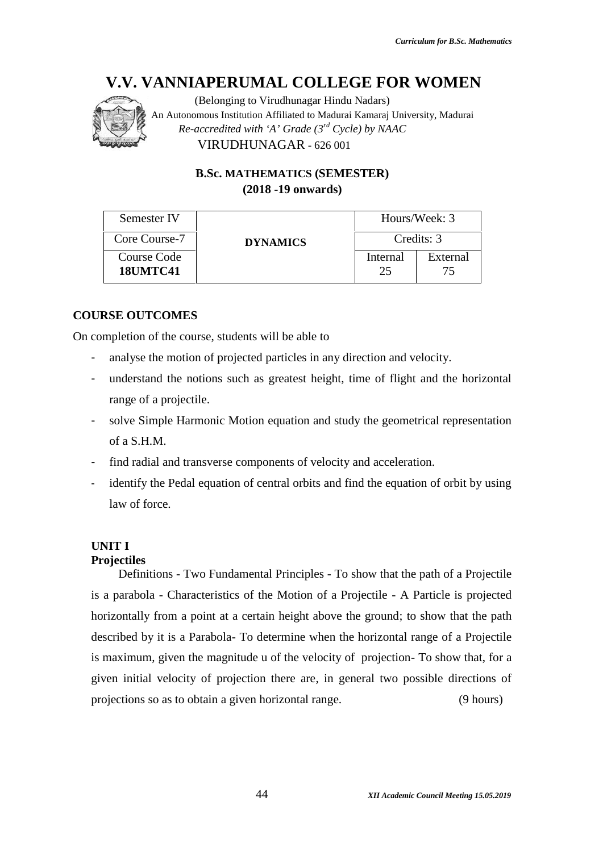

(Belonging to Virudhunagar Hindu Nadars) An Autonomous Institution Affiliated to Madurai Kamaraj University, Madurai An to *Re-accredited with 'A' Grade (3rd Cycle) by NAAC with* VIRUDHUNAGAR - 626 001

> **B.Sc. MATHEMATICS (SEMESTER) (2018 -19 onwards)**

| Semester IV                    |                 | Hours/Week: 3 |            |
|--------------------------------|-----------------|---------------|------------|
| Core Course-7                  | <b>DYNAMICS</b> |               | Credits: 3 |
| Course Code<br><b>18UMTC41</b> |                 | Internal      | External   |

# **COURSE OUTCOMES**

On completion of the course, students will be able to

- analyse the motion of projected particles in any direction and velocity.
- analyse the motion of projected particles in any direction and velocity.<br>The understand the notions such as greatest height, time of flight and the horizontal range of a projectile.
- solve Simple Harmonic Motion equation and study the geometrical representation<br>of a S.H.M.<br>- find radial and transverse components of velocity and acceleration. of a S.H.M.
- find radial and transverse components of velocity and acceleration.
- identify the Pedal equation of central orbits and find the equation of orbit by using law of force.

# **UNIT I**

#### **Projectiles**

Definitions - Two Fundamental Principles - To show that the path of a Projectile is a parabola - Characteristics of the Motion of a Projectile - A Particle is projected horizontally from a point at a certain height above the ground; to show that the path described by it is a Parabola- To determine when the horizontal range of a Projectile is a parabola - Characteristics of the Motion of a Projectile - A Particle is projected<br>horizontally from a point at a certain height above the ground; to show that the path<br>described by it is a Parabola- To determine when given initial velocity of projection there are, in general two possible directions of projections so as to obtain a given horizontal range. (9 hours) **EXERCISE SEAL AND ANNOVAL COLLEGE FOR WOMEN**<br>
(Belonging to Virtulnangar Hindu Nadari Kranerij University, Madurai<br> *Recording in the Virtue Croate (* $\vec{r}^{\alpha}$ *Croche) by NAAC*<br> **EXERCITED:**<br> **EXERCITED:**<br> **EXERCITED:**<br> the Motion of a Projectile - A<br>tain height above the ground; t<br>determine when the horizontal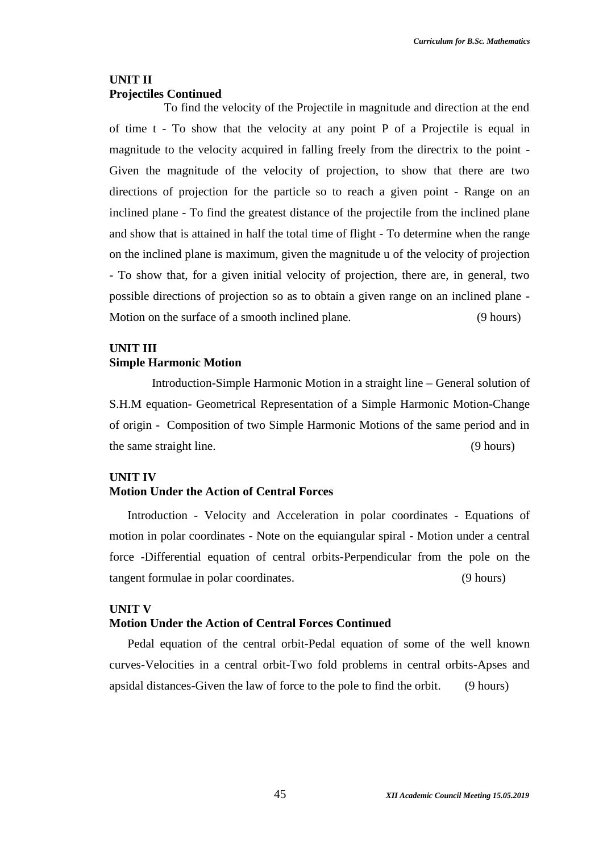### **UNIT II Projectiles Continued**

To find the velocity of the Projectile in magnitude and direction at the end of time t - To show that the velocity at any point P of a Projectile is equal in magnitude to the velocity acquired in falling freely from the directrix to the point - Given the magnitude of the velocity of projection, to show that there are two directions of projection for the particle so to reach a given point - Range on an inclined plane - To find the greatest distance of the projectile from the inclined plane and show that is attained in half the total time of flight - To determine when the range on the inclined plane is maximum, given the magnitude u of the velocity of projection - To show that, for a given initial velocity of projection, there are, in general, two possible directions of projection so as to obtain a given range on an inclined plane - Motion on the surface of a smooth inclined plane. (9 hours)

# **UNIT III Simple Harmonic Motion**

Introduction-Simple Harmonic Motion in a straight line – General solution of S.H.M equation- Geometrical Representation of a Simple Harmonic Motion-Change of origin - Composition of two Simple Harmonic Motions of the same period and in the same straight line. (9 hours)

#### **UNIT IV**

#### **Motion Under the Action of Central Forces**

Introduction - Velocity and Acceleration in polar coordinates - Equations of motion in polar coordinates - Note on the equiangular spiral - Motion under a central force -Differential equation of central orbits-Perpendicular from the pole on the tangent formulae in polar coordinates. (9 hours)

#### **UNIT V**

#### **Motion Under the Action of Central Forces Continued**

Pedal equation of the central orbit-Pedal equation of some of the well known curves-Velocities in a central orbit-Two fold problems in central orbits-Apses and apsidal distances-Given the law of force to the pole to find the orbit. (9 hours)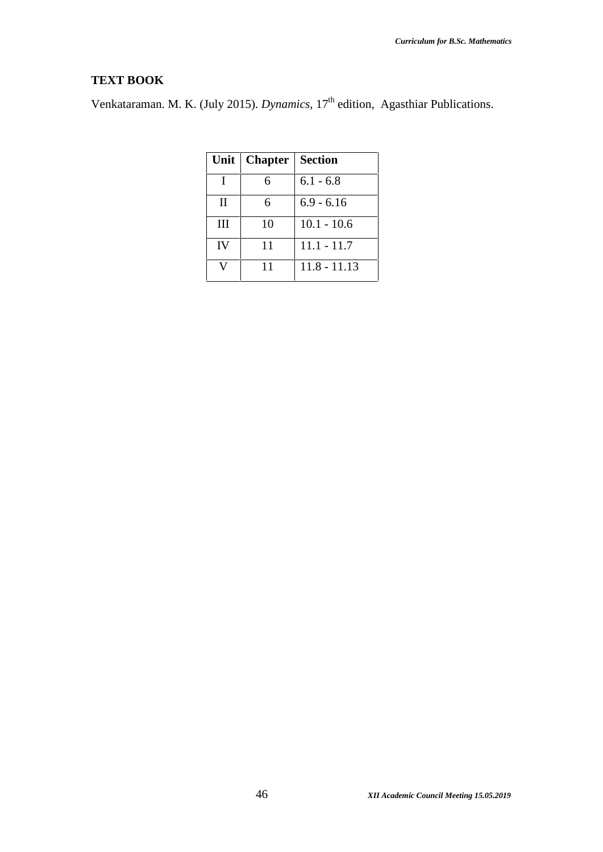# **TEXT BOOK**

Venkataraman. M. K. (July 2015). *Dynamics*, 17<sup>th</sup> edition, Agasthiar Publications.

| Unit         | <b>Chapter</b>   Section |                |
|--------------|--------------------------|----------------|
| I            | 6                        | $6.1 - 6.8$    |
| $\mathbf{I}$ | 6                        | $6.9 - 6.16$   |
| III          | 10                       | $10.1 - 10.6$  |
| <b>IV</b>    | 11                       | $11.1 - 11.7$  |
|              | 11                       | $11.8 - 11.13$ |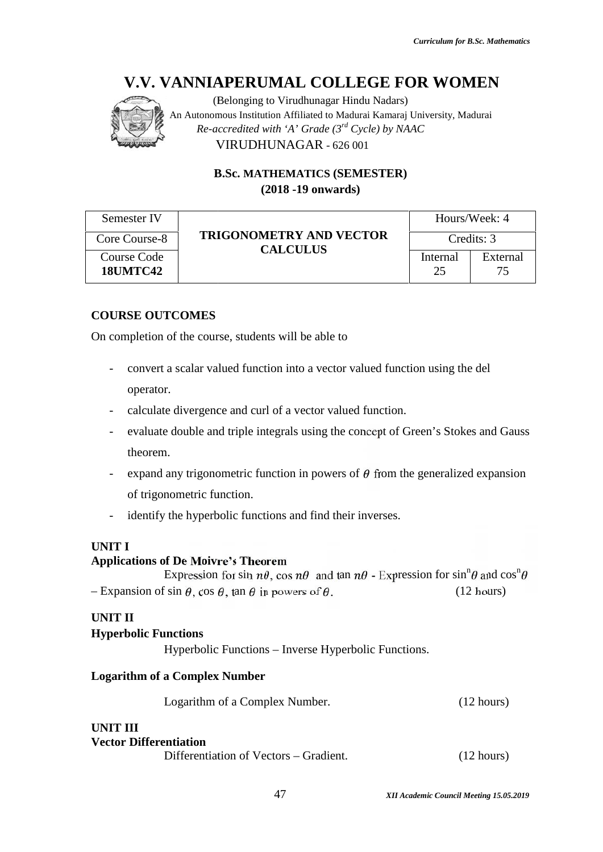

(Belonging to Virudhunagar Hindu Nadars) An Autonomous Institution Affiliated to Madurai Kamaraj University, Madurai An to *Re-accredited with 'A' Grade (3rd Cycle) by NAAC with* VIRUDHUNAGAR - 626 001

> **B.Sc. MATHEMATICS (SEMESTER) (2018 -19 onwards)**

| Semester IV                                                                        |                                                                              | Hours/Week: 4<br>Credits: 3 |                |
|------------------------------------------------------------------------------------|------------------------------------------------------------------------------|-----------------------------|----------------|
| Core Course-8                                                                      | <b>TRIGONOMETRY AND VECTOR</b>                                               |                             |                |
| Course Code<br><b>18UMTC42</b>                                                     | <b>CALCULUS</b>                                                              | Internal<br>25              | External<br>75 |
| <b>COURSE OUTCOMES</b><br>On completion of the course, students will be able to    |                                                                              |                             |                |
| -<br>operator.                                                                     | convert a scalar valued function into a vector valued function using the del |                             |                |
| calculate divergence and curl of a vector valued function.<br>-                    |                                                                              |                             |                |
| evaluate double and triple integrals using the concept of Green's Stokes and Gauss |                                                                              |                             |                |

# **COURSE OUTCOMES**

- convert a scalar valued function into a vector valued function using the del operator.
- calculate divergence and curl of a vector valued function.
- evaluate double and triple integrals using the concept of Green's Stokes and Gauss theorem.
- expand any trigonometric function in powers of  $\theta$  from the generalized expansion of trigonometric function. Expand any trigonometric function in powers of  $\theta$  from the g<br>of trigonometric function.<br>identify the hyperbolic functions and find their inverses.
- 

# **UNIT I**

#### **Applications of De Moivre's Theorem**

Expression for sin  $n\theta$ , cos  $n\theta$  and tan  $n\theta$  - Expression for sin<sup>n</sup> $\theta$  and cos<sup>n</sup> $\theta$ <br>
sin  $\theta$ , cos  $\theta$ , tan  $\theta$  in powers of  $\theta$ . (12 hours) – Expansion of sin  $\theta$ , cos  $\theta$ , tan  $\theta$  in powers of  $\theta$ . (12 hours)

#### **UNIT II**

#### **Hyperbolic Functions**

Hyperbolic Functions - Inverse Hyperbolic Functions.

#### **Logarithm of a Complex Number**

Logarithm of a Complex Number. (12 hours)

# **UNIT III**

#### **Vector Differentiation**

Differentiation of Vectors – Gradient. (12 hours)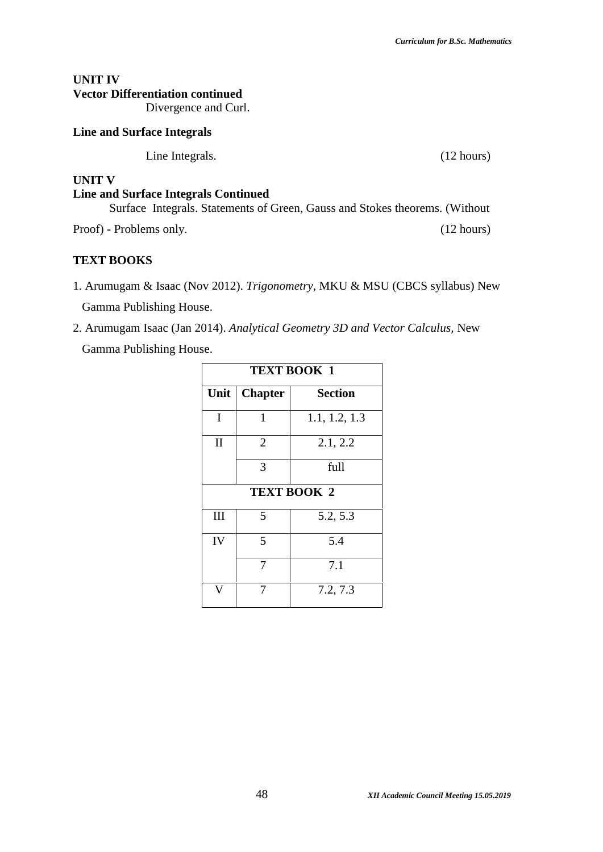# **UNIT IV Vector Differentiation continued**

Divergence and Curl.

#### **Line and Surface Integrals**

Line Integrals. (12 hours)

#### **UNIT V**

# **Line and Surface Integrals Continued** Surface Integrals. Statements of Green, Gauss and Stokes theorems. (Without Proof) - Problems only. (12 hours)

### **TEXT BOOKS**

- 1. Arumugam & Isaac (Nov 2012). *Trigonometry,* MKU & MSU (CBCS syllabus) New Gamma Publishing House.
- 2. Arumugam Isaac (Jan 2014). *Analytical Geometry 3D and Vector Calculus,* New

Gamma Publishing House.

| <b>TEXT BOOK 1</b> |                |                    |
|--------------------|----------------|--------------------|
| Unit               | <b>Chapter</b> | <b>Section</b>     |
| I                  | 1              | 1.1, 1.2, 1.3      |
| $\mathbf{I}$       | 2              | 2.1, 2.2           |
|                    | 3              | full               |
|                    |                | <b>TEXT BOOK 2</b> |
| III                | 5              | 5.2, 5.3           |
| IV                 | 5              | 5.4                |
|                    | 7              | 7.1                |
|                    |                | 7.2, 7.3           |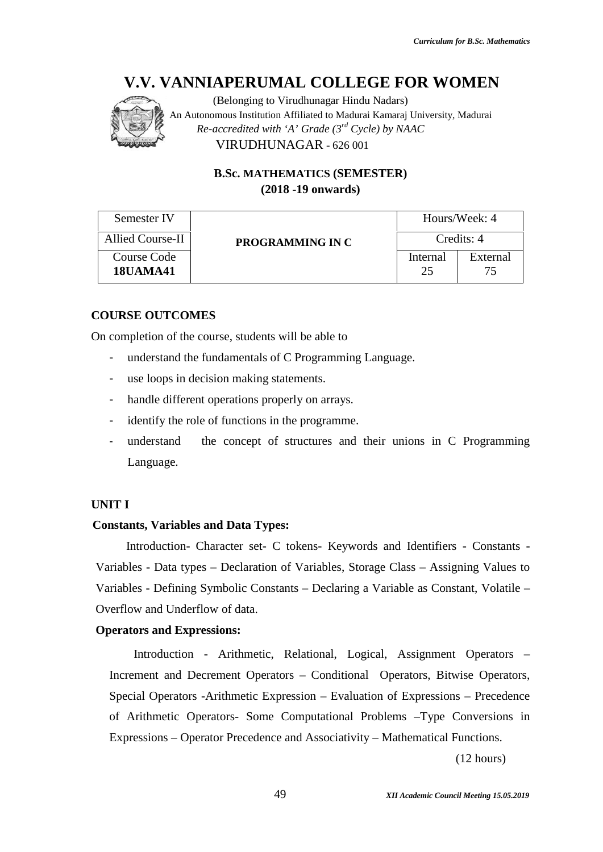

(Belonging to Virudhunagar Hindu Nadars) An Autonomous Institution Affiliated to Madurai Kamaraj University, Madurai An to *Re-accredited with 'A' Grade (3rd Cycle) by NAAC with* VIRUDHUNAGAR - 626 001

> **B.Sc. MATHEMATICS (SEMESTER) (2018 -19 onwards)**

| Semester IV                                                               |                                                       |                | Hours/Week: 4  |  |
|---------------------------------------------------------------------------|-------------------------------------------------------|----------------|----------------|--|
| Allied Course-II                                                          | PROGRAMMING IN C                                      |                | Credits: 4     |  |
| Course Code<br><b>18UAMA41</b>                                            |                                                       | Internal<br>25 | External<br>75 |  |
| <b>COURSE OUTCOMES</b>                                                    |                                                       |                |                |  |
|                                                                           | On completion of the course, students will be able to |                |                |  |
| understand the fundamentals of C Programming Language.<br>-               |                                                       |                |                |  |
| use loops in decision making statements.<br>-                             |                                                       |                |                |  |
| handle different operations properly on arrays.<br>-                      |                                                       |                |                |  |
| identify the role of functions in the programme.<br>-                     |                                                       |                |                |  |
| the concept of structures and their unions in C Programming<br>understand |                                                       |                |                |  |

#### **COURSE OUTCOMES**

- understand the fundamentals of C Programming Language.
- use loops in decision making statements.
- handle different operations properly on arrays.
- identify the role of functions in the programme.
- understand the concept of structures and their unions in C Programming Language.

#### **UNIT I**

#### **Constants, Variables and Data Types:**

Introduction- Character set- C tokens- Keywords and Identifiers - Constants - Introduction- Character set- C tokens- Keywords and Identifiers - Constants -<br>Variables - Data types – Declaration of Variables, Storage Class – Assigning Values to Variables - Defining Symbolic Constants – Declaring a Variable as Constant, Volatile – – Overflow and Underflow of data. eir unions in C<br>Is and Identifiers<br>age Class – Assig<br>Variable as Const

#### **Operators and Expressions:**

Introduction - Arithmetic, Relational, Logical, Assignment Operators – Increment and Decrement Operators – Conditional Operators, Bitwise Operators, Special Operators -Arithmetic Expression – Evaluation of Expressions – Precedence of Arithmetic Operators- Some Computational Problems –Type Conversions in Expressions – Operator Precedence and Associativity – Mathematical Functions. and Underflow of data.<br> **Sand Expressions:**<br>
Arithmetic, Relational, Logical, Assignment Operators –<br>
ent and Decrement Operators – Conditional Operators. Bitwise Operators. **AL COLLEGE FOR WOMEN**<br>
intellineate to Madurai Knatars)<br>
Millineate to Madurai Kamari Plaiversity, Madurai<br>
A' Croade (3<sup>-a'</sup> Cycle) by NAAC<br>
<br> **MAITICS (SEMESTER)**<br> **EVALUATICS (SEMESTER)**<br> **EVALUATICS (SEMESTER)**<br> **EVA** 

(12 hours)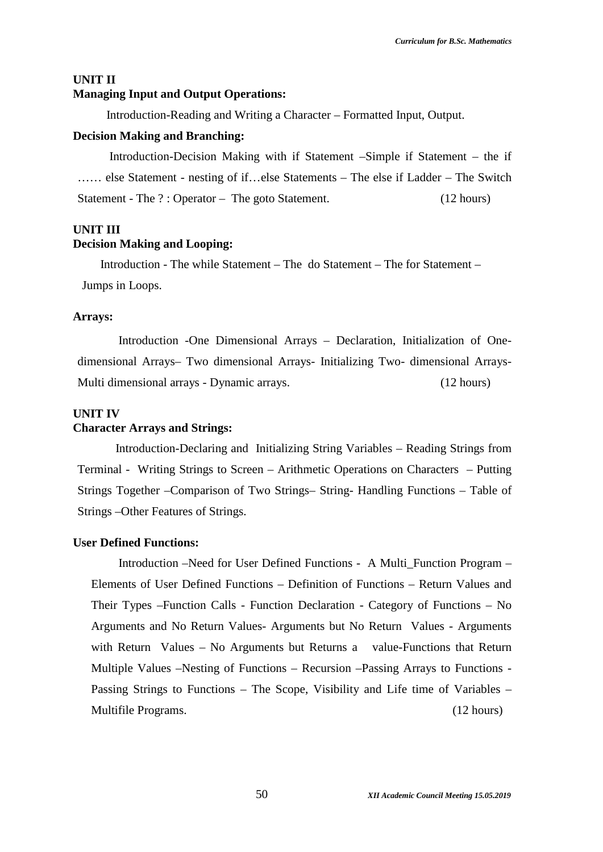#### **UNIT II**

### **Managing Input and Output Operations:**

Introduction-Reading and Writing a Character – Formatted Input, Output.

#### **Decision Making and Branching:**

Introduction-Decision Making with if Statement –Simple if Statement – the if …… else Statement - nesting of if…else Statements – The else if Ladder – The Switch Statement - The ?: Operator – The goto Statement. (12 hours)

#### **UNIT III**

#### **Decision Making and Looping:**

Introduction - The while Statement – The do Statement – The for Statement – Jumps in Loops.

#### **Arrays:**

Introduction -One Dimensional Arrays – Declaration, Initialization of One dimensional Arrays– Two dimensional Arrays- Initializing Two- dimensional Arrays- Multi dimensional arrays - Dynamic arrays. (12 hours)

#### **UNIT IV**

#### **Character Arrays and Strings:**

Introduction-Declaring and Initializing String Variables – Reading Strings from Terminal - Writing Strings to Screen – Arithmetic Operations on Characters – Putting Strings Together –Comparison of Two Strings– String- Handling Functions – Table of Strings –Other Features of Strings.

#### **User Defined Functions:**

Introduction –Need for User Defined Functions - A Multi\_Function Program – Elements of User Defined Functions – Definition of Functions – Return Values and Their Types –Function Calls - Function Declaration - Category of Functions – No Arguments and No Return Values- Arguments but No Return Values - Arguments with Return Values – No Arguments but Returns a value-Functions that Return Multiple Values –Nesting of Functions – Recursion –Passing Arrays to Functions - Passing Strings to Functions – The Scope, Visibility and Life time of Variables – Multifile Programs. (12 hours)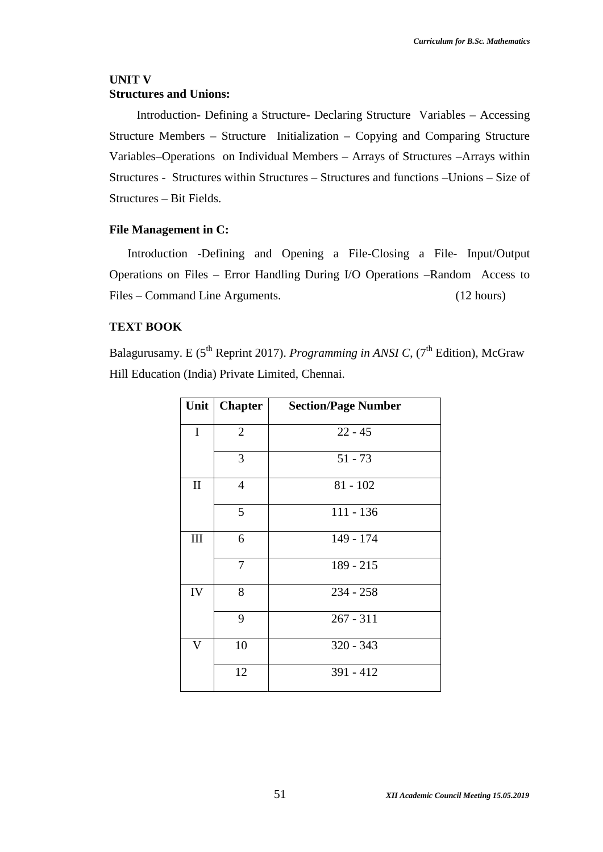### **UNIT V Structures and Unions:**

Introduction- Defining a Structure- Declaring Structure Variables – Accessing Structure Members – Structure Initialization – Copying and Comparing Structure Variables–Operations on Individual Members – Arrays of Structures –Arrays within Structures - Structures within Structures – Structures and functions –Unions – Size of Structures – Bit Fields.

#### **File Management in C:**

Introduction -Defining and Opening a File-Closing a File- Input/Output Operations on Files – Error Handling During I/O Operations –Random Access to Files – Command Line Arguments. (12 hours)

#### **TEXT BOOK**

Balagurusamy. E (5<sup>th</sup> Reprint 2017). *Programming in ANSI C*, (7<sup>th</sup> Edition), McGraw Hill Education (India) Private Limited, Chennai.

|                         | Unit   Chapter | <b>Section/Page Number</b> |
|-------------------------|----------------|----------------------------|
| $\mathbf I$             | $\overline{2}$ | $22 - 45$                  |
|                         | 3              | $51 - 73$                  |
| $\mathbf{I}$            | 4              | $81 - 102$                 |
|                         | 5              | $111 - 136$                |
| III                     | 6              | 149 - 174                  |
|                         | 7              | $189 - 215$                |
| IV                      | 8              | $234 - 258$                |
|                         | 9              | $267 - 311$                |
| $\overline{\mathsf{V}}$ | 10             | $320 - 343$                |
|                         | 12             | $391 - 412$                |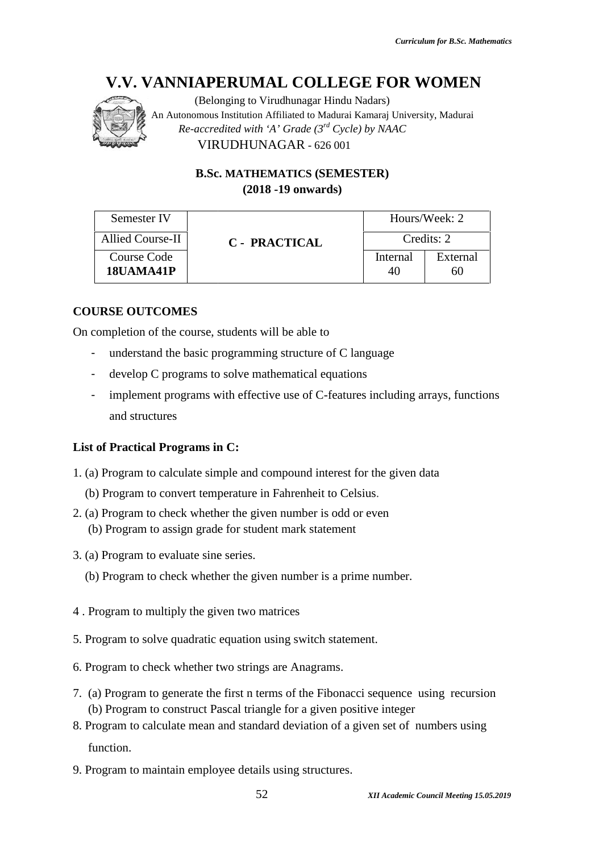

| <b>B.Sc. MATHEMATICS (SEMESTER)</b><br>$(2018 - 19)$ onwards)                                                                                                                                                                                           |                |                |
|---------------------------------------------------------------------------------------------------------------------------------------------------------------------------------------------------------------------------------------------------------|----------------|----------------|
| Semester IV                                                                                                                                                                                                                                             |                | Hours/Week: 2  |
| Allied Course-II<br><b>C</b> - PRACTICAL                                                                                                                                                                                                                |                | Credits: 2     |
| <b>Course Code</b><br>18UAMA41P                                                                                                                                                                                                                         | Internal<br>40 | External<br>60 |
| completion of the course, students will be able to<br>understand the basic programming structure of C language<br>develop C programs to solve mathematical equations<br>implement programs with effective use of C-features including arrays, functions |                |                |
| and structures                                                                                                                                                                                                                                          |                |                |
|                                                                                                                                                                                                                                                         |                |                |
|                                                                                                                                                                                                                                                         |                |                |
| of Practical Programs in C:<br>(a) Program to calculate simple and compound interest for the given data                                                                                                                                                 |                |                |
|                                                                                                                                                                                                                                                         |                |                |
| ) Program to convert temperature in Fahrenheit to Celsius.<br>(a) Program to check whether the given number is odd or even<br>b) Program to assign grade for student mark statement                                                                     |                |                |
| (a) Program to evaluate sine series.                                                                                                                                                                                                                    |                |                |

# **COURSE OUTCOMES**

On completion of the course, students will be able to

- understand the basic programming structure of C language
- develop C programs to solve mathematical equations to solve mathematical equations
- implement programs with effective use of C-features including arrays, functions and structures

# **List of Practical Programs in C: in**

- 1. (a) Program to calculate simple and compound interest for the given data<br>(b) Program to convert temperature in Fahrenheit to Celsius.
	- (b) Program to convert temperature in Fahrenheit to Celsius.
- 2. (a) Program to check whether the given number is odd or even (b) Program to assign grade for student mark statement
- 3. (a) Program to evaluate sine series.
	- (b) Program to check whether the given number is a prime number.
- 4 . Program to multiply the given two matrices
- 5. Program to solve quadratic equation using switch statement.
- 6. Program to check whether two strings are Anagrams.
- 7. (a) Program to generate the first n terms of the Fibonacci sequence using recursion (b) Program to construct Pascal triangle for a given positive integer
- 8. Program to calculate mean and standard deviation of a given set of numbers using function.
- 9. Program to maintain employee details using structures.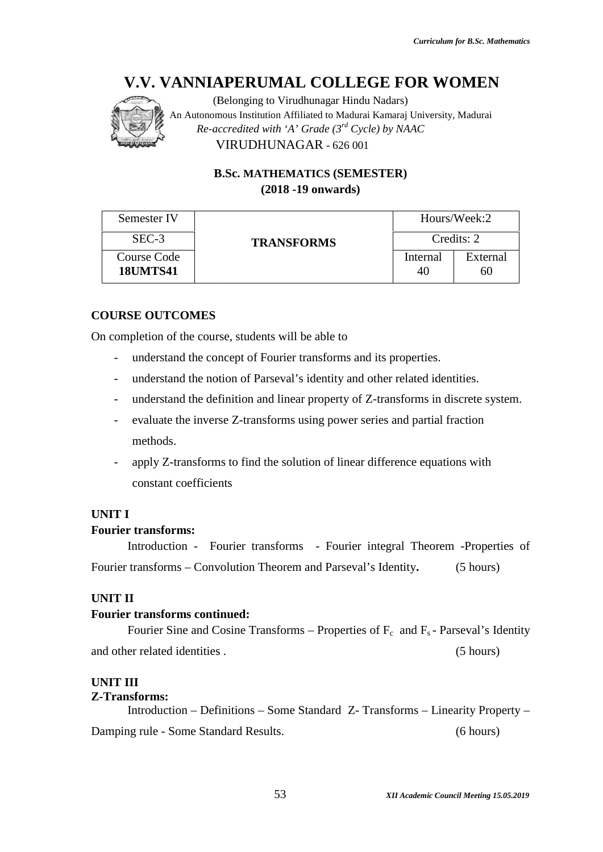

|                                                      |                                       | (Belonging to Virudhunagar Hindu Nadars)<br>An Autonomous Institution Affiliated to Madurai Kamaraj University, Madurai<br>Re-accredited with 'A' Grade $(3^{rd}$ Cycle) by NAAC<br>VIRUDHUNAGAR - 626 001                                                                                                       |                |                |
|------------------------------------------------------|---------------------------------------|------------------------------------------------------------------------------------------------------------------------------------------------------------------------------------------------------------------------------------------------------------------------------------------------------------------|----------------|----------------|
|                                                      |                                       | <b>B.Sc. MATHEMATICS (SEMESTER)</b><br>$(2018 - 19)$ onwards)                                                                                                                                                                                                                                                    |                |                |
|                                                      | Semester IV                           |                                                                                                                                                                                                                                                                                                                  |                | Hours/Week:2   |
|                                                      | SEC-3                                 | <b>TRANSFORMS</b>                                                                                                                                                                                                                                                                                                |                | Credits: 2     |
|                                                      | <b>Course Code</b><br><b>18UMTS41</b> |                                                                                                                                                                                                                                                                                                                  | Internal<br>40 | External<br>60 |
| $\overline{\phantom{0}}$<br>$\overline{\phantom{a}}$ | methods.                              | understand the concept of Fourier transforms and its properties.<br>understand the notion of Parseval's identity and other related identities.<br>understand the definition and linear property of Z-transforms in discrete system.<br>evaluate the inverse Z-transforms using power series and partial fraction |                |                |
|                                                      | constant coefficients                 | apply Z-transforms to find the solution of linear difference equations with                                                                                                                                                                                                                                      |                |                |
| <b>UNIT I</b>                                        | <b>Fourier transforms:</b>            | Introduction - Fourier transforms - Fourier integral Theorem -Properties of<br>Fourier transforms – Convolution Theorem and Parseval's Identity.                                                                                                                                                                 |                | (5 hours)      |
| UNIT II                                              | <b>Fourier transforms continued:</b>  | Fourier Sine and Cosine Transforms – Properties of $F_c$ and $F_s$ - Parseval's Identity                                                                                                                                                                                                                         |                |                |
|                                                      | and other related identities.         |                                                                                                                                                                                                                                                                                                                  |                | (5 hours)      |
| <b>UNIT III</b>                                      | <b>Z-Transforms:</b>                  | Introduction – Definitions – Some Standard Z-Transforms – Linearity Property –                                                                                                                                                                                                                                   |                |                |
|                                                      |                                       | Damping rule - Some Standard Results.                                                                                                                                                                                                                                                                            |                | (6 hours)      |

# **COURSE OUTCOMES**

- understand the concept of Fourier transforms and its properties.
- understand the notion of Parseval's identity and other related identities.
- understand the definition and linear property of Z-transforms in discrete system.
- evaluate the inverse Z-transforms using power series and partial fraction methods.
- apply Z-transforms to find the solution of linear difference equations with constant coefficients

# **UNIT I**

#### **Fourier transforms:**

# **UNIT II**

#### **Fourier transforms continued:**

# **UNIT III**

#### **Z-Transforms:**

Introduction – Definitions – Some Standard Z- Transforms – Linearity Property – Damping rule - Some Standard Results. (6 hours)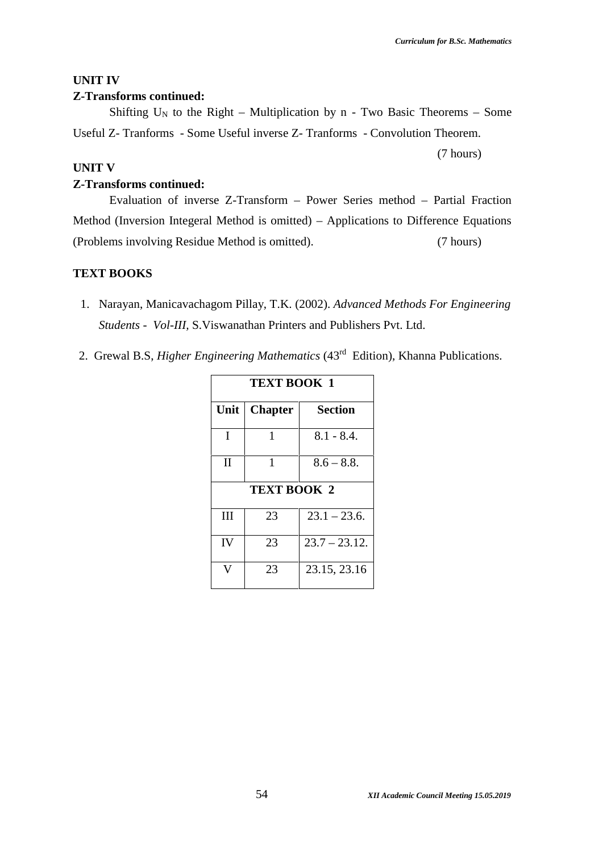(7 hours)

# **UNIT IV**

## **Z-Transforms continued:**

Shifting  $U_N$  to the Right – Multiplication by n - Two Basic Theorems – Some Useful Z- Tranforms - Some Useful inverse Z- Tranforms - Convolution Theorem.

### **UNIT V**

#### **Z-Transforms continued:**

Evaluation of inverse Z-Transform – Power Series method – Partial Fraction Method (Inversion Integeral Method is omitted) – Applications to Difference Equations (Problems involving Residue Method is omitted). (7 hours)

### **TEXT BOOKS**

- 1. Narayan, Manicavachagom Pillay, T.K. (2002). *Advanced Methods For Engineering Students - Vol-III,* S.Viswanathan Printers and Publishers Pvt. Ltd.
- 2. Grewal B.S, *Higher Engineering Mathematics* (43rd Edition), Khanna Publications.

| <b>TEXT BOOK 1</b> |                    |                  |  |
|--------------------|--------------------|------------------|--|
| Unit               | <b>Chapter</b>     | <b>Section</b>   |  |
| I                  | 1                  | $8.1 - 8.4.$     |  |
| $_{\rm II}$        | 1                  | $8.6 - 8.8.$     |  |
|                    | <b>TEXT BOOK 2</b> |                  |  |
| Ш                  | 23                 | $23.1 - 23.6$ .  |  |
| IV                 | 23                 | $23.7 - 23.12$ . |  |
|                    | 23                 | 23.15, 23.16     |  |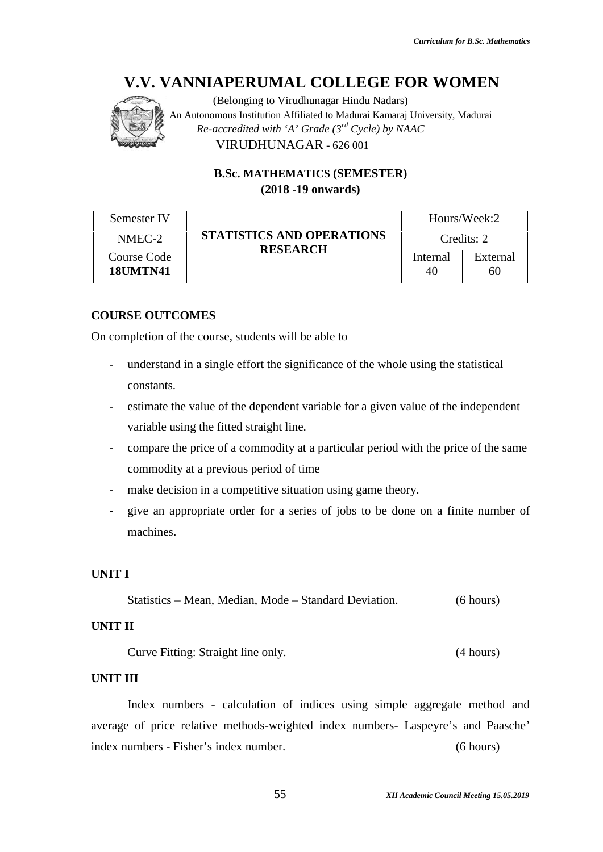

|                                       | (Belonging to Virudhunagar Hindu Nadars)<br>An Autonomous Institution Affiliated to Madurai Kamaraj University, Madurai<br>Re-accredited with 'A' Grade $(3^{rd}$ Cycle) by NAAC<br>VIRUDHUNAGAR - 626 001                                                                                                                                                        |                |                |
|---------------------------------------|-------------------------------------------------------------------------------------------------------------------------------------------------------------------------------------------------------------------------------------------------------------------------------------------------------------------------------------------------------------------|----------------|----------------|
|                                       | <b>B.Sc. MATHEMATICS (SEMESTER)</b><br>$(2018 - 19)$ onwards)                                                                                                                                                                                                                                                                                                     |                |                |
| Semester IV                           |                                                                                                                                                                                                                                                                                                                                                                   |                | Hours/Week:2   |
| NMEC-2                                | <b>STATISTICS AND OPERATIONS</b><br><b>RESEARCH</b>                                                                                                                                                                                                                                                                                                               |                | Credits: 2     |
| <b>Course Code</b><br><b>18UMTN41</b> |                                                                                                                                                                                                                                                                                                                                                                   | Internal<br>40 | External<br>60 |
| <b>COURSE OUTCOMES</b><br>constants.  | On completion of the course, students will be able to<br>understand in a single effort the significance of the whole using the statistical<br>estimate the value of the dependent variable for a given value of the independent<br>variable using the fitted straight line.<br>compare the price of a commodity at a particular period with the price of the same |                |                |
|                                       | commodity at a previous period of time                                                                                                                                                                                                                                                                                                                            |                |                |
| machines.                             | make decision in a competitive situation using game theory.<br>give an appropriate order for a series of jobs to be done on a finite number of                                                                                                                                                                                                                    |                |                |
| UNIT I                                |                                                                                                                                                                                                                                                                                                                                                                   |                |                |
|                                       | Statistics – Mean, Median, Mode – Standard Deviation.                                                                                                                                                                                                                                                                                                             |                | (6 hours)      |
| UNIT II                               |                                                                                                                                                                                                                                                                                                                                                                   |                |                |
|                                       | Curve Fitting: Straight line only.                                                                                                                                                                                                                                                                                                                                |                | (4 hours)      |
| UNIT III                              |                                                                                                                                                                                                                                                                                                                                                                   |                |                |
|                                       | Index numbers - calculation of indices using simple aggregate method and                                                                                                                                                                                                                                                                                          |                |                |
|                                       | average of price relative methods-weighted index numbers- Laspeyre's and Paasche'                                                                                                                                                                                                                                                                                 |                |                |
|                                       | index numbers - Fisher's index number.                                                                                                                                                                                                                                                                                                                            |                | (6 hours)      |

# **COURSE OUTCOMES**

- understand in a single effort the significance of the whole using the statistical constants.
- estimate the value of the dependent variable for a given value of the independent variable using the fitted straight line. variable using the fitted straight line.
- compare the price of a commodity at a particular period with the price of the same commodity at a previous period of time - compare the price of a commodity at a particular period with the price of the same<br>
commodity at a previous period of time<br>
- make decision in a competitive situation using game theory.<br>
- give an appropriate order for a
- make decision in a competitive situation using game theory.
- machines.

# **UNIT I**

```
Statistics – Mean, Median, Mode – Standard Deviation. (6 hours)
```
# **UNIT II**

# **UNIT III**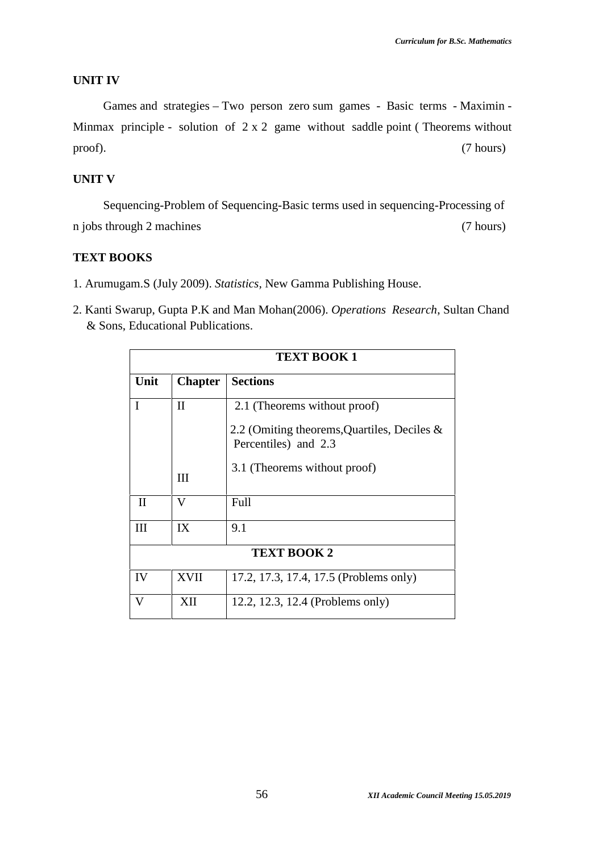#### **UNIT IV**

Games and strategies – Two person zero sum games - Basic terms - Maximin - Minmax principle - solution of  $2 \times 2$  game without saddle point (Theorems without proof). (7 hours)

#### **UNIT V**

Sequencing-Problem of Sequencing-Basic terms used in sequencing-Processing of n jobs through 2 machines (7 hours)

## **TEXT BOOKS**

- 1. Arumugam.S (July 2009). *Statistics,* New Gamma Publishing House.
- 2. Kanti Swarup, Gupta P.K and Man Mohan(2006). *Operations Research*, Sultan Chand & Sons, Educational Publications.

|              |                | <b>TEXT BOOK 1</b>                                                     |
|--------------|----------------|------------------------------------------------------------------------|
| Unit         | <b>Chapter</b> | <b>Sections</b>                                                        |
| I            | $\rm II$       | 2.1 (Theorems without proof)                                           |
|              |                | 2.2 (Omiting theorems, Quartiles, Deciles $\&$<br>Percentiles) and 2.3 |
|              | III            | 3.1 (Theorems without proof)                                           |
| $\mathbf{I}$ | V              | Full                                                                   |
| Ш            | IX             | 9.1                                                                    |
|              |                | <b>TEXT BOOK 2</b>                                                     |
| IV           | XVII           | 17.2, 17.3, 17.4, 17.5 (Problems only)                                 |
| V            | XII            | 12.2, 12.3, 12.4 (Problems only)                                       |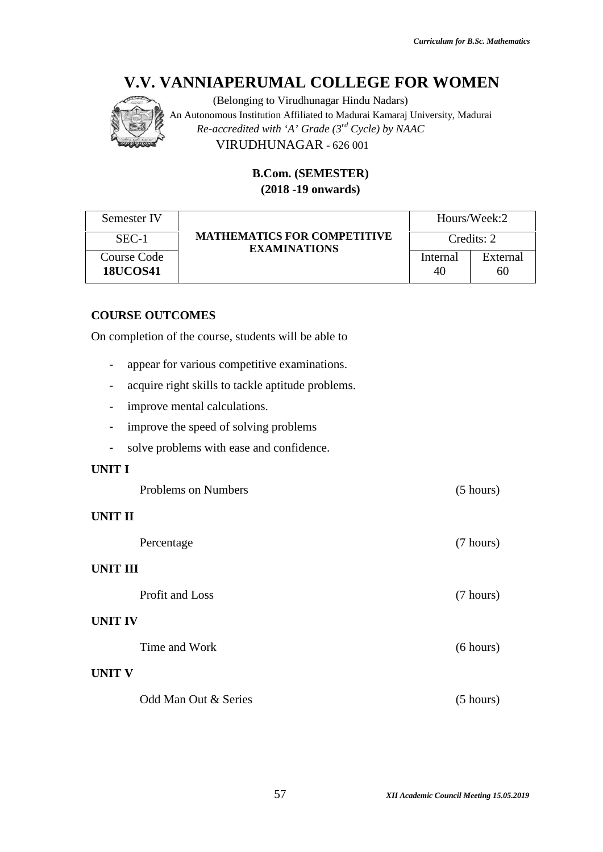

# **B.Com. (SEMESTER) (2018 -19 onwards)**

|                                       | V.V. VANNIAPERUMAL COLLEGE FOR WOMEN<br>(Belonging to Virudhunagar Hindu Nadars)<br>An Autonomous Institution Affiliated to Madurai Kamaraj University, Madurai<br>Re-accredited with 'A' Grade $(3^{rd}$ Cycle) by NAAC<br>VIRUDHUNAGAR - 626 001 |                     |                |
|---------------------------------------|----------------------------------------------------------------------------------------------------------------------------------------------------------------------------------------------------------------------------------------------------|---------------------|----------------|
|                                       | <b>B.Com. (SEMESTER)</b><br>$(2018 - 19)$ onwards)                                                                                                                                                                                                 |                     |                |
| Semester IV                           |                                                                                                                                                                                                                                                    |                     | Hours/Week:2   |
| $SEC-1$                               | <b>MATHEMATICS FOR COMPETITIVE</b><br><b>EXAMINATIONS</b>                                                                                                                                                                                          | Credits: 2          |                |
| <b>Course Code</b><br><b>18UCOS41</b> |                                                                                                                                                                                                                                                    | Internal<br>40      | External<br>60 |
| <b>COURSE OUTCOMES</b>                | On completion of the course, students will be able to                                                                                                                                                                                              |                     |                |
| $\overline{\phantom{0}}$              | appear for various competitive examinations.                                                                                                                                                                                                       |                     |                |
|                                       | acquire right skills to tackle aptitude problems.                                                                                                                                                                                                  |                     |                |
|                                       | improve mental calculations.                                                                                                                                                                                                                       |                     |                |
|                                       | improve the speed of solving problems                                                                                                                                                                                                              |                     |                |
|                                       | solve problems with ease and confidence.                                                                                                                                                                                                           |                     |                |
| <b>UNIT I</b>                         |                                                                                                                                                                                                                                                    |                     |                |
| Problems on Numbers                   |                                                                                                                                                                                                                                                    | $(5 \text{ hours})$ |                |

# **COURSE OUTCOMES**

- appear for various competitive examinations.
- acquire right skills to tackle aptitude problems.
- improve mental calculations.
- improve the speed of solving problems
- solve problems with ease and confidence.

# **UNIT I**

|                 | <b>Problems on Numbers</b> | (5 hours) |
|-----------------|----------------------------|-----------|
| <b>UNIT II</b>  |                            |           |
|                 | Percentage                 | (7 hours) |
| <b>UNIT III</b> |                            |           |
|                 | Profit and Loss            | (7 hours) |
| <b>UNIT IV</b>  |                            |           |
|                 | Time and Work              | (6 hours) |
| <b>UNIT V</b>   |                            |           |
|                 | Odd Man Out & Series       | (5 hours) |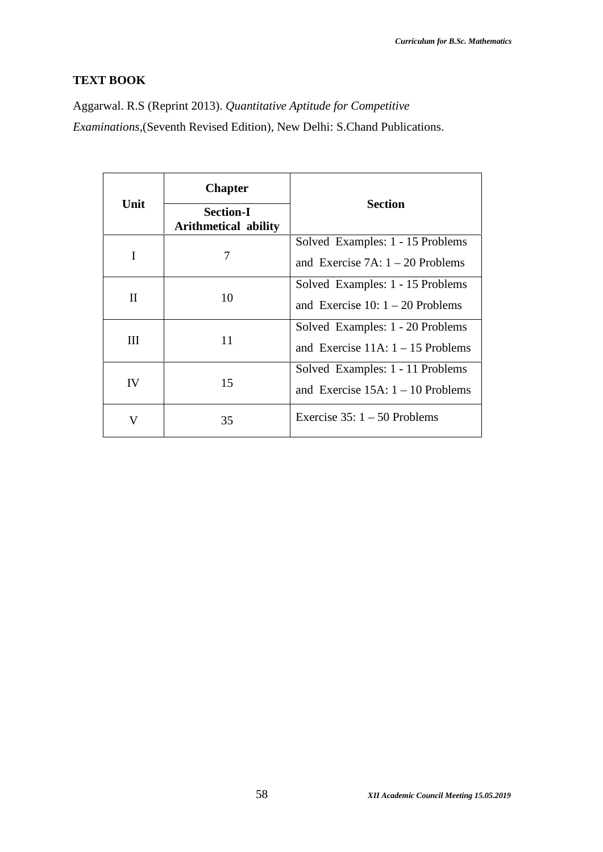# **TEXT BOOK**

Aggarwal. R.S (Reprint 2013). *Quantitative Aptitude for Competitive Examinations,*(Seventh Revised Edition), New Delhi: S.Chand Publications.

| Unit         | <b>Chapter</b><br><b>Section-I</b><br><b>Arithmetical ability</b> | <b>Section</b>                                                          |
|--------------|-------------------------------------------------------------------|-------------------------------------------------------------------------|
| I            | 7                                                                 | Solved Examples: 1 - 15 Problems<br>and Exercise 7A: $1 - 20$ Problems  |
| $\mathbf{I}$ | 10                                                                | Solved Examples: 1 - 15 Problems<br>and Exercise 10: $1 - 20$ Problems  |
| Ш            | 11                                                                | Solved Examples: 1 - 20 Problems<br>and Exercise $11A: 1 - 15$ Problems |
| IV           | 15                                                                | Solved Examples: 1 - 11 Problems<br>and Exercise $15A: 1 - 10$ Problems |
| V            | 35                                                                | Exercise $35:1 - 50$ Problems                                           |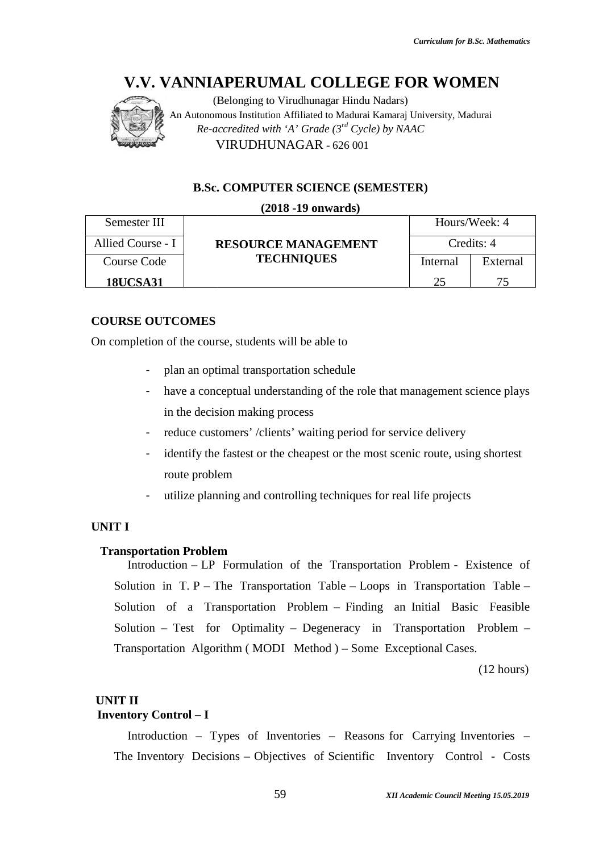

(Belonging to Virudhunagar Hindu Nadars) An Autonomous Institution Affiliated to Madurai Kamaraj University, Madurai An to *Re-accredited with 'A' Grade (3rd Cycle) by NAAC with* VIRUDHUNAGAR - 626 001

#### **B.Sc. COMPUTER SCIENCE (SEMESTER)**

#### **(2018 -19 onwards)** Semester III Allied Course - I **RESOURCE MANAGEMENT** Credits: 4 **TECHNIQUES** Hours/Week: 4 Course Code **18UCSA31 18UCSA31** Internal 25 External 75

### **COURSE OUTCOMES**

On completion of the course, students will be able to

- plan an optimal transportation schedule
- have a conceptual understanding of the role that management science plays in the decision making process
- reduce customers' /clients' waiting period for service delivery
- identify the fastest or the cheapest or the most scenic route, using shortest route problem
- utilize planning and controlling techniques for real life projects

### **UNIT I**

#### **Transportation Problem**

Introduction – LP Formulation of the Transportation Problem - Existence of Solution in T. P – The Transportation Table – Loops in Transportation Table – Solution of a Transportation Problem – Finding an Initial Basic Feasible Solution – Test for Optimality – Degeneracy in Transportation Problem – Transportation Algorithm (MODI Method ) – Some Exceptional Cases.<br>(12 hours) identify the fastest or the cheapest or the most scenic route, using shortest<br>route problem<br>utilize planning and controlling techniques for real life projects<br>ion Problem<br> $\frac{1}{\pi}$  Problem<br> $\frac{1}{\pi}P$  The Transportation o MEN<br>
Madurai<br>
S/Week: 4<br>
edits: 4<br>
External<br>
75<br>
15<br>
17<br>
Sing shortest<br>
17<br>
Existence of<br>
2<br>
Existence of<br>
2<br>
2<br>
Table –<br>
asic Feasible<br>
n Problem –<br>
ses.<br>
(12 hours)<br>
Inventories –<br>
Inventories –<br>
Inventories –<br>
Inventori

(12 hours)

#### **UNIT II**

# **Inventory Control – I**

Introduction – Types of Inventories – Reasons for Carrying Inventories – The Inventory Decisions – Objectives of Scientific Inventory Control - Costs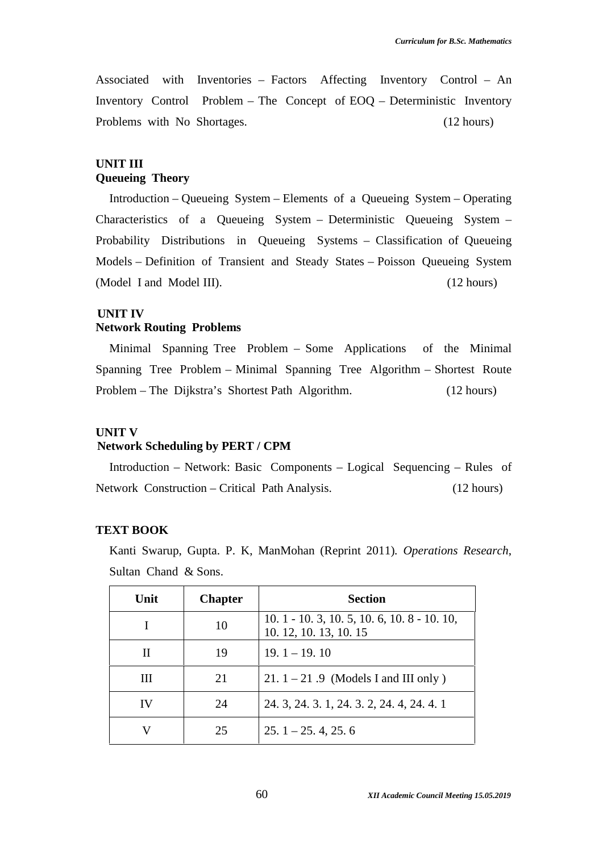Associated with Inventories – Factors Affecting Inventory Control – An Inventory Control Problem – The Concept of EOQ – Deterministic Inventory Problems with No Shortages. (12 hours)

# **UNIT III Queueing Theory**

Introduction – Queueing System – Elements of a Queueing System – Operating Characteristics of a Queueing System – Deterministic Queueing System – Probability Distributions in Queueing Systems – Classification of Queueing Models – Definition of Transient and Steady States – Poisson Queueing System (Model I and Model III). (12 hours)

#### **UNIT IV**

### **Network Routing Problems**

Minimal Spanning Tree Problem – Some Applications of the Minimal Spanning Tree Problem – Minimal Spanning Tree Algorithm – Shortest Route Problem – The Dijkstra's Shortest Path Algorithm. (12 hours)

#### **UNIT V**

#### **Network Scheduling by PERT / CPM**

Introduction – Network: Basic Components – Logical Sequencing – Rules of Network Construction – Critical Path Analysis. (12 hours)

#### **TEXT BOOK**

Kanti Swarup, Gupta. P. K, ManMohan (Reprint 2011)*. Operations Research*, Sultan Chand & Sons.

| Unit | <b>Chapter</b> | <b>Section</b>                                                      |
|------|----------------|---------------------------------------------------------------------|
|      | 10             | $10.1 - 10.3$ , 10.5, 10.6, 10.8 - 10.10,<br>10. 12, 10. 13, 10. 15 |
| Н    | 19             | $19.1 - 19.10$                                                      |
| Ш    | 21             | $21.1 - 21.9$ (Models I and III only)                               |
| IV   | 24             | 24. 3, 24. 3. 1, 24. 3. 2, 24. 4, 24. 4. 1                          |
|      | 25             | $25.1 - 25.4$ , 25.6                                                |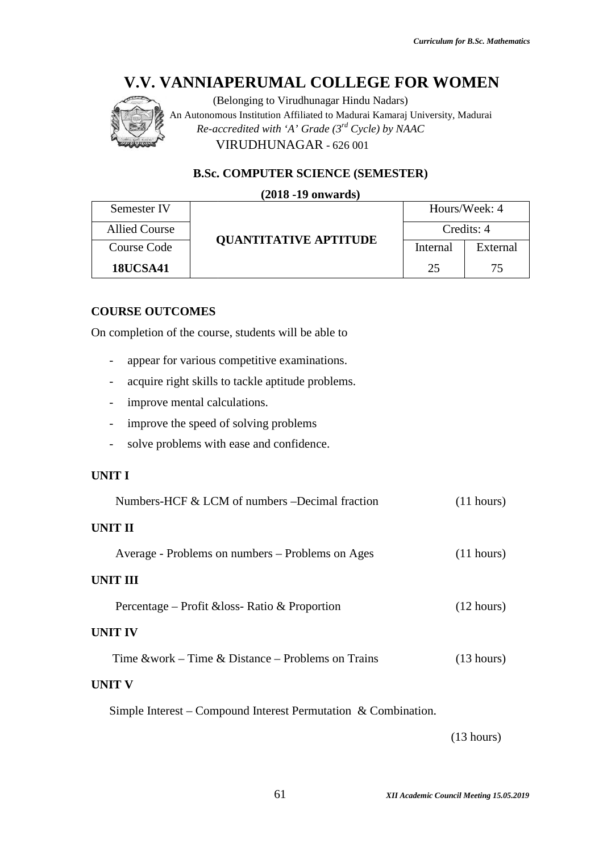

# **B.Sc. COMPUTER SCIENCE (SEMESTER)**

#### **(2018 -19 onwards)**

| Semester IV          | <b>OUANTITATIVE APTITUDE</b> | Hours/Week: 4 |          |
|----------------------|------------------------------|---------------|----------|
| <b>Allied Course</b> |                              | Credits: 4    |          |
| Course Code          |                              | Internal      | External |
| <b>18UCSA41</b>      |                              | 25            |          |

# **COURSE OUTCOMES**

- appear for various competitive examinations.
- acquire right skills to tackle aptitude problems.
- improve mental calculations.
- improve the speed of solving problems
- solve problems with ease and confidence.

# **UNIT I**

|                                            | V.V. VANNIAPERUMAL COLLEGE FOR WOMEN<br>(Belonging to Virudhunagar Hindu Nadars)<br>An Autonomous Institution Affiliated to Madurai Kamaraj University, Madurai<br>Re-accredited with 'A' Grade $(3^{rd}$ Cycle) by NAAC<br>VIRUDHUNAGAR - 626 001 |                                    |            |
|--------------------------------------------|----------------------------------------------------------------------------------------------------------------------------------------------------------------------------------------------------------------------------------------------------|------------------------------------|------------|
|                                            | <b>B.Sc. COMPUTER SCIENCE (SEMESTER)</b>                                                                                                                                                                                                           |                                    |            |
|                                            | $(2018 - 19)$ onwards)                                                                                                                                                                                                                             |                                    |            |
| Semester IV                                |                                                                                                                                                                                                                                                    | Hours/Week: 4                      |            |
| <b>Allied Course</b><br><b>Course Code</b> | <b>QUANTITATIVE APTITUDE</b>                                                                                                                                                                                                                       | Credits: 4<br>Internal<br>External |            |
| <b>18UCSA41</b>                            |                                                                                                                                                                                                                                                    | 25                                 | 75         |
|                                            |                                                                                                                                                                                                                                                    |                                    |            |
| <b>COURSE OUTCOMES</b>                     | On completion of the course, students will be able to<br>appear for various competitive examinations.                                                                                                                                              |                                    |            |
|                                            | acquire right skills to tackle aptitude problems.                                                                                                                                                                                                  |                                    |            |
|                                            | improve mental calculations.                                                                                                                                                                                                                       |                                    |            |
|                                            | improve the speed of solving problems                                                                                                                                                                                                              |                                    |            |
|                                            | solve problems with ease and confidence.                                                                                                                                                                                                           |                                    |            |
| <b>UNIT I</b>                              |                                                                                                                                                                                                                                                    |                                    |            |
|                                            | Numbers-HCF & LCM of numbers -Decimal fraction                                                                                                                                                                                                     |                                    | (11 hours) |
| <b>UNIT II</b>                             |                                                                                                                                                                                                                                                    |                                    |            |
|                                            | Average - Problems on numbers - Problems on Ages                                                                                                                                                                                                   |                                    | (11 hours) |
| <b>UNIT III</b>                            |                                                                                                                                                                                                                                                    |                                    |            |
|                                            | Percentage – Profit & loss-Ratio & Proportion                                                                                                                                                                                                      |                                    | (12 hours) |
| <b>UNIT IV</b>                             |                                                                                                                                                                                                                                                    |                                    |            |
|                                            | Time $&work - Time \& Distance - Problems on Trans$                                                                                                                                                                                                |                                    | (13 hours) |
| <b>UNIT V</b>                              |                                                                                                                                                                                                                                                    |                                    |            |
|                                            | Simple Interest – Compound Interest Permutation & Combination.                                                                                                                                                                                     |                                    |            |

(13 hours)